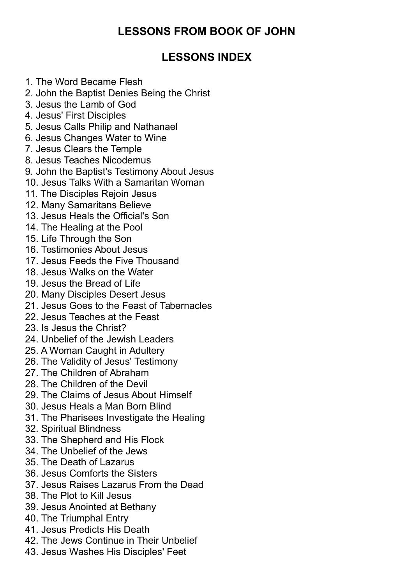# **LESSONS FROM BOOK OF JOHN**

# **LESSONS INDEX**

- 1. The Word Became Flesh
- 2. John the Baptist Denies Being the Christ
- 3. Jesus the Lamb of God
- 4. Jesus' First Disciples
- 5. Jesus Calls Philip and Nathanael
- 6. Jesus Changes Water to Wine
- 7. Jesus Clears the Temple
- 8. Jesus Teaches Nicodemus
- 9. John the Baptist's Testimony About Jesus
- 10. Jesus Talks With a Samaritan Woman
- 11. The Disciples Rejoin Jesus
- 12. Many Samaritans Believe
- 13. Jesus Heals the Official's Son
- 14. The Healing at the Pool
- 15. Life Through the Son
- 16. Testimonies About Jesus
- 17. Jesus Feeds the Five Thousand
- 18. Jesus Walks on the Water
- 19. Jesus the Bread of Life
- 20. Many Disciples Desert Jesus
- 21. Jesus Goes to the Feast of Tabernacles
- 22. Jesus Teaches at the Feast
- 23. Is Jesus the Christ?
- 24. Unbelief of the Jewish Leaders
- 25. A Woman Caught in Adultery
- 26. The Validity of Jesus' Testimony
- 27. The Children of Abraham
- 28. The Children of the Devil
- 29. The Claims of Jesus About Himself
- 30. Jesus Heals a Man Born Blind
- 31. The Pharisees Investigate the Healing
- 32. Spiritual Blindness
- 33. The Shepherd and His Flock
- 34. The Unbelief of the Jews
- 35. The Death of Lazarus
- 36. Jesus Comforts the Sisters
- 37. Jesus Raises Lazarus From the Dead
- 38. The Plot to Kill Jesus
- 39. Jesus Anointed at Bethany
- 40. The Triumphal Entry
- 41. Jesus Predicts His Death
- 42. The Jews Continue in Their Unbelief
- 43. Jesus Washes His Disciples' Feet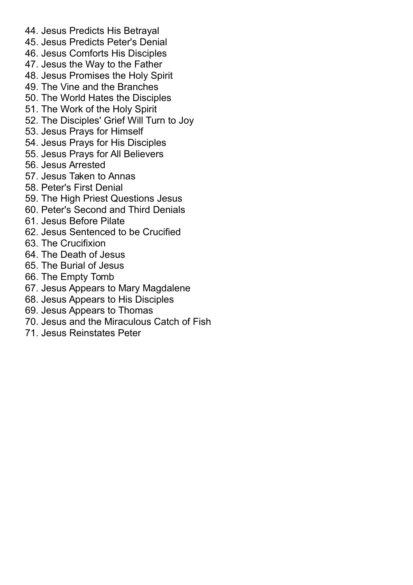- 44. Jesus Predicts His Betrayal
- 45. Jesus Predicts Peter's Denial
- 46. Jesus Comforts His Disciples
- 47. Jesus the Way to the Father
- 48. Jesus Promises the Holy Spirit
- 49. The Vine and the Branches
- 50. The World Hates the Disciples
- 51. The Work of the Holy Spirit
- 52. The Disciples' Grief Will Turn to Joy
- 53. Jesus Prays for Himself
- 54. Jesus Prays for His Disciples
- 55. Jesus Prays for All Believers
- 56. Jesus Arrested
- 57. Jesus Taken to Annas
- 58. Peter's First Denial
- 59. The High Priest Questions Jesus
- 60. Peter's Second and Third Denials
- 61. Jesus Before Pilate
- 62. Jesus Sentenced to be Crucified
- 63. The Crucifixion
- 64. The Death of Jesus
- 65. The Burial of Jesus
- 66. The Empty Tomb
- 67. Jesus Appears to Mary Magdalene
- 68. Jesus Appears to His Disciples
- 69. Jesus Appears to Thomas
- 70. Jesus and the Miraculous Catch of Fish
- 71. Jesus Reinstates Peter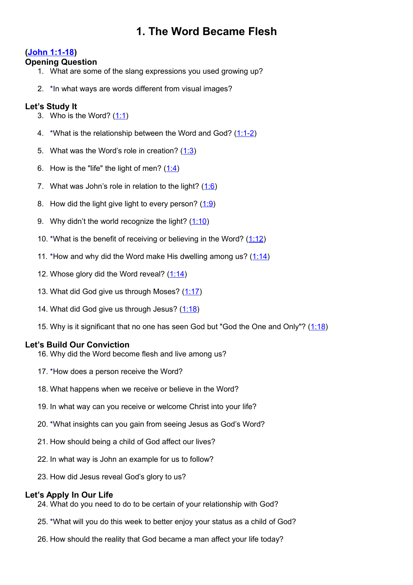# **1. The Word Became Flesh**

# **[\(John 1:1-18\)](http://www.crossbooks.com/verse.asp?ref=Jn+1%3A1-18)**

# **Opening Question**

- 1. What are some of the slang expressions you used growing up?
- 2. \*In what ways are words different from visual images?

# **Let's Study It**

- 3. Who is the Word?  $(1:1)$
- 4. \*What is the relationship between the Word and God? [\(1:1-2\)](http://www.crossbooks.com/verse.asp?ref=Jn+1%3A1-2)
- 5. What was the Word's role in creation? [\(1:3\)](http://www.crossbooks.com/verse.asp?ref=Jn+1%3A3)
- 6. How is the "life" the light of men?  $(1:4)$
- 7. What was John's role in relation to the light?  $(1.6)$
- 8. How did the light give light to every person?  $(1:9)$
- 9. Why didn't the world recognize the light?  $(1:10)$
- 10. \*What is the benefit of receiving or believing in the Word?  $(1:12)$
- 11. \*How and why did the Word make His dwelling among us?  $(1:14)$
- 12. Whose glory did the Word reveal?  $(1:14)$
- 13. What did God give us through Moses? [\(1:17\)](http://www.crossbooks.com/verse.asp?ref=Jn+1%3A17)
- 14. What did God give us through Jesus? [\(1:18\)](http://www.crossbooks.com/verse.asp?ref=Jn+1%3A18)
- 15. Why is it significant that no one has seen God but "God the One and Only"? [\(1:18\)](http://www.crossbooks.com/verse.asp?ref=Jn+1%3A18)

# **Let's Build Our Conviction**

- 16. Why did the Word become flesh and live among us?
- 17. \*How does a person receive the Word?
- 18. What happens when we receive or believe in the Word?
- 19. In what way can you receive or welcome Christ into your life?
- 20. \*What insights can you gain from seeing Jesus as God's Word?
- 21. How should being a child of God affect our lives?
- 22. In what way is John an example for us to follow?
- 23. How did Jesus reveal God's glory to us?

# **Let's Apply In Our Life**

- 24. What do you need to do to be certain of your relationship with God?
- 25. \*What will you do this week to better enjoy your status as a child of God?
- 26. How should the reality that God became a man affect your life today?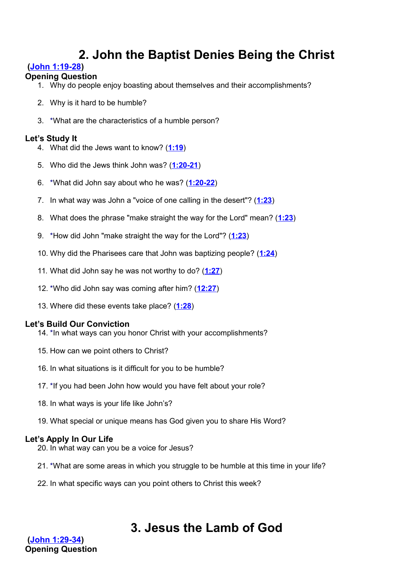# **2. John the Baptist Denies Being the Christ**

# **[\(John 1:19-28\)](http://www.crossbooks.com/verse.asp?ref=Jn+1%3A19-28)**

# **Opening Question**

- 1. Why do people enjoy boasting about themselves and their accomplishments?
- 2. Why is it hard to be humble?
- 3. \*What are the characteristics of a humble person?

# **Let's Study It**

- 4. What did the Jews want to know? (**[1:19](http://www.crossbooks.com/verse.asp?ref=Jn+1%3A19)**)
- 5. Who did the Jews think John was? (**[1:20-21](http://www.crossbooks.com/verse.asp?ref=Jn+1%3A20-21)**)
- 6. \*What did John say about who he was? (**[1:20-22](http://www.crossbooks.com/verse.asp?ref=Jn+1%3A20-22)**)
- 7. In what way was John a "voice of one calling in the desert"? (**[1:23](http://www.crossbooks.com/verse.asp?ref=Jn+1%3A23)**)
- 8. What does the phrase "make straight the way for the Lord" mean? (**[1:23](http://www.crossbooks.com/verse.asp?ref=Jn+1%3A23)**)
- 9. \*How did John "make straight the way for the Lord"? (**[1:23](http://www.crossbooks.com/verse.asp?ref=Jn+1%3A23)**)
- 10. Why did the Pharisees care that John was baptizing people? (**[1:24](http://www.crossbooks.com/verse.asp?ref=Jn+1%3A24)**)
- 11. What did John say he was not worthy to do? (**[1:27](http://www.crossbooks.com/verse.asp?ref=Jn+1%3A27)**)
- 12. \*Who did John say was coming after him? (**[12:27](http://www.crossbooks.com/verse.asp?ref=Jn+12%3A27)**)
- 13. Where did these events take place? (**[1:28](http://www.crossbooks.com/verse.asp?ref=Jn+1%3A28)**)

# **Let's Build Our Conviction**

- 14. \*In what ways can you honor Christ with your accomplishments?
- 15. How can we point others to Christ?
- 16. In what situations is it difficult for you to be humble?
- 17. \*If you had been John how would you have felt about your role?
- 18. In what ways is your life like John's?
- 19. What special or unique means has God given you to share His Word?

# **Let's Apply In Our Life**

- 20. In what way can you be a voice for Jesus?
- 21. \*What are some areas in which you struggle to be humble at this time in your life?
- 22. In what specific ways can you point others to Christ this week?

# **3. Jesus the Lamb of God**

**[\(John 1:29-34\)](http://www.crossbooks.com/verse.asp?ref=Jn+1%3A29-34) Opening Question**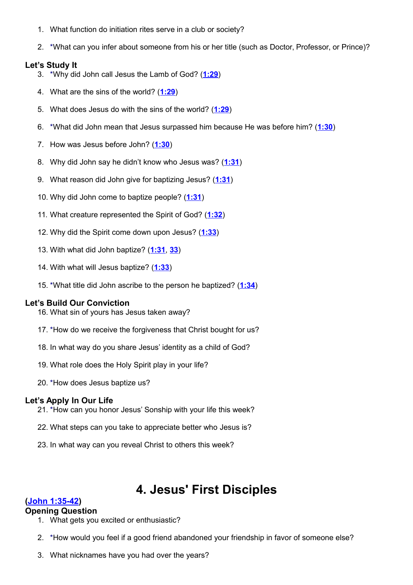- 1. What function do initiation rites serve in a club or society?
- 2. \*What can you infer about someone from his or her title (such as Doctor, Professor, or Prince)?

#### **Let's Study It**

- 3. \*Why did John call Jesus the Lamb of God? (**[1:29](http://www.crossbooks.com/verse.asp?ref=Jn+1%3A29)**)
- 4. What are the sins of the world? (**[1:29](http://www.crossbooks.com/verse.asp?ref=Jn+1%3A29)**)
- 5. What does Jesus do with the sins of the world? (**[1:29](http://www.crossbooks.com/verse.asp?ref=Jn+1%3A29)**)
- 6. \*What did John mean that Jesus surpassed him because He was before him? (**[1:30](http://www.crossbooks.com/verse.asp?ref=Jn+1%3A30)**)
- 7. How was Jesus before John? (**[1:30](http://www.crossbooks.com/verse.asp?ref=Jn+1%3A30)**)
- 8. Why did John say he didn't know who Jesus was? (**[1:31](http://www.crossbooks.com/verse.asp?ref=Jn+1%3A31)**)
- 9. What reason did John give for baptizing Jesus? (**[1:31](http://www.crossbooks.com/verse.asp?ref=Jn+1%3A31)**)
- 10. Why did John come to baptize people? (**[1:31](http://www.crossbooks.com/verse.asp?ref=Jn+1%3A31)**)
- 11. What creature represented the Spirit of God? (**[1:32](http://www.crossbooks.com/verse.asp?ref=Jn+1%3A32)**)
- 12. Why did the Spirit come down upon Jesus? (**[1:33](http://www.crossbooks.com/verse.asp?ref=Jn+1%3A33)**)
- 13. With what did John baptize? (**[1:31](http://www.crossbooks.com/verse.asp?ref=Jn+1%3A31)**, **[33](http://www.crossbooks.com/verse.asp?ref=Jn+1%3A33)**)
- 14. With what will Jesus baptize? (**[1:33](http://www.crossbooks.com/verse.asp?ref=Jn+1%3A33)**)
- 15. \*What title did John ascribe to the person he baptized? (**[1:34](http://www.crossbooks.com/verse.asp?ref=Jn+1%3A34)**)

#### **Let's Build Our Conviction**

- 16. What sin of yours has Jesus taken away?
- 17. \*How do we receive the forgiveness that Christ bought for us?
- 18. In what way do you share Jesus' identity as a child of God?
- 19. What role does the Holy Spirit play in your life?
- 20. \*How does Jesus baptize us?

#### **Let's Apply In Our Life**

- 21. \*How can you honor Jesus' Sonship with your life this week?
- 22. What steps can you take to appreciate better who Jesus is?
- 23. In what way can you reveal Christ to others this week?

# **4. Jesus' First Disciples**

# **[\(John 1:35-42\)](http://www.crossbooks.com/verse.asp?ref=Jn+1%3A35-42)**

#### **Opening Question**

- 1. What gets you excited or enthusiastic?
- 2. \*How would you feel if a good friend abandoned your friendship in favor of someone else?
- 3. What nicknames have you had over the years?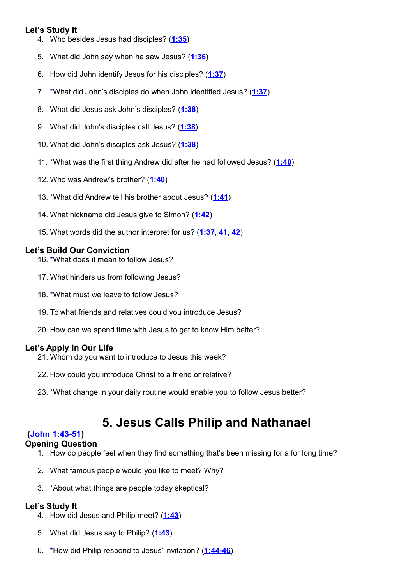# **Let's Study It**

- 4. Who besides Jesus had disciples? (**[1:35](http://www.crossbooks.com/verse.asp?ref=Jn+1%3A35)**)
- 5. What did John say when he saw Jesus? (**[1:36](http://www.crossbooks.com/verse.asp?ref=Jn+1%3A36)**)
- 6. How did John identify Jesus for his disciples? (**[1:37](http://www.crossbooks.com/verse.asp?ref=Jn+1%3A37)**)
- 7. \*What did John's disciples do when John identified Jesus? (**[1:37](http://www.crossbooks.com/verse.asp?ref=Jn+1%3A37)**)
- 8. What did Jesus ask John's disciples? (**[1:38](http://www.crossbooks.com/verse.asp?ref=Jn+1%3A38)**)
- 9. What did John's disciples call Jesus? (**[1:38](http://www.crossbooks.com/verse.asp?ref=Jn+1%3A38)**)
- 10. What did John's disciples ask Jesus? (**[1:38](http://www.crossbooks.com/verse.asp?ref=Jn+1%3A38)**)
- 11. \*What was the first thing Andrew did after he had followed Jesus? (**[1:40](http://www.crossbooks.com/verse.asp?ref=Jn+1%3A40)**)
- 12. Who was Andrew's brother? (**[1:40](http://www.crossbooks.com/verse.asp?ref=Jn+1%3A40)**)
- 13. \*What did Andrew tell his brother about Jesus? (**[1:41](http://www.crossbooks.com/verse.asp?ref=Jn+1%3A41)**)
- 14. What nickname did Jesus give to Simon? (**[1:42](http://www.crossbooks.com/verse.asp?ref=Jn+1%3A42)**)
- 15. What words did the author interpret for us? (**[1:37](http://www.crossbooks.com/verse.asp?ref=Jn+1%3A37)**, **[41, 42](http://www.crossbooks.com/verse.asp?ref=Jn+1%3A41-42)**)

# **Let's Build Our Conviction**

- 16. \*What does it mean to follow Jesus?
- 17. What hinders us from following Jesus?
- 18. \*What must we leave to follow Jesus?
- 19. To what friends and relatives could you introduce Jesus?
- 20. How can we spend time with Jesus to get to know Him better?

# **Let's Apply In Our Life**

- 21. Whom do you want to introduce to Jesus this week?
- 22. How could you introduce Christ to a friend or relative?
- 23. \*What change in your daily routine would enable you to follow Jesus better?

# **5. Jesus Calls Philip and Nathanael**

# **[\(John 1:43-51\)](http://www.crossbooks.com/verse.asp?ref=Jn+1%3A43-51)**

# **Opening Question**

- 1. How do people feel when they find something that's been missing for a for long time?
- 2. What famous people would you like to meet? Why?
- 3. \*About what things are people today skeptical?

- 4. How did Jesus and Philip meet? (**[1:43](http://www.crossbooks.com/verse.asp?ref=Jn+1%3A43)**)
- 5. What did Jesus say to Philip? (**[1:43](http://www.crossbooks.com/verse.asp?ref=Jn+1%3A43)**)
- 6. \*How did Philip respond to Jesus' invitation? (**[1:44-46](http://www.crossbooks.com/verse.asp?ref=Jn+1%3A44-46)**)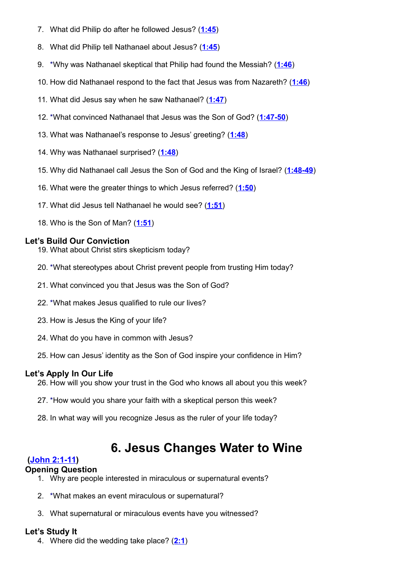- 7. What did Philip do after he followed Jesus? (**[1:45](http://www.crossbooks.com/verse.asp?ref=Jn+1%3A45)**)
- 8. What did Philip tell Nathanael about Jesus? (**[1:45](http://www.crossbooks.com/verse.asp?ref=Jn+1%3A45)**)
- 9. \*Why was Nathanael skeptical that Philip had found the Messiah? (**[1:46](http://www.crossbooks.com/verse.asp?ref=Jn+1%3A46)**)
- 10. How did Nathanael respond to the fact that Jesus was from Nazareth? (**[1:46](http://www.crossbooks.com/verse.asp?ref=Jn+1%3A46)**)
- 11. What did Jesus say when he saw Nathanael? (**[1:47](http://www.crossbooks.com/verse.asp?ref=Jn+1%3A47)**)
- 12. \*What convinced Nathanael that Jesus was the Son of God? (**[1:47-50](http://www.crossbooks.com/verse.asp?ref=Jn+1%3A47-50)**)
- 13. What was Nathanael's response to Jesus' greeting? (**[1:48](http://www.crossbooks.com/verse.asp?ref=Jn+1%3A48)**)
- 14. Why was Nathanael surprised? (**[1:48](http://www.crossbooks.com/verse.asp?ref=Jn+1%3A48)**)
- 15. Why did Nathanael call Jesus the Son of God and the King of Israel? (**[1:48-49](http://www.crossbooks.com/verse.asp?ref=Jn+1%3A48-49)**)
- 16. What were the greater things to which Jesus referred? (**[1:50](http://www.crossbooks.com/verse.asp?ref=Jn+1%3A50)**)
- 17. What did Jesus tell Nathanael he would see? (**[1:51](http://www.crossbooks.com/verse.asp?ref=Jn+1%3A51)**)
- 18. Who is the Son of Man? (**[1:51](http://www.crossbooks.com/verse.asp?ref=Jn+1%3A51)**)

- 19. What about Christ stirs skepticism today?
- 20. \*What stereotypes about Christ prevent people from trusting Him today?
- 21. What convinced you that Jesus was the Son of God?
- 22. \*What makes Jesus qualified to rule our lives?
- 23. How is Jesus the King of your life?
- 24. What do you have in common with Jesus?
- 25. How can Jesus' identity as the Son of God inspire your confidence in Him?

# **Let's Apply In Our Life**

- 26. How will you show your trust in the God who knows all about you this week?
- 27. \*How would you share your faith with a skeptical person this week?
- 28. In what way will you recognize Jesus as the ruler of your life today?

# **6. Jesus Changes Water to Wine**

# **[\(John 2:1-11\)](http://www.crossbooks.com/verse.asp?ref=Jn+2%3A1-11)**

# **Opening Question**

- 1. Why are people interested in miraculous or supernatural events?
- 2. \*What makes an event miraculous or supernatural?
- 3. What supernatural or miraculous events have you witnessed?

# **Let's Study It**

4. Where did the wedding take place? (**[2:1](http://www.crossbooks.com/verse.asp?ref=Jn+2%3A1)**)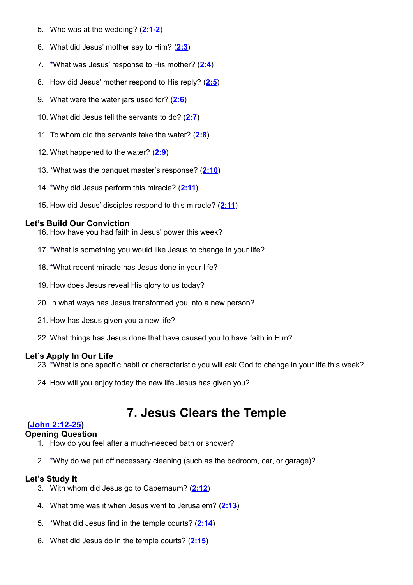- 5. Who was at the wedding? (**[2:1-2](http://www.crossbooks.com/verse.asp?ref=Jn+2%3A1-2)**)
- 6. What did Jesus' mother say to Him? (**[2:3](http://www.crossbooks.com/verse.asp?ref=Jn+2%3A3)**)
- 7. \*What was Jesus' response to His mother? (**[2:4](http://www.crossbooks.com/verse.asp?ref=Jn+2%3A4)**)
- 8. How did Jesus' mother respond to His reply? (**[2:5](http://www.crossbooks.com/verse.asp?ref=Jn+2%3A5)**)
- 9. What were the water jars used for? (**[2:6](http://www.crossbooks.com/verse.asp?ref=Jn+2%3A6)**)
- 10. What did Jesus tell the servants to do? (**[2:7](http://www.crossbooks.com/verse.asp?ref=Jn+2%3A7)**)
- 11. To whom did the servants take the water? (**[2:8](http://www.crossbooks.com/verse.asp?ref=Jn+2%3A8)**)
- 12. What happened to the water? (**[2:9](http://www.crossbooks.com/verse.asp?ref=Jn+2%3A9)**)
- 13. \*What was the banquet master's response? (**[2:10](http://www.crossbooks.com/verse.asp?ref=Jn+2%3A10)**)
- 14. \*Why did Jesus perform this miracle? (**[2:11](http://www.crossbooks.com/verse.asp?ref=Jn+2%3A11)**)
- 15. How did Jesus' disciples respond to this miracle? (**[2:11](http://www.crossbooks.com/verse.asp?ref=Jn+2%3A11)**)

16. How have you had faith in Jesus' power this week?

- 17. \*What is something you would like Jesus to change in your life?
- 18. \*What recent miracle has Jesus done in your life?
- 19. How does Jesus reveal His glory to us today?
- 20. In what ways has Jesus transformed you into a new person?
- 21. How has Jesus given you a new life?
- 22. What things has Jesus done that have caused you to have faith in Him?

# **Let's Apply In Our Life**

- 23. \*What is one specific habit or characteristic you will ask God to change in your life this week?
- 24. How will you enjoy today the new life Jesus has given you?

# **7. Jesus Clears the Temple**

# **[\(John 2:12-25\)](http://www.crossbooks.com/verse.asp?ref=Jn+2%3A12-25)**

# **Opening Question**

- 1. How do you feel after a much-needed bath or shower?
- 2. \*Why do we put off necessary cleaning (such as the bedroom, car, or garage)?

- 3. With whom did Jesus go to Capernaum? (**[2:12](http://www.crossbooks.com/verse.asp?ref=Jn+2%3A12)**)
- 4. What time was it when Jesus went to Jerusalem? (**[2:13](http://www.crossbooks.com/verse.asp?ref=Jn+2%3A13)**)
- 5. \*What did Jesus find in the temple courts? (**[2:14](http://www.crossbooks.com/verse.asp?ref=Jn+2%3A14)**)
- 6. What did Jesus do in the temple courts? (**[2:15](http://www.crossbooks.com/verse.asp?ref=Jn+2%3A15)**)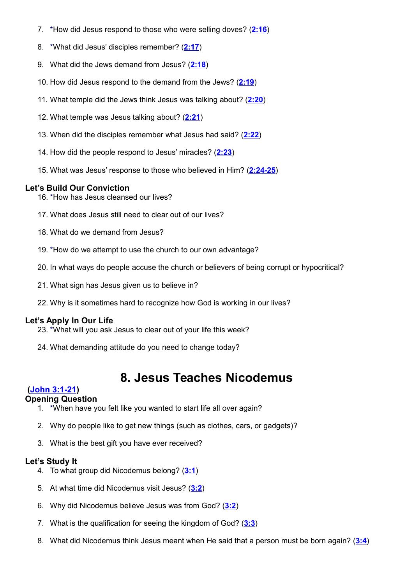- 7. \*How did Jesus respond to those who were selling doves? (**[2:16](http://www.crossbooks.com/verse.asp?ref=Jn+2%3A16)**)
- 8. \*What did Jesus' disciples remember? (**[2:17](http://www.crossbooks.com/verse.asp?ref=Jn+2%3A17)**)
- 9. What did the Jews demand from Jesus? (**[2:18](http://www.crossbooks.com/verse.asp?ref=Jn+2%3A18)**)
- 10. How did Jesus respond to the demand from the Jews? (**[2:19](http://www.crossbooks.com/verse.asp?ref=Jn+2%3A19)**)
- 11. What temple did the Jews think Jesus was talking about? (**[2:20](http://www.crossbooks.com/verse.asp?ref=Jn+2%3A20)**)
- 12. What temple was Jesus talking about? (**[2:21](http://www.crossbooks.com/verse.asp?ref=Jn+2%3A21)**)
- 13. When did the disciples remember what Jesus had said? (**[2:22](http://www.crossbooks.com/verse.asp?ref=Jn+2%3A22)**)
- 14. How did the people respond to Jesus' miracles? (**[2:23](http://www.crossbooks.com/verse.asp?ref=Jn+2%3A23)**)
- 15. What was Jesus' response to those who believed in Him? (**[2:24-25](http://www.crossbooks.com/verse.asp?ref=Jn+2%3A24-25)**)

- 16. \*How has Jesus cleansed our lives?
- 17. What does Jesus still need to clear out of our lives?
- 18. What do we demand from Jesus?
- 19. \*How do we attempt to use the church to our own advantage?
- 20. In what ways do people accuse the church or believers of being corrupt or hypocritical?
- 21. What sign has Jesus given us to believe in?
- 22. Why is it sometimes hard to recognize how God is working in our lives?

# **Let's Apply In Our Life**

- 23. \*What will you ask Jesus to clear out of your life this week?
- 24. What demanding attitude do you need to change today?

# **8. Jesus Teaches Nicodemus**

# **[\(John 3:1-21\)](http://www.crossbooks.com/verse.asp?ref=Jn+3%3A1-21)**

# **Opening Question**

- 1. \*When have you felt like you wanted to start life all over again?
- 2. Why do people like to get new things (such as clothes, cars, or gadgets)?
- 3. What is the best gift you have ever received?

- 4. To what group did Nicodemus belong? (**[3:1](http://www.crossbooks.com/verse.asp?ref=Jn+3%3A1)**)
- 5. At what time did Nicodemus visit Jesus? (**[3:2](http://www.crossbooks.com/verse.asp?ref=Jn+3%3A2)**)
- 6. Why did Nicodemus believe Jesus was from God? (**[3:2](http://www.crossbooks.com/verse.asp?ref=Jn+3%3A2)**)
- 7. What is the qualification for seeing the kingdom of God? (**[3:3](http://www.crossbooks.com/verse.asp?ref=Jn+3%3A3)**)
- 8. What did Nicodemus think Jesus meant when He said that a person must be born again? (**[3:4](http://www.crossbooks.com/verse.asp?ref=Jn+3%3A4)**)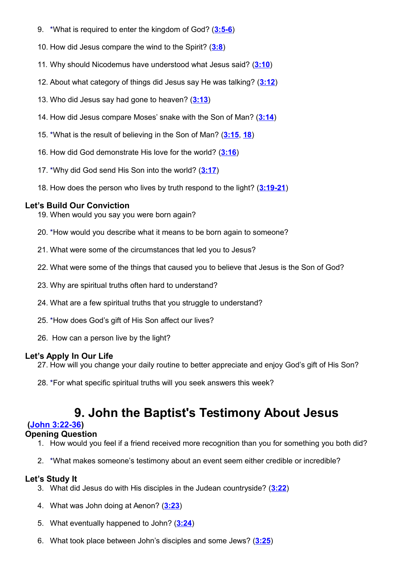- 9. \*What is required to enter the kingdom of God? (**[3:5-6](http://www.crossbooks.com/verse.asp?ref=Jn+3%3A5-6)**)
- 10. How did Jesus compare the wind to the Spirit? (**[3:8](http://www.crossbooks.com/verse.asp?ref=Jn+3%3A8)**)
- 11. Why should Nicodemus have understood what Jesus said? (**[3:10](http://www.crossbooks.com/verse.asp?ref=Jn+3%3A10)**)
- 12. About what category of things did Jesus say He was talking? (**[3:12](http://www.crossbooks.com/verse.asp?ref=Jn+3%3A12)**)
- 13. Who did Jesus say had gone to heaven? (**[3:13](http://www.crossbooks.com/verse.asp?ref=Jn+3%3A13)**)
- 14. How did Jesus compare Moses' snake with the Son of Man? (**[3:14](http://www.crossbooks.com/verse.asp?ref=Jn+3%3A14)**)
- 15. \*What is the result of believing in the Son of Man? (**[3:15](http://www.crossbooks.com/verse.asp?ref=Jn+3%3A15)**, **[18](http://www.crossbooks.com/verse.asp?ref=Jn+3%3A18)**)
- 16. How did God demonstrate His love for the world? (**[3:16](http://www.crossbooks.com/verse.asp?ref=Jn+3%3A16)**)
- 17. \*Why did God send His Son into the world? (**[3:17](http://www.crossbooks.com/verse.asp?ref=Jn+3%3A17)**)
- 18. How does the person who lives by truth respond to the light? (**[3:19-21](http://www.crossbooks.com/verse.asp?ref=Jn+3%3A19-21)**)

- 19. When would you say you were born again?
- 20. \*How would you describe what it means to be born again to someone?
- 21. What were some of the circumstances that led you to Jesus?
- 22. What were some of the things that caused you to believe that Jesus is the Son of God?
- 23. Why are spiritual truths often hard to understand?
- 24. What are a few spiritual truths that you struggle to understand?
- 25. \*How does God's gift of His Son affect our lives?
- 26. How can a person live by the light?

# **Let's Apply In Our Life**

- 27. How will you change your daily routine to better appreciate and enjoy God's gift of His Son?
- 28. \*For what specific spiritual truths will you seek answers this week?

# **9. John the Baptist's Testimony About Jesus**

# **[\(John 3:22-36\)](http://www.crossbooks.com/verse.asp?ref=Jn+3%3A22-36)**

# **Opening Question**

- 1. How would you feel if a friend received more recognition than you for something you both did?
- 2. \*What makes someone's testimony about an event seem either credible or incredible?

- 3. What did Jesus do with His disciples in the Judean countryside? (**[3:22](http://www.crossbooks.com/verse.asp?ref=Jn+3%3A22)**)
- 4. What was John doing at Aenon? (**[3:23](http://www.crossbooks.com/verse.asp?ref=Jn+3%3A23)**)
- 5. What eventually happened to John? (**[3:24](http://www.crossbooks.com/verse.asp?ref=Jn+3%3A24)**)
- 6. What took place between John's disciples and some Jews? (**[3:25](http://www.crossbooks.com/verse.asp?ref=Jn+3%3A25)**)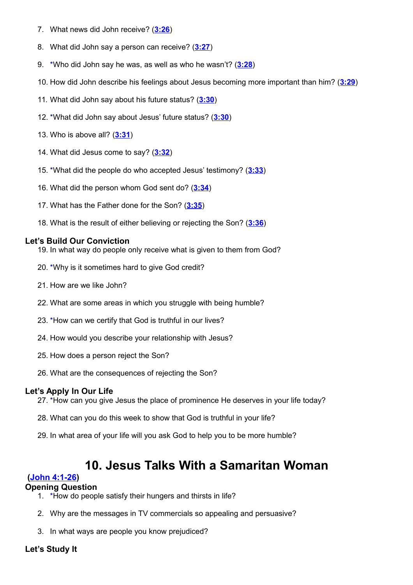- 7. What news did John receive? (**[3:26](http://www.crossbooks.com/verse.asp?ref=Jn+3%3A26)**)
- 8. What did John say a person can receive? (**[3:27](http://www.crossbooks.com/verse.asp?ref=Jn+3%3A27)**)
- 9. \*Who did John say he was, as well as who he wasn't? (**[3:28](http://www.crossbooks.com/verse.asp?ref=Jn+3%3A28)**)
- 10. How did John describe his feelings about Jesus becoming more important than him? (**[3:29](http://www.crossbooks.com/verse.asp?ref=Jn+3%3A29)**)
- 11. What did John say about his future status? (**[3:30](http://www.crossbooks.com/verse.asp?ref=Jn+3%3A30)**)
- 12. \*What did John say about Jesus' future status? (**[3:30](http://www.crossbooks.com/verse.asp?ref=Jn+3%3A30)**)
- 13. Who is above all? (**[3:31](http://www.crossbooks.com/verse.asp?ref=Jn+3%3A31)**)
- 14. What did Jesus come to say? (**[3:32](http://www.crossbooks.com/verse.asp?ref=Jn+3%3A32)**)
- 15. \*What did the people do who accepted Jesus' testimony? (**[3:33](http://www.crossbooks.com/verse.asp?ref=Jn+3%3A33)**)
- 16. What did the person whom God sent do? (**[3:34](http://www.crossbooks.com/verse.asp?ref=Jn+3%3A34)**)
- 17. What has the Father done for the Son? (**[3:35](http://www.crossbooks.com/verse.asp?ref=Jn+3%3A35)**)
- 18. What is the result of either believing or rejecting the Son? (**[3:36](http://www.crossbooks.com/verse.asp?ref=Jn+3%3A36)**)

- 19. In what way do people only receive what is given to them from God?
- 20. \*Why is it sometimes hard to give God credit?
- 21. How are we like John?
- 22. What are some areas in which you struggle with being humble?
- 23. \*How can we certify that God is truthful in our lives?
- 24. How would you describe your relationship with Jesus?
- 25. How does a person reject the Son?
- 26. What are the consequences of rejecting the Son?

#### **Let's Apply In Our Life**

- 27. \*How can you give Jesus the place of prominence He deserves in your life today?
- 28. What can you do this week to show that God is truthful in your life?
- 29. In what area of your life will you ask God to help you to be more humble?

# **10. Jesus Talks With a Samaritan Woman**

#### **[\(John 4:1-26\)](http://www.crossbooks.com/verse.asp?ref=Jn+4%3A1-26)**

#### **Opening Question**

- 1. \*How do people satisfy their hungers and thirsts in life?
- 2. Why are the messages in TV commercials so appealing and persuasive?
- 3. In what ways are people you know prejudiced?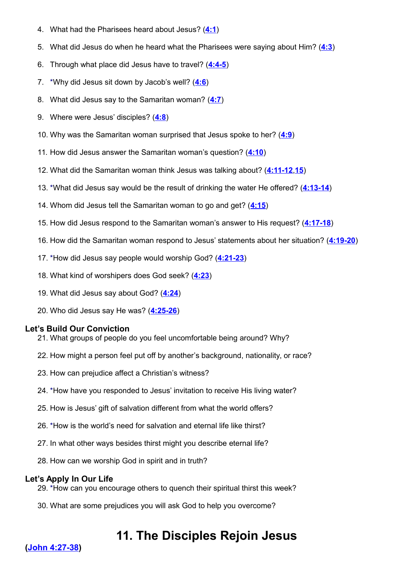- 4. What had the Pharisees heard about Jesus? (**[4:1](http://www.crossbooks.com/verse.asp?ref=Jn+4%3A1)**)
- 5. What did Jesus do when he heard what the Pharisees were saying about Him? (**[4:3](http://www.crossbooks.com/verse.asp?ref=Jn+4%3A3)**)
- 6. Through what place did Jesus have to travel? (**[4:4-5](http://www.crossbooks.com/verse.asp?ref=Jn+4%3A4-5)**)
- 7. \*Why did Jesus sit down by Jacob's well? (**[4:6](http://www.crossbooks.com/verse.asp?ref=Jn+4%3A6)**)
- 8. What did Jesus say to the Samaritan woman? (**[4:7](http://www.crossbooks.com/verse.asp?ref=Jn+4%3A7)**)
- 9. Where were Jesus' disciples? (**[4:8](http://www.crossbooks.com/verse.asp?ref=Jn+4%3A8)**)
- 10. Why was the Samaritan woman surprised that Jesus spoke to her? (**[4:9](http://www.crossbooks.com/verse.asp?ref=Jn+4%3A9)**)
- 11. How did Jesus answer the Samaritan woman's question? (**[4:10](http://www.crossbooks.com/verse.asp?ref=Jn+4%3A10)**)
- 12. What did the Samaritan woman think Jesus was talking about? (**[4:11-12](http://www.crossbooks.com/verse.asp?ref=Jn+4%3A11-12)**,**[15](http://www.crossbooks.com/verse.asp?ref=Jn+4%3A15)**)
- 13. \*What did Jesus say would be the result of drinking the water He offered? (**[4:13-14](http://www.crossbooks.com/verse.asp?ref=Jn+4%3A13-14)**)
- 14. Whom did Jesus tell the Samaritan woman to go and get? (**[4:15](http://www.crossbooks.com/verse.asp?ref=Jn+4%3A15)**)
- 15. How did Jesus respond to the Samaritan woman's answer to His request? (**[4:17-18](http://www.crossbooks.com/verse.asp?ref=Jn+4%3A17-18)**)
- 16. How did the Samaritan woman respond to Jesus' statements about her situation? (**[4:19-20](http://www.crossbooks.com/verse.asp?ref=Jn+4%3A19-20)**)
- 17. \*How did Jesus say people would worship God? (**[4:21-23](http://www.crossbooks.com/verse.asp?ref=Jn+4%3A21-23)**)
- 18. What kind of worshipers does God seek? (**[4:23](http://www.crossbooks.com/verse.asp?ref=Jn+4%3A23)**)
- 19. What did Jesus say about God? (**[4:24](http://www.crossbooks.com/verse.asp?ref=Jn+4%3A24)**)
- 20. Who did Jesus say He was? (**[4:25-26](http://www.crossbooks.com/verse.asp?ref=Jn+4%3A25-26)**)

- 21. What groups of people do you feel uncomfortable being around? Why?
- 22. How might a person feel put off by another's background, nationality, or race?
- 23. How can prejudice affect a Christian's witness?
- 24. \*How have you responded to Jesus' invitation to receive His living water?
- 25. How is Jesus' gift of salvation different from what the world offers?
- 26. \*How is the world's need for salvation and eternal life like thirst?
- 27. In what other ways besides thirst might you describe eternal life?
- 28. How can we worship God in spirit and in truth?

# **Let's Apply In Our Life**

- 29. \*How can you encourage others to quench their spiritual thirst this week?
- 30. What are some prejudices you will ask God to help you overcome?

# **11. The Disciples Rejoin Jesus**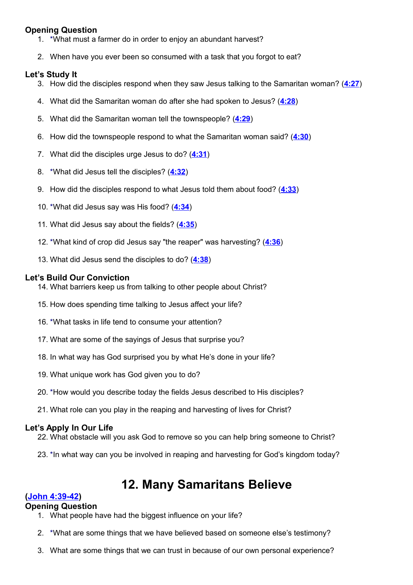# **Opening Question**

- 1. \*What must a farmer do in order to enjoy an abundant harvest?
- 2. When have you ever been so consumed with a task that you forgot to eat?

# **Let's Study It**

- 3. How did the disciples respond when they saw Jesus talking to the Samaritan woman? (**[4:27](http://www.crossbooks.com/verse.asp?ref=Jn+4%3A27)**)
- 4. What did the Samaritan woman do after she had spoken to Jesus? (**[4:28](http://www.crossbooks.com/verse.asp?ref=Jn+4%3A28)**)
- 5. What did the Samaritan woman tell the townspeople? (**[4:29](http://www.crossbooks.com/verse.asp?ref=Jn+4%3A29)**)
- 6. How did the townspeople respond to what the Samaritan woman said? (**[4:30](http://www.crossbooks.com/verse.asp?ref=Jn+4%3A30)**)
- 7. What did the disciples urge Jesus to do? (**[4:31](http://www.crossbooks.com/verse.asp?ref=Jn+4%3A31)**)
- 8. \*What did Jesus tell the disciples? (**[4:32](http://www.crossbooks.com/verse.asp?ref=Jn+4%3A32)**)
- 9. How did the disciples respond to what Jesus told them about food? (**[4:33](http://www.crossbooks.com/verse.asp?ref=Jn+4%3A33)**)
- 10. \*What did Jesus say was His food? (**[4:34](http://www.crossbooks.com/verse.asp?ref=Jn+4%3A34)**)
- 11. What did Jesus say about the fields? (**[4:35](http://www.crossbooks.com/verse.asp?ref=Jn+4%3A35)**)
- 12. \*What kind of crop did Jesus say "the reaper" was harvesting? (**[4:36](http://www.crossbooks.com/verse.asp?ref=Jn+4%3A36)**)
- 13. What did Jesus send the disciples to do? (**[4:38](http://www.crossbooks.com/verse.asp?ref=Jn+4%3A38)**)

# **Let's Build Our Conviction**

- 14. What barriers keep us from talking to other people about Christ?
- 15. How does spending time talking to Jesus affect your life?
- 16. \*What tasks in life tend to consume your attention?
- 17. What are some of the sayings of Jesus that surprise you?
- 18. In what way has God surprised you by what He's done in your life?
- 19. What unique work has God given you to do?
- 20. \*How would you describe today the fields Jesus described to His disciples?
- 21. What role can you play in the reaping and harvesting of lives for Christ?

# **Let's Apply In Our Life**

- 22. What obstacle will you ask God to remove so you can help bring someone to Christ?
- 23. \*In what way can you be involved in reaping and harvesting for God's kingdom today?

# **12. Many Samaritans Believe**

# **[\(John 4:39-42\)](http://www.crossbooks.com/verse.asp?ref=Jn+4%3A39-42)**

# **Opening Question**

- 1. What people have had the biggest influence on your life?
- 2. \*What are some things that we have believed based on someone else's testimony?
- 3. What are some things that we can trust in because of our own personal experience?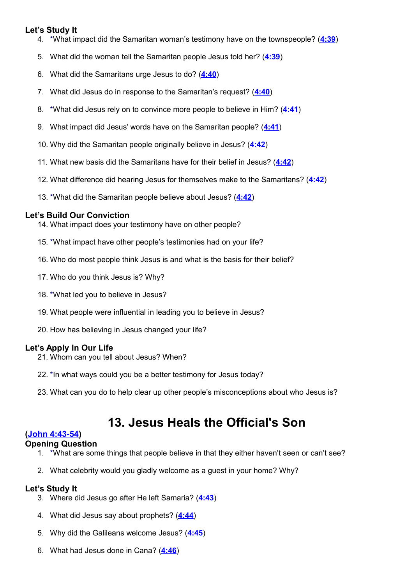# **Let's Study It**

- 4. \*What impact did the Samaritan woman's testimony have on the townspeople? (**[4:39](http://www.crossbooks.com/verse.asp?ref=Jn+4%3A39)**)
- 5. What did the woman tell the Samaritan people Jesus told her? (**[4:39](http://www.crossbooks.com/verse.asp?ref=Jn+4%3A39)**)
- 6. What did the Samaritans urge Jesus to do? (**[4:40](http://www.crossbooks.com/verse.asp?ref=Jn+4%3A40)**)
- 7. What did Jesus do in response to the Samaritan's request? (**[4:40](http://www.crossbooks.com/verse.asp?ref=Jn+4%3A40)**)
- 8. \*What did Jesus rely on to convince more people to believe in Him? (**[4:41](http://www.crossbooks.com/verse.asp?ref=Jn+4%3A41)**)
- 9. What impact did Jesus' words have on the Samaritan people? (**[4:41](http://www.crossbooks.com/verse.asp?ref=Jn+4%3A41)**)
- 10. Why did the Samaritan people originally believe in Jesus? (**[4:42](http://www.crossbooks.com/verse.asp?ref=Jn+4%3A42)**)
- 11. What new basis did the Samaritans have for their belief in Jesus? (**[4:42](http://www.crossbooks.com/verse.asp?ref=Jn+4%3A42)**)
- 12. What difference did hearing Jesus for themselves make to the Samaritans? (**[4:42](http://www.crossbooks.com/verse.asp?ref=Jn+4%3A42)**)
- 13. \*What did the Samaritan people believe about Jesus? (**[4:42](http://www.crossbooks.com/verse.asp?ref=Jn+4%3A42)**)

# **Let's Build Our Conviction**

- 14. What impact does your testimony have on other people?
- 15. \*What impact have other people's testimonies had on your life?
- 16. Who do most people think Jesus is and what is the basis for their belief?
- 17. Who do you think Jesus is? Why?
- 18. \*What led you to believe in Jesus?
- 19. What people were influential in leading you to believe in Jesus?
- 20. How has believing in Jesus changed your life?

# **Let's Apply In Our Life**

- 21. Whom can you tell about Jesus? When?
- 22. \*In what ways could you be a better testimony for Jesus today?
- 23. What can you do to help clear up other people's misconceptions about who Jesus is?

# **13. Jesus Heals the Official's Son**

# **[\(John 4:43-54\)](http://www.crossbooks.com/verse.asp?ref=Jn+4%3A43-54)**

# **Opening Question**

- 1. \*What are some things that people believe in that they either haven't seen or can't see?
- 2. What celebrity would you gladly welcome as a guest in your home? Why?

- 3. Where did Jesus go after He left Samaria? (**[4:43](http://www.crossbooks.com/verse.asp?ref=Jn+4%3A43)**)
- 4. What did Jesus say about prophets? (**[4:44](http://www.crossbooks.com/verse.asp?ref=Jn+4%3A44)**)
- 5. Why did the Galileans welcome Jesus? (**[4:45](http://www.crossbooks.com/verse.asp?ref=Jn+4%3A45)**)
- 6. What had Jesus done in Cana? (**[4:46](http://www.crossbooks.com/verse.asp?ref=Jn+4%3A46)**)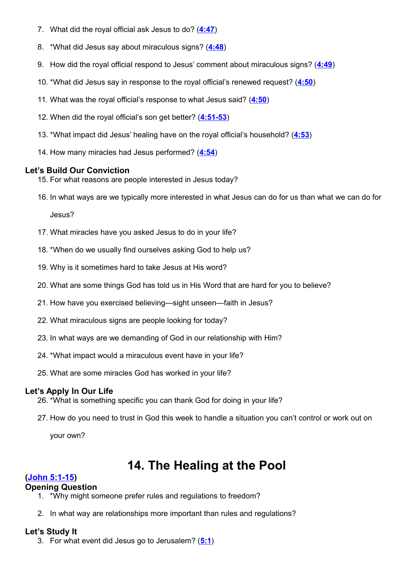- 7. What did the royal official ask Jesus to do? (**[4:47](http://www.crossbooks.com/verse.asp?ref=Jn+4%3A47)**)
- 8. \*What did Jesus say about miraculous signs? (**[4:48](http://www.crossbooks.com/verse.asp?ref=Jn+4%3A48)**)
- 9. How did the royal official respond to Jesus' comment about miraculous signs? (**[4:49](http://www.crossbooks.com/verse.asp?ref=Jn+4%3A49)**)
- 10. \*What did Jesus say in response to the royal official's renewed request? (**[4:50](http://www.crossbooks.com/verse.asp?ref=Jn+4%3A50)**)
- 11. What was the royal official's response to what Jesus said? (**[4:50](http://www.crossbooks.com/verse.asp?ref=Jn+4%3A50)**)
- 12. When did the royal official's son get better? (**[4:51-53](http://www.crossbooks.com/verse.asp?ref=Jn+4%3A51-53)**)
- 13. \*What impact did Jesus' healing have on the royal official's household? (**[4:53](http://www.crossbooks.com/verse.asp?ref=Jn+4%3A53)**)
- 14. How many miracles had Jesus performed? (**[4:54](http://www.crossbooks.com/verse.asp?ref=Jn+4%3A54)**)

- 15. For what reasons are people interested in Jesus today?
- 16. In what ways are we typically more interested in what Jesus can do for us than what we can do for

Jesus?

- 17. What miracles have you asked Jesus to do in your life?
- 18. \*When do we usually find ourselves asking God to help us?
- 19. Why is it sometimes hard to take Jesus at His word?
- 20. What are some things God has told us in His Word that are hard for you to believe?
- 21. How have you exercised believing—sight unseen—faith in Jesus?
- 22. What miraculous signs are people looking for today?
- 23. In what ways are we demanding of God in our relationship with Him?
- 24. \*What impact would a miraculous event have in your life?
- 25. What are some miracles God has worked in your life?

# **Let's Apply In Our Life**

- 26. \*What is something specific you can thank God for doing in your life?
- 27. How do you need to trust in God this week to handle a situation you can't control or work out on

your own?

# **14. The Healing at the Pool**

# **[\(John 5:1-15\)](http://www.crossbooks.com/verse.asp?ref=Jn+5%3A1-15)**

# **Opening Question**

- 1. \*Why might someone prefer rules and regulations to freedom?
- 2. In what way are relationships more important than rules and regulations?

# **Let's Study It**

3. For what event did Jesus go to Jerusalem? (**[5:1](http://www.crossbooks.com/verse.asp?ref=Jn+5%3A1)**)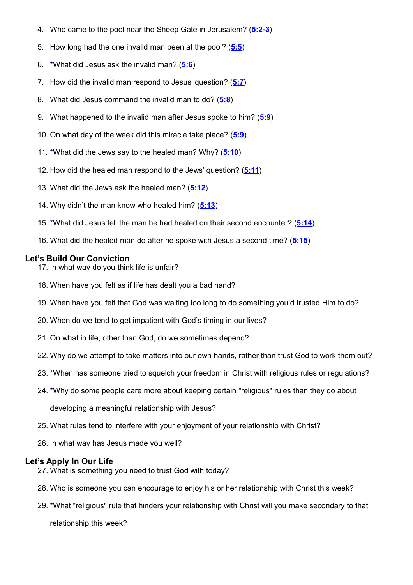- 4. Who came to the pool near the Sheep Gate in Jerusalem? (**[5:2-3](http://www.crossbooks.com/verse.asp?ref=Jn+5%3A2-3)**)
- 5. How long had the one invalid man been at the pool? (**[5:5](http://www.crossbooks.com/verse.asp?ref=Jn+5%3A5)**)
- 6. \*What did Jesus ask the invalid man? (**[5:6](http://www.crossbooks.com/verse.asp?ref=Jn+5%3A6)**)
- 7. How did the invalid man respond to Jesus' question? (**[5:7](http://www.crossbooks.com/verse.asp?ref=Jn+5%3A7)**)
- 8. What did Jesus command the invalid man to do? (**[5:8](http://www.crossbooks.com/verse.asp?ref=Jn+5%3A8)**)
- 9. What happened to the invalid man after Jesus spoke to him? (**[5:9](http://www.crossbooks.com/verse.asp?ref=Jn+5%3A9)**)
- 10. On what day of the week did this miracle take place? (**[5:9](http://www.crossbooks.com/verse.asp?ref=Jn+5%3A9)**)
- 11. \*What did the Jews say to the healed man? Why? (**[5:10](http://www.crossbooks.com/verse.asp?ref=Jn+5%3A10)**)
- 12. How did the healed man respond to the Jews' question? (**[5:11](http://www.crossbooks.com/verse.asp?ref=Jn+5%3A11)**)
- 13. What did the Jews ask the healed man? (**[5:12](http://www.crossbooks.com/verse.asp?ref=Jn+5%3A12)**)
- 14. Why didn't the man know who healed him? (**[5:13](http://www.crossbooks.com/verse.asp?ref=Jn+5%3A13)**)
- 15. \*What did Jesus tell the man he had healed on their second encounter? (**[5:14](http://www.crossbooks.com/verse.asp?ref=Jn+5%3A14)**)
- 16. What did the healed man do after he spoke with Jesus a second time? (**[5:15](http://www.crossbooks.com/verse.asp?ref=Jn+5%3A15)**)

- 17. In what way do you think life is unfair?
- 18. When have you felt as if life has dealt you a bad hand?
- 19. When have you felt that God was waiting too long to do something you'd trusted Him to do?
- 20. When do we tend to get impatient with God's timing in our lives?
- 21. On what in life, other than God, do we sometimes depend?
- 22. Why do we attempt to take matters into our own hands, rather than trust God to work them out?
- 23. \*When has someone tried to squelch your freedom in Christ with religious rules or regulations?
- 24. \*Why do some people care more about keeping certain "religious" rules than they do about
	- developing a meaningful relationship with Jesus?
- 25. What rules tend to interfere with your enjoyment of your relationship with Christ?
- 26. In what way has Jesus made you well?

# **Let's Apply In Our Life**

- 27. What is something you need to trust God with today?
- 28. Who is someone you can encourage to enjoy his or her relationship with Christ this week?
- 29. \*What "religious" rule that hinders your relationship with Christ will you make secondary to that

relationship this week?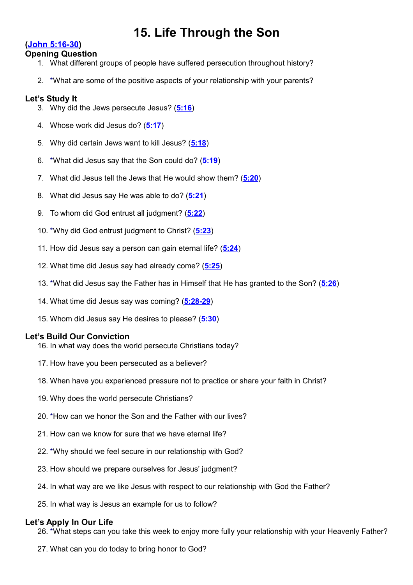# **15. Life Through the Son**

# **[\(John 5:16-30\)](http://www.crossbooks.com/verse.asp?ref=Jn+5%3A16-30)**

#### **Opening Question**

- 1. What different groups of people have suffered persecution throughout history?
- 2. \*What are some of the positive aspects of your relationship with your parents?

# **Let's Study It**

- 3. Why did the Jews persecute Jesus? (**[5:16](http://www.crossbooks.com/verse.asp?ref=Jn+5%3A16)**)
- 4. Whose work did Jesus do? (**[5:17](http://www.crossbooks.com/verse.asp?ref=Jn+5%3A17)**)
- 5. Why did certain Jews want to kill Jesus? (**[5:18](http://www.crossbooks.com/verse.asp?ref=Jn+5%3A18)**)
- 6. \*What did Jesus say that the Son could do? (**[5:19](http://www.crossbooks.com/verse.asp?ref=Jn+5%3A19)**)
- 7. What did Jesus tell the Jews that He would show them? (**[5:20](http://www.crossbooks.com/verse.asp?ref=Jn+5%3A20)**)
- 8. What did Jesus say He was able to do? (**[5:21](http://www.crossbooks.com/verse.asp?ref=Jn+5%3A21)**)
- 9. To whom did God entrust all judgment? (**[5:22](http://www.crossbooks.com/verse.asp?ref=Jn+5%3A22)**)
- 10. \*Why did God entrust judgment to Christ? (**[5:23](http://www.crossbooks.com/verse.asp?ref=Jn+5%3A23)**)
- 11. How did Jesus say a person can gain eternal life? (**[5:24](http://www.crossbooks.com/verse.asp?ref=Jn+5%3A24)**)
- 12. What time did Jesus say had already come? (**[5:25](http://www.crossbooks.com/verse.asp?ref=Jn+5%3A25)**)
- 13. \*What did Jesus say the Father has in Himself that He has granted to the Son? (**[5:26](http://www.crossbooks.com/verse.asp?ref=Jn+5%3A26)**)
- 14. What time did Jesus say was coming? (**[5:28-29](http://www.crossbooks.com/verse.asp?ref=Jn+5%3A28-29)**)
- 15. Whom did Jesus say He desires to please? (**[5:30](http://www.crossbooks.com/verse.asp?ref=Jn+5%3A30)**)

# **Let's Build Our Conviction**

- 16. In what way does the world persecute Christians today?
- 17. How have you been persecuted as a believer?
- 18. When have you experienced pressure not to practice or share your faith in Christ?
- 19. Why does the world persecute Christians?
- 20. \*How can we honor the Son and the Father with our lives?
- 21. How can we know for sure that we have eternal life?
- 22. \*Why should we feel secure in our relationship with God?
- 23. How should we prepare ourselves for Jesus' judgment?
- 24. In what way are we like Jesus with respect to our relationship with God the Father?
- 25. In what way is Jesus an example for us to follow?

# **Let's Apply In Our Life**

26. \*What steps can you take this week to enjoy more fully your relationship with your Heavenly Father?

27. What can you do today to bring honor to God?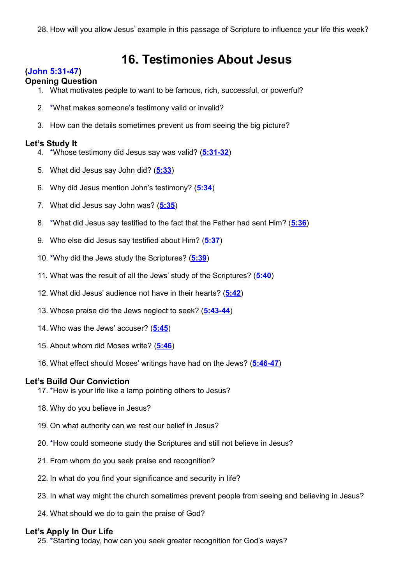# **16. Testimonies About Jesus**

# **[\(John 5:31-47\)](http://www.crossbooks.com/verse.asp?ref=Jn+5%3A31-47)**

#### **Opening Question**

- 1. What motivates people to want to be famous, rich, successful, or powerful?
- 2. \*What makes someone's testimony valid or invalid?
- 3. How can the details sometimes prevent us from seeing the big picture?

# **Let's Study It**

- 4. \*Whose testimony did Jesus say was valid? (**[5:31-32](http://www.crossbooks.com/verse.asp?ref=Jn+5%3A31-32)**)
- 5. What did Jesus say John did? (**[5:33](http://www.crossbooks.com/verse.asp?ref=Jn+5%3A33)**)
- 6. Why did Jesus mention John's testimony? (**[5:34](http://www.crossbooks.com/verse.asp?ref=Jn+5%3A34)**)
- 7. What did Jesus say John was? (**[5:35](http://www.crossbooks.com/verse.asp?ref=Jn+5%3A35)**)
- 8. \*What did Jesus say testified to the fact that the Father had sent Him? (**[5:36](http://www.crossbooks.com/verse.asp?ref=Jn+5%3A36)**)
- 9. Who else did Jesus say testified about Him? (**[5:37](http://www.crossbooks.com/verse.asp?ref=Jn+5%3A37)**)
- 10. \*Why did the Jews study the Scriptures? (**[5:39](http://www.crossbooks.com/verse.asp?ref=Jn+5%3A39)**)
- 11. What was the result of all the Jews' study of the Scriptures? (**[5:40](http://www.crossbooks.com/verse.asp?ref=Jn+5%3A40)**)
- 12. What did Jesus' audience not have in their hearts? (**[5:42](http://www.crossbooks.com/verse.asp?ref=Jn+5%3A42)**)
- 13. Whose praise did the Jews neglect to seek? (**[5:43-44](http://www.crossbooks.com/verse.asp?ref=Jn+5%3A43-44)**)
- 14. Who was the Jews' accuser? (**[5:45](http://www.crossbooks.com/verse.asp?ref=Jn+5%3A45)**)
- 15. About whom did Moses write? (**[5:46](http://www.crossbooks.com/verse.asp?ref=Jn+5%3A46)**)
- 16. What effect should Moses' writings have had on the Jews? (**[5:46-47](http://www.crossbooks.com/verse.asp?ref=Jn+5%3A46-47)**)

# **Let's Build Our Conviction**

- 17. \*How is your life like a lamp pointing others to Jesus?
- 18. Why do you believe in Jesus?
- 19. On what authority can we rest our belief in Jesus?
- 20. \*How could someone study the Scriptures and still not believe in Jesus?
- 21. From whom do you seek praise and recognition?
- 22. In what do you find your significance and security in life?
- 23. In what way might the church sometimes prevent people from seeing and believing in Jesus?
- 24. What should we do to gain the praise of God?

# **Let's Apply In Our Life**

25. \*Starting today, how can you seek greater recognition for God's ways?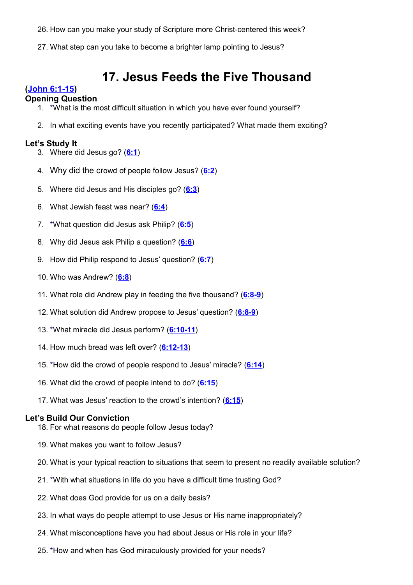- 26. How can you make your study of Scripture more Christ-centered this week?
- 27. What step can you take to become a brighter lamp pointing to Jesus?

# **17. Jesus Feeds the Five Thousand**

# **[\(John 6:1-15\)](http://www.crossbooks.com/verse.asp?ref=Jn+6%3A1-15)**

#### **Opening Question**

- 1. \*What is the most difficult situation in which you have ever found yourself?
- 2. In what exciting events have you recently participated? What made them exciting?

#### **Let's Study It**

- 3. Where did Jesus go? (**[6:1](http://www.crossbooks.com/verse.asp?ref=Jn+6%3A1)**)
- 4. Why did the crowd of people follow Jesus? (**[6:2](http://www.crossbooks.com/verse.asp?ref=Jn+6%3A2)**)
- 5. Where did Jesus and His disciples go? (**[6:3](http://www.crossbooks.com/verse.asp?ref=Jn+6%3A3)**)
- 6. What Jewish feast was near? (**[6:4](http://www.crossbooks.com/verse.asp?ref=Jn+6%3A4)**)
- 7. \*What question did Jesus ask Philip? (**[6:5](http://www.crossbooks.com/verse.asp?ref=Jn+6%3A5)**)
- 8. Why did Jesus ask Philip a question? (**[6:6](http://www.crossbooks.com/verse.asp?ref=Jn+6%3A6)**)
- 9. How did Philip respond to Jesus' question? (**[6:7](http://www.crossbooks.com/verse.asp?ref=Jn+6%3A7)**)
- 10. Who was Andrew? (**[6:8](http://www.crossbooks.com/verse.asp?ref=Jn+6%3A8)**)
- 11. What role did Andrew play in feeding the five thousand? (**[6:8-9](http://www.crossbooks.com/verse.asp?ref=Jn+6%3A8-9)**)
- 12. What solution did Andrew propose to Jesus' question? (**[6:8-9](http://www.crossbooks.com/verse.asp?ref=Jn+6%3A8-9)**)
- 13. \*What miracle did Jesus perform? (**[6:10-11](http://www.crossbooks.com/verse.asp?ref=Jn+6%3A10-11)**)
- 14. How much bread was left over? (**[6:12-13](http://www.crossbooks.com/verse.asp?ref=Jn+6%3A12-13)**)
- 15. \*How did the crowd of people respond to Jesus' miracle? (**[6:14](http://www.crossbooks.com/verse.asp?ref=Jn+6%3A14)**)
- 16. What did the crowd of people intend to do? (**[6:15](http://www.crossbooks.com/verse.asp?ref=Jn+6%3A15)**)
- 17. What was Jesus' reaction to the crowd's intention? (**[6:15](http://www.crossbooks.com/verse.asp?ref=Jn+6%3A15)**)

- 18. For what reasons do people follow Jesus today?
- 19. What makes you want to follow Jesus?
- 20. What is your typical reaction to situations that seem to present no readily available solution?
- 21. \*With what situations in life do you have a difficult time trusting God?
- 22. What does God provide for us on a daily basis?
- 23. In what ways do people attempt to use Jesus or His name inappropriately?
- 24. What misconceptions have you had about Jesus or His role in your life?
- 25. \*How and when has God miraculously provided for your needs?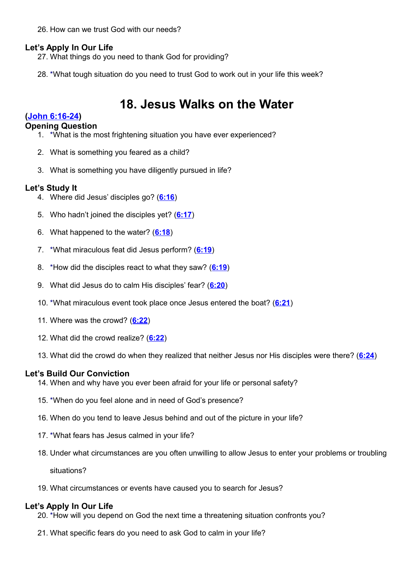26. How can we trust God with our needs?

# **Let's Apply In Our Life**

- 27. What things do you need to thank God for providing?
- 28. \*What tough situation do you need to trust God to work out in your life this week?

# **18. Jesus Walks on the Water**

# **[\(John 6:16-24\)](http://www.crossbooks.com/verse.asp?ref=Jn+6%3A16-24)**

### **Opening Question**

- 1. \*What is the most frightening situation you have ever experienced?
- 2. What is something you feared as a child?
- 3. What is something you have diligently pursued in life?

# **Let's Study It**

- 4. Where did Jesus' disciples go? (**[6:16](http://www.crossbooks.com/verse.asp?ref=Jn+6%3A16)**)
- 5. Who hadn't joined the disciples yet? (**[6:17](http://www.crossbooks.com/verse.asp?ref=Jn+6%3A17)**)
- 6. What happened to the water? (**[6:18](http://www.crossbooks.com/verse.asp?ref=Jn+6%3A18)**)
- 7. \*What miraculous feat did Jesus perform? (**[6:19](http://www.crossbooks.com/verse.asp?ref=Jn+6%3A19)**)
- 8. \*How did the disciples react to what they saw? (**[6:19](http://www.crossbooks.com/verse.asp?ref=Jn+6%3A19)**)
- 9. What did Jesus do to calm His disciples' fear? (**[6:20](http://www.crossbooks.com/verse.asp?ref=Jn+6%3A20)**)
- 10. \*What miraculous event took place once Jesus entered the boat? (**[6:21](http://www.crossbooks.com/verse.asp?ref=Jn+6%3A21)**)
- 11. Where was the crowd? (**[6:22](http://www.crossbooks.com/verse.asp?ref=Jn+6%3A22)**)
- 12. What did the crowd realize? (**[6:22](http://www.crossbooks.com/verse.asp?ref=Jn+6%3A22)**)
- 13. What did the crowd do when they realized that neither Jesus nor His disciples were there? (**[6:24](http://www.crossbooks.com/verse.asp?ref=Jn+6%3A24)**)

# **Let's Build Our Conviction**

- 14. When and why have you ever been afraid for your life or personal safety?
- 15. \*When do you feel alone and in need of God's presence?
- 16. When do you tend to leave Jesus behind and out of the picture in your life?
- 17. \*What fears has Jesus calmed in your life?
- 18. Under what circumstances are you often unwilling to allow Jesus to enter your problems or troubling

situations?

19. What circumstances or events have caused you to search for Jesus?

# **Let's Apply In Our Life**

- 20. \*How will you depend on God the next time a threatening situation confronts you?
- 21. What specific fears do you need to ask God to calm in your life?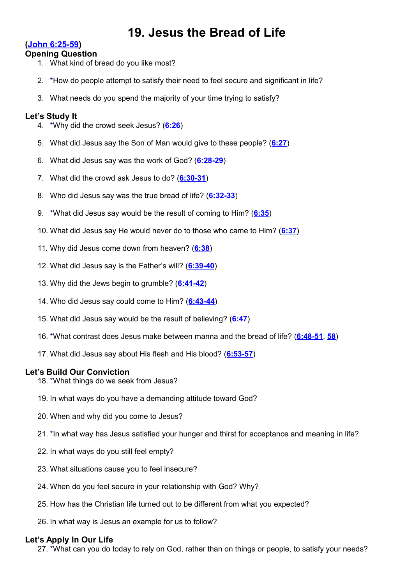# **19. Jesus the Bread of Life**

# **[\(John 6:25-59\)](http://www.crossbooks.com/verse.asp?ref=Jn+6%3A25-59)**

#### **Opening Question**

- 1. What kind of bread do you like most?
- 2. \*How do people attempt to satisfy their need to feel secure and significant in life?
- 3. What needs do you spend the majority of your time trying to satisfy?

# **Let's Study It**

- 4. \*Why did the crowd seek Jesus? (**[6:26](http://www.crossbooks.com/verse.asp?ref=Jn+6%3A26)**)
- 5. What did Jesus say the Son of Man would give to these people? (**[6:27](http://www.crossbooks.com/verse.asp?ref=Jn+6%3A27)**)
- 6. What did Jesus say was the work of God? (**[6:28-29](http://www.crossbooks.com/verse.asp?ref=Jn+6%3A28-29)**)
- 7. What did the crowd ask Jesus to do? (**[6:30-31](http://www.crossbooks.com/verse.asp?ref=Jn+6%3A30-31)**)
- 8. Who did Jesus say was the true bread of life? (**[6:32-33](http://www.crossbooks.com/verse.asp?ref=Jn+6%3A32-33)**)
- 9. \*What did Jesus say would be the result of coming to Him? (**[6:35](http://www.crossbooks.com/verse.asp?ref=Jn+6%3A35)**)
- 10. What did Jesus say He would never do to those who came to Him? (**[6:37](http://www.crossbooks.com/verse.asp?ref=Jn+6%3A37)**)
- 11. Why did Jesus come down from heaven? (**[6:38](http://www.crossbooks.com/verse.asp?ref=Jn+6%3A38)**)
- 12. What did Jesus say is the Father's will? (**[6:39-40](http://www.crossbooks.com/verse.asp?ref=Jn+6%3A39-40)**)
- 13. Why did the Jews begin to grumble? (**[6:41-42](http://www.crossbooks.com/verse.asp?ref=Jn+6%3A41-42)**)
- 14. Who did Jesus say could come to Him? (**[6:43-44](http://www.crossbooks.com/verse.asp?ref=Jn+6%3A43-44)**)
- 15. What did Jesus say would be the result of believing? (**[6:47](http://www.crossbooks.com/verse.asp?ref=Jn+6%3A47)**)
- 16. \*What contrast does Jesus make between manna and the bread of life? (**[6:48-51](http://www.crossbooks.com/verse.asp?ref=Jn+6%3A48-51)**, **[58](http://www.crossbooks.com/verse.asp?ref=Jn+6%3A58)**)
- 17. What did Jesus say about His flesh and His blood? (**[6:53-57](http://www.crossbooks.com/verse.asp?ref=Jn+6%3A53-57)**)

# **Let's Build Our Conviction**

- 18. \*What things do we seek from Jesus?
- 19. In what ways do you have a demanding attitude toward God?
- 20. When and why did you come to Jesus?
- 21. \*In what way has Jesus satisfied your hunger and thirst for acceptance and meaning in life?
- 22. In what ways do you still feel empty?
- 23. What situations cause you to feel insecure?
- 24. When do you feel secure in your relationship with God? Why?
- 25. How has the Christian life turned out to be different from what you expected?
- 26. In what way is Jesus an example for us to follow?

# **Let's Apply In Our Life**

27. \*What can you do today to rely on God, rather than on things or people, to satisfy your needs?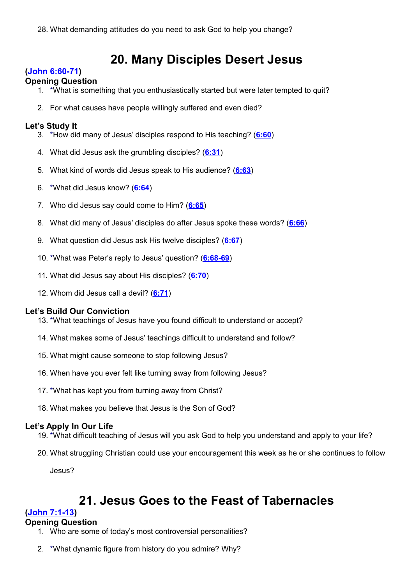# **20. Many Disciples Desert Jesus**

# **[\(John 6:60-71\)](http://www.crossbooks.com/verse.asp?ref=Jn+6%3A60-71)**

#### **Opening Question**

- 1. \*What is something that you enthusiastically started but were later tempted to quit?
- 2. For what causes have people willingly suffered and even died?

### **Let's Study It**

- 3. \*How did many of Jesus' disciples respond to His teaching? (**[6:60](http://www.crossbooks.com/verse.asp?ref=Jn+6%3A60)**)
- 4. What did Jesus ask the grumbling disciples? (**[6:31](http://www.crossbooks.com/verse.asp?ref=Jn+6%3A31)**)
- 5. What kind of words did Jesus speak to His audience? (**[6:63](http://www.crossbooks.com/verse.asp?ref=Jn+6%3A63)**)
- 6. \*What did Jesus know? (**[6:64](http://www.crossbooks.com/verse.asp?ref=Jn+6%3A64)**)
- 7. Who did Jesus say could come to Him? (**[6:65](http://www.crossbooks.com/verse.asp?ref=Jn+6%3A65)**)
- 8. What did many of Jesus' disciples do after Jesus spoke these words? (**[6:66](http://www.crossbooks.com/verse.asp?ref=Jn+6%3A66)**)
- 9. What question did Jesus ask His twelve disciples? (**[6:67](http://www.crossbooks.com/verse.asp?ref=Jn+6%3A67)**)
- 10. \*What was Peter's reply to Jesus' question? (**[6:68-69](http://www.crossbooks.com/verse.asp?ref=Jn+6%3A68-69)**)
- 11. What did Jesus say about His disciples? (**[6:70](http://www.crossbooks.com/verse.asp?ref=Jn+6%3A70)**)
- 12. Whom did Jesus call a devil? (**[6:71](http://www.crossbooks.com/verse.asp?ref=Jn+6%3A71)**)

# **Let's Build Our Conviction**

- 13. \*What teachings of Jesus have you found difficult to understand or accept?
- 14. What makes some of Jesus' teachings difficult to understand and follow?
- 15. What might cause someone to stop following Jesus?
- 16. When have you ever felt like turning away from following Jesus?
- 17. \*What has kept you from turning away from Christ?
- 18. What makes you believe that Jesus is the Son of God?

# **Let's Apply In Our Life**

- 19. \*What difficult teaching of Jesus will you ask God to help you understand and apply to your life?
- 20. What struggling Christian could use your encouragement this week as he or she continues to follow

Jesus?

# **21. Jesus Goes to the Feast of Tabernacles**

# **[\(John 7:1-13\)](http://www.crossbooks.com/verse.asp?ref=Jn+7%3A1-13)**

#### **Opening Question**

- 1. Who are some of today's most controversial personalities?
- 2. \*What dynamic figure from history do you admire? Why?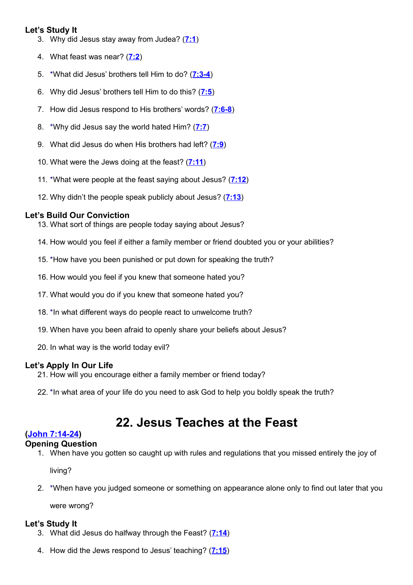# **Let's Study It**

- 3. Why did Jesus stay away from Judea? (**[7:1](http://www.crossbooks.com/verse.asp?ref=Jn+7%3A1)**)
- 4. What feast was near? (**[7:2](http://www.crossbooks.com/verse.asp?ref=Jn+7%3A2)**)
- 5. \*What did Jesus' brothers tell Him to do? (**[7:3-4](http://www.crossbooks.com/verse.asp?ref=Jn+7%3A3-4)**)
- 6. Why did Jesus' brothers tell Him to do this? (**[7:5](http://www.crossbooks.com/verse.asp?ref=Jn+7%3A5)**)
- 7. How did Jesus respond to His brothers' words? (**[7:6-8](http://www.crossbooks.com/verse.asp?ref=Jn+7%3A6-8)**)
- 8. \*Why did Jesus say the world hated Him? (**[7:7](http://www.crossbooks.com/verse.asp?ref=Jn+7%3A7)**)
- 9. What did Jesus do when His brothers had left? (**[7:9](http://www.crossbooks.com/verse.asp?ref=Jn+7%3A9)**)
- 10. What were the Jews doing at the feast? (**[7:11](http://www.crossbooks.com/verse.asp?ref=Jn+7%3A11)**)
- 11. \*What were people at the feast saying about Jesus? (**[7:12](http://www.crossbooks.com/verse.asp?ref=Jn+7%3A12)**)
- 12. Why didn't the people speak publicly about Jesus? (**[7:13](http://www.crossbooks.com/verse.asp?ref=Jn+7%3A13)**)

# **Let's Build Our Conviction**

- 13. What sort of things are people today saying about Jesus?
- 14. How would you feel if either a family member or friend doubted you or your abilities?
- 15. \*How have you been punished or put down for speaking the truth?
- 16. How would you feel if you knew that someone hated you?
- 17. What would you do if you knew that someone hated you?
- 18. \*In what different ways do people react to unwelcome truth?
- 19. When have you been afraid to openly share your beliefs about Jesus?
- 20. In what way is the world today evil?

# **Let's Apply In Our Life**

- 21. How will you encourage either a family member or friend today?
- 22. \*In what area of your life do you need to ask God to help you boldly speak the truth?

# **22. Jesus Teaches at the Feast**

# **[\(John 7:14-24\)](http://www.crossbooks.com/verse.asp?ref=Jn+7%3A14-24)**

# **Opening Question**

1. When have you gotten so caught up with rules and regulations that you missed entirely the joy of

living?

2. \*When have you judged someone or something on appearance alone only to find out later that you

were wrong?

- 3. What did Jesus do halfway through the Feast? (**[7:14](http://www.crossbooks.com/verse.asp?ref=Jn+7%3A14)**)
- 4. How did the Jews respond to Jesus' teaching? (**[7:15](http://www.crossbooks.com/verse.asp?ref=Jn+7%3A15)**)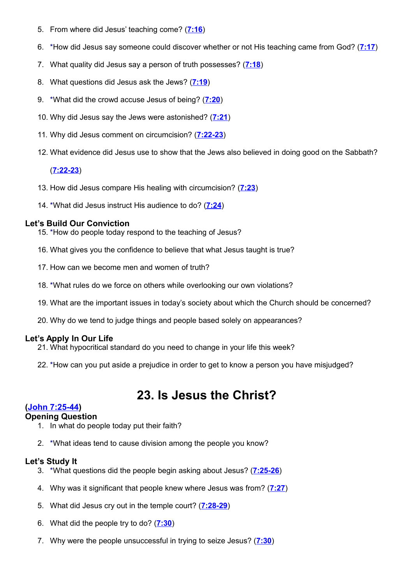- 5. From where did Jesus' teaching come? (**[7:16](http://www.crossbooks.com/verse.asp?ref=Jn+7%3A16)**)
- 6. \*How did Jesus say someone could discover whether or not His teaching came from God? (**[7:17](http://www.crossbooks.com/verse.asp?ref=Jn+7%3A17)**)
- 7. What quality did Jesus say a person of truth possesses? (**[7:18](http://www.crossbooks.com/verse.asp?ref=Jn+7%3A18)**)
- 8. What questions did Jesus ask the Jews? (**[7:19](http://www.crossbooks.com/verse.asp?ref=Jn+7%3A19)**)
- 9. \*What did the crowd accuse Jesus of being? (**[7:20](http://www.crossbooks.com/verse.asp?ref=Jn+7%3A20)**)
- 10. Why did Jesus say the Jews were astonished? (**[7:21](http://www.crossbooks.com/verse.asp?ref=Jn+7%3A21)**)
- 11. Why did Jesus comment on circumcision? (**[7:22-23](http://www.crossbooks.com/verse.asp?ref=Jn+7%3A22-23)**)
- 12. What evidence did Jesus use to show that the Jews also believed in doing good on the Sabbath?

#### (**[7:22-23](http://www.crossbooks.com/verse.asp?ref=Jn+7%3A22-23)**)

- 13. How did Jesus compare His healing with circumcision? (**[7:23](http://www.crossbooks.com/verse.asp?ref=Jn+7%3A23)**)
- 14. \*What did Jesus instruct His audience to do? (**[7:24](http://www.crossbooks.com/verse.asp?ref=Jn+7%3A24)**)

#### **Let's Build Our Conviction**

- 15. \*How do people today respond to the teaching of Jesus?
- 16. What gives you the confidence to believe that what Jesus taught is true?
- 17. How can we become men and women of truth?
- 18. \*What rules do we force on others while overlooking our own violations?
- 19. What are the important issues in today's society about which the Church should be concerned?
- 20. Why do we tend to judge things and people based solely on appearances?

# **Let's Apply In Our Life**

- 21. What hypocritical standard do you need to change in your life this week?
- 22. \*How can you put aside a prejudice in order to get to know a person you have misjudged?

# **23. Is Jesus the Christ?**

# **[\(John 7:25-44\)](http://www.crossbooks.com/verse.asp?ref=Jn+7%3A25-44)**

# **Opening Question**

- 1. In what do people today put their faith?
- 2. \*What ideas tend to cause division among the people you know?

- 3. \*What questions did the people begin asking about Jesus? (**[7:25-26](http://www.crossbooks.com/verse.asp?ref=Jn+7%3A25-26)**)
- 4. Why was it significant that people knew where Jesus was from? (**[7:27](http://www.crossbooks.com/verse.asp?ref=Jn+7%3A27)**)
- 5. What did Jesus cry out in the temple court? (**[7:28-29](http://www.crossbooks.com/verse.asp?ref=Jn+7%3A28-29)**)
- 6. What did the people try to do? (**[7:30](http://www.crossbooks.com/verse.asp?ref=Jn+7%3A30)**)
- 7. Why were the people unsuccessful in trying to seize Jesus? (**[7:30](http://www.crossbooks.com/verse.asp?ref=Jn+7%3A30)**)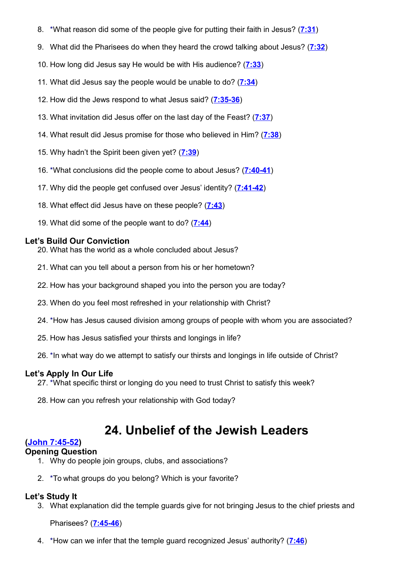- 8. \*What reason did some of the people give for putting their faith in Jesus? (**[7:31](http://www.crossbooks.com/verse.asp?ref=Jn+7%3A31)**)
- 9. What did the Pharisees do when they heard the crowd talking about Jesus? (**[7:32](http://www.crossbooks.com/verse.asp?ref=Jn+7%3A32)**)
- 10. How long did Jesus say He would be with His audience? (**[7:33](http://www.crossbooks.com/verse.asp?ref=Jn+7%3A33)**)
- 11. What did Jesus say the people would be unable to do? (**[7:34](http://www.crossbooks.com/verse.asp?ref=Jn+7%3A34)**)
- 12. How did the Jews respond to what Jesus said? (**[7:35-36](http://www.crossbooks.com/verse.asp?ref=Jn+7%3A35-36)**)
- 13. What invitation did Jesus offer on the last day of the Feast? (**[7:37](http://www.crossbooks.com/verse.asp?ref=Jn+7%3A37)**)
- 14. What result did Jesus promise for those who believed in Him? (**[7:38](http://www.crossbooks.com/verse.asp?ref=Jn+7%3A38)**)
- 15. Why hadn't the Spirit been given yet? (**[7:39](http://www.crossbooks.com/verse.asp?ref=Jn+7%3A39)**)
- 16. \*What conclusions did the people come to about Jesus? (**[7:40-41](http://www.crossbooks.com/verse.asp?ref=Jn+7%3A40-41)**)
- 17. Why did the people get confused over Jesus' identity? (**[7:41-42](http://www.crossbooks.com/verse.asp?ref=Jn+7%3A41-42)**)
- 18. What effect did Jesus have on these people? (**[7:43](http://www.crossbooks.com/verse.asp?ref=Jn+7%3A43)**)
- 19. What did some of the people want to do? (**[7:44](http://www.crossbooks.com/verse.asp?ref=Jn+7%3A44)**)

- 20. What has the world as a whole concluded about Jesus?
- 21. What can you tell about a person from his or her hometown?
- 22. How has your background shaped you into the person you are today?
- 23. When do you feel most refreshed in your relationship with Christ?
- 24. \*How has Jesus caused division among groups of people with whom you are associated?
- 25. How has Jesus satisfied your thirsts and longings in life?
- 26. \*In what way do we attempt to satisfy our thirsts and longings in life outside of Christ?

# **Let's Apply In Our Life**

- 27. \*What specific thirst or longing do you need to trust Christ to satisfy this week?
- 28. How can you refresh your relationship with God today?

# **24. Unbelief of the Jewish Leaders**

# **[\(John 7:45-52\)](http://www.crossbooks.com/verse.asp?ref=Jn+7%3A45-52)**

#### **Opening Question**

- 1. Why do people join groups, clubs, and associations?
- 2. \*To what groups do you belong? Which is your favorite?

# **Let's Study It**

3. What explanation did the temple guards give for not bringing Jesus to the chief priests and

#### Pharisees? (**[7:45-46](http://www.crossbooks.com/verse.asp?ref=Jn+7%3A45-46)**)

4. \*How can we infer that the temple guard recognized Jesus' authority? (**[7:46](http://www.crossbooks.com/verse.asp?ref=Jn+7%3A46)**)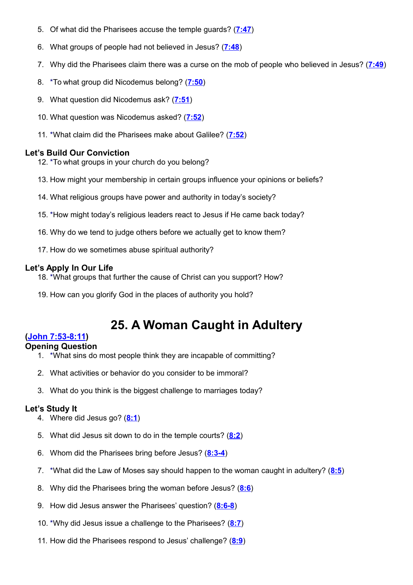- 5. Of what did the Pharisees accuse the temple guards? (**[7:47](http://www.crossbooks.com/verse.asp?ref=Jn+7%3A47)**)
- 6. What groups of people had not believed in Jesus? (**[7:48](http://www.crossbooks.com/verse.asp?ref=Jn+7%3A48)**)
- 7. Why did the Pharisees claim there was a curse on the mob of people who believed in Jesus? (**[7:49](http://www.crossbooks.com/verse.asp?ref=Jn+7%3A49)**)
- 8. \*To what group did Nicodemus belong? (**[7:50](http://www.crossbooks.com/verse.asp?ref=Jn+7%3A50)**)
- 9. What question did Nicodemus ask? (**[7:51](http://www.crossbooks.com/verse.asp?ref=Jn+7%3A51)**)
- 10. What question was Nicodemus asked? (**[7:52](http://www.crossbooks.com/verse.asp?ref=Jn+7%3A52)**)
- 11. \*What claim did the Pharisees make about Galilee? (**[7:52](http://www.crossbooks.com/verse.asp?ref=Jn+7%3A52)**)

- 12. \*To what groups in your church do you belong?
- 13. How might your membership in certain groups influence your opinions or beliefs?
- 14. What religious groups have power and authority in today's society?
- 15. \*How might today's religious leaders react to Jesus if He came back today?
- 16. Why do we tend to judge others before we actually get to know them?
- 17. How do we sometimes abuse spiritual authority?

# **Let's Apply In Our Life**

- 18. \*What groups that further the cause of Christ can you support? How?
- 19. How can you glorify God in the places of authority you hold?

# **25. A Woman Caught in Adultery**

# **[\(John 7:53-8:11\)](http://www.crossbooks.com/verse.asp?ref=Jn+7%3A53-8%3A11)**

# **Opening Question**

- 1. \*What sins do most people think they are incapable of committing?
- 2. What activities or behavior do you consider to be immoral?
- 3. What do you think is the biggest challenge to marriages today?

- 4. Where did Jesus go? (**[8:1](http://www.crossbooks.com/verse.asp?ref=Jn+8%3A1)**)
- 5. What did Jesus sit down to do in the temple courts? (**[8:2](http://www.crossbooks.com/verse.asp?ref=Jn+8%3A2)**)
- 6. Whom did the Pharisees bring before Jesus? (**[8:3-4](http://www.crossbooks.com/verse.asp?ref=Jn+8%3A3-4)**)
- 7. \*What did the Law of Moses say should happen to the woman caught in adultery? (**[8:5](http://www.crossbooks.com/verse.asp?ref=Jn+8%3A5)**)
- 8. Why did the Pharisees bring the woman before Jesus? (**[8:6](http://www.crossbooks.com/verse.asp?ref=Jn+8%3A6)**)
- 9. How did Jesus answer the Pharisees' question? (**[8:6-8](http://www.crossbooks.com/verse.asp?ref=Jn+8%3A6-8)**)
- 10. \*Why did Jesus issue a challenge to the Pharisees? (**[8:7](http://www.crossbooks.com/verse.asp?ref=Jn+8%3A7)**)
- 11. How did the Pharisees respond to Jesus' challenge? (**[8:9](http://www.crossbooks.com/verse.asp?ref=Jn+8%3A9)**)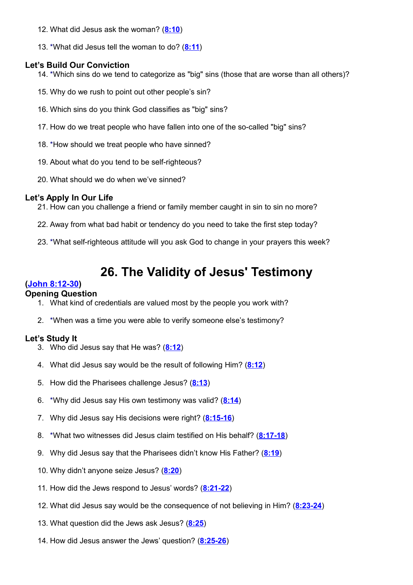- 12. What did Jesus ask the woman? (**[8:10](http://www.crossbooks.com/verse.asp?ref=Jn+8%3A10)**)
- 13. \*What did Jesus tell the woman to do? (**[8:11](http://www.crossbooks.com/verse.asp?ref=Jn+8%3A11)**)

- 14. \*Which sins do we tend to categorize as "big" sins (those that are worse than all others)?
- 15. Why do we rush to point out other people's sin?
- 16. Which sins do you think God classifies as "big" sins?
- 17. How do we treat people who have fallen into one of the so-called "big" sins?
- 18. \*How should we treat people who have sinned?
- 19. About what do you tend to be self-righteous?
- 20. What should we do when we've sinned?

# **Let's Apply In Our Life**

- 21. How can you challenge a friend or family member caught in sin to sin no more?
- 22. Away from what bad habit or tendency do you need to take the first step today?
- 23. \*What self-righteous attitude will you ask God to change in your prayers this week?

# **26. The Validity of Jesus' Testimony**

# **[\(John 8:12-30\)](http://www.crossbooks.com/verse.asp?ref=Jn+8%3A12-30)**

# **Opening Question**

- 1. What kind of credentials are valued most by the people you work with?
- 2. \*When was a time you were able to verify someone else's testimony?

- 3. Who did Jesus say that He was? (**[8:12](http://www.crossbooks.com/verse.asp?ref=Jn+8%3A12)**)
- 4. What did Jesus say would be the result of following Him? (**[8:12](http://www.crossbooks.com/verse.asp?ref=Jn+8%3A12)**)
- 5. How did the Pharisees challenge Jesus? (**[8:13](http://www.crossbooks.com/verse.asp?ref=Jn+8%3A13)**)
- 6. \*Why did Jesus say His own testimony was valid? (**[8:14](http://www.crossbooks.com/verse.asp?ref=Jn+8%3A14)**)
- 7. Why did Jesus say His decisions were right? (**[8:15-16](http://www.crossbooks.com/verse.asp?ref=Jn+8%3A15-16)**)
- 8. \*What two witnesses did Jesus claim testified on His behalf? (**[8:17-18](http://www.crossbooks.com/verse.asp?ref=Jn+8%3A17-18)**)
- 9. Why did Jesus say that the Pharisees didn't know His Father? (**[8:19](http://www.crossbooks.com/verse.asp?ref=Jn+8%3A19)**)
- 10. Why didn't anyone seize Jesus? (**[8:20](http://www.crossbooks.com/verse.asp?ref=Jn+8%3A20)**)
- 11. How did the Jews respond to Jesus' words? (**[8:21-22](http://www.crossbooks.com/verse.asp?ref=Jn+8%3A21-22)**)
- 12. What did Jesus say would be the consequence of not believing in Him? (**[8:23-24](http://www.crossbooks.com/verse.asp?ref=Jn+8%3A23-24)**)
- 13. What question did the Jews ask Jesus? (**[8:25](http://www.crossbooks.com/verse.asp?ref=Jn+8%3A25)**)
- 14. How did Jesus answer the Jews' question? (**[8:25-26](http://www.crossbooks.com/verse.asp?ref=Jn+8%3A25-26)**)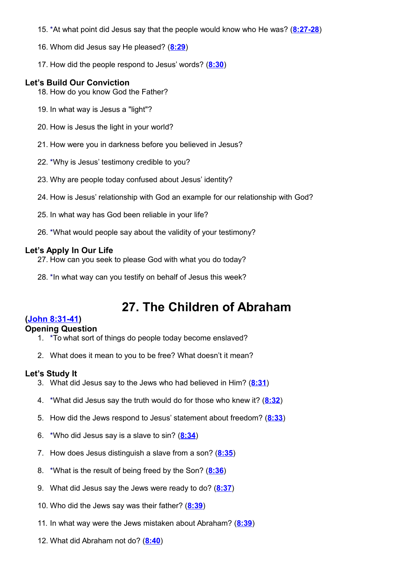- 15. \*At what point did Jesus say that the people would know who He was? (**[8:27-28](http://www.crossbooks.com/verse.asp?ref=Jn+8%3A27-28)**)
- 16. Whom did Jesus say He pleased? (**[8:29](http://www.crossbooks.com/verse.asp?ref=Jn+8%3A29)**)
- 17. How did the people respond to Jesus' words? (**[8:30](http://www.crossbooks.com/verse.asp?ref=Jn+8%3A30)**)

- 18. How do you know God the Father?
- 19. In what way is Jesus a "light"?
- 20. How is Jesus the light in your world?
- 21. How were you in darkness before you believed in Jesus?
- 22. \*Why is Jesus' testimony credible to you?
- 23. Why are people today confused about Jesus' identity?
- 24. How is Jesus' relationship with God an example for our relationship with God?
- 25. In what way has God been reliable in your life?
- 26. \*What would people say about the validity of your testimony?

#### **Let's Apply In Our Life**

27. How can you seek to please God with what you do today?

28. \*In what way can you testify on behalf of Jesus this week?

# **27. The Children of Abraham**

# **[\(John 8:31-41\)](http://www.crossbooks.com/verse.asp?ref=Jn+8%3A31-41)**

#### **Opening Question**

- 1. \*To what sort of things do people today become enslaved?
- 2. What does it mean to you to be free? What doesn't it mean?

- 3. What did Jesus say to the Jews who had believed in Him? (**[8:31](http://www.crossbooks.com/verse.asp?ref=Jn+8%3A31)**)
- 4. \*What did Jesus say the truth would do for those who knew it? (**[8:32](http://www.crossbooks.com/verse.asp?ref=Jn+8%3A32)**)
- 5. How did the Jews respond to Jesus' statement about freedom? (**[8:33](http://www.crossbooks.com/verse.asp?ref=Jn+8%3A33)**)
- 6. \*Who did Jesus say is a slave to sin? (**[8:34](http://www.crossbooks.com/verse.asp?ref=Jn+8%3A34)**)
- 7. How does Jesus distinguish a slave from a son? (**[8:35](http://www.crossbooks.com/verse.asp?ref=Jn+8%3A35)**)
- 8. \*What is the result of being freed by the Son? (**[8:36](http://www.crossbooks.com/verse.asp?ref=Jn+8%3A36)**)
- 9. What did Jesus say the Jews were ready to do? (**[8:37](http://www.crossbooks.com/verse.asp?ref=Jn+8%3A37)**)
- 10. Who did the Jews say was their father? (**[8:39](http://www.crossbooks.com/verse.asp?ref=Jn+8%3A39)**)
- 11. In what way were the Jews mistaken about Abraham? (**[8:39](http://www.crossbooks.com/verse.asp?ref=Jn+8%3A39)**)
- 12. What did Abraham not do? (**[8:40](http://www.crossbooks.com/verse.asp?ref=Jn+8%3A40)**)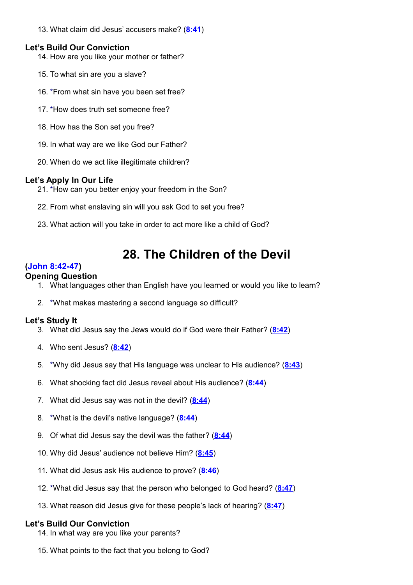13. What claim did Jesus' accusers make? (**[8:41](http://www.crossbooks.com/verse.asp?ref=Jn+8%3A41)**)

# **Let's Build Our Conviction**

- 14. How are you like your mother or father?
- 15. To what sin are you a slave?
- 16. \*From what sin have you been set free?
- 17. \*How does truth set someone free?
- 18. How has the Son set you free?
- 19. In what way are we like God our Father?
- 20. When do we act like illegitimate children?

# **Let's Apply In Our Life**

- 21. \*How can you better enjoy your freedom in the Son?
- 22. From what enslaving sin will you ask God to set you free?
- 23. What action will you take in order to act more like a child of God?

# **28. The Children of the Devil**

# **[\(John 8:42-47\)](http://www.crossbooks.com/verse.asp?ref=Jn+8%3A42-47)**

#### **Opening Question**

- 1. What languages other than English have you learned or would you like to learn?
- 2. \*What makes mastering a second language so difficult?

# **Let's Study It**

- 3. What did Jesus say the Jews would do if God were their Father? (**[8:42](http://www.crossbooks.com/verse.asp?ref=Jn+8%3A42)**)
- 4. Who sent Jesus? (**[8:42](http://www.crossbooks.com/verse.asp?ref=Jn+8%3A42)**)
- 5. \*Why did Jesus say that His language was unclear to His audience? (**[8:43](http://www.crossbooks.com/verse.asp?ref=Jn+8%3A43)**)
- 6. What shocking fact did Jesus reveal about His audience? (**[8:44](http://www.crossbooks.com/verse.asp?ref=Jn+8%3A44)**)
- 7. What did Jesus say was not in the devil? (**[8:44](http://www.crossbooks.com/verse.asp?ref=Jn+8%3A44)**)
- 8. \*What is the devil's native language? (**[8:44](http://www.crossbooks.com/verse.asp?ref=Jn+8%3A44)**)
- 9. Of what did Jesus say the devil was the father? (**[8:44](http://www.crossbooks.com/verse.asp?ref=Jn+8%3A44)**)
- 10. Why did Jesus' audience not believe Him? (**[8:45](http://www.crossbooks.com/verse.asp?ref=Jn+8%3A45)**)
- 11. What did Jesus ask His audience to prove? (**[8:46](http://www.crossbooks.com/verse.asp?ref=Jn+8%3A46)**)
- 12. \*What did Jesus say that the person who belonged to God heard? (**[8:47](http://www.crossbooks.com/verse.asp?ref=Jn+8%3A47)**)
- 13. What reason did Jesus give for these people's lack of hearing? (**[8:47](http://www.crossbooks.com/verse.asp?ref=Jn+8%3A47)**)

- 14. In what way are you like your parents?
- 15. What points to the fact that you belong to God?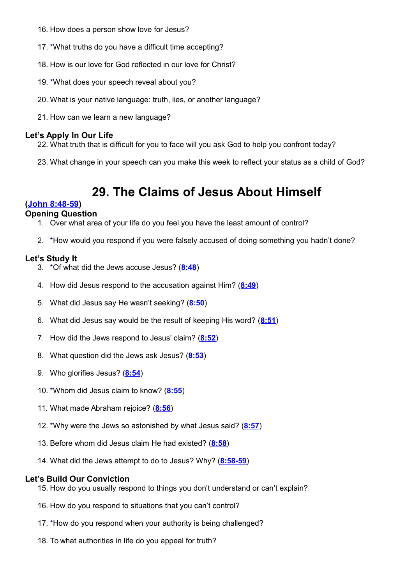- 16. How does a person show love for Jesus?
- 17. \*What truths do you have a difficult time accepting?
- 18. How is our love for God reflected in our love for Christ?
- 19. \*What does your speech reveal about you?
- 20. What is your native language: truth, lies, or another language?
- 21. How can we learn a new language?

22. What truth that is difficult for you to face will you ask God to help you confront today?

23. What change in your speech can you make this week to reflect your status as a child of God?

# **29. The Claims of Jesus About Himself**

# **[\(John 8:48-59\)](http://www.crossbooks.com/verse.asp?ref=Jn+8%3A48-59)**

# **Opening Question**

- 1. Over what area of your life do you feel you have the least amount of control?
- 2. \*How would you respond if you were falsely accused of doing something you hadn't done?

#### **Let's Study It**

- 3. \*Of what did the Jews accuse Jesus? (**[8:48](http://www.crossbooks.com/verse.asp?ref=Jn+8%3A48)**)
- 4. How did Jesus respond to the accusation against Him? (**[8:49](http://www.crossbooks.com/verse.asp?ref=Jn+8%3A49)**)
- 5. What did Jesus say He wasn't seeking? (**[8:50](http://www.crossbooks.com/verse.asp?ref=Jn+8%3A50)**)
- 6. What did Jesus say would be the result of keeping His word? (**[8:51](http://www.crossbooks.com/verse.asp?ref=Jn+8%3A51)**)
- 7. How did the Jews respond to Jesus' claim? (**[8:52](http://www.crossbooks.com/verse.asp?ref=Jn+8%3A52)**)
- 8. What question did the Jews ask Jesus? (**[8:53](http://www.crossbooks.com/verse.asp?ref=Jn+8%3A53)**)
- 9. Who glorifies Jesus? (**[8:54](http://www.crossbooks.com/verse.asp?ref=Jn+8%3A54)**)
- 10. \*Whom did Jesus claim to know? (**[8:55](http://www.crossbooks.com/verse.asp?ref=Jn+8%3A55)**)
- 11. What made Abraham rejoice? (**[8:56](http://www.crossbooks.com/verse.asp?ref=Jn+8%3A56)**)
- 12. \*Why were the Jews so astonished by what Jesus said? (**[8:57](http://www.crossbooks.com/verse.asp?ref=Jn+8%3A57)**)
- 13. Before whom did Jesus claim He had existed? (**[8:58](http://www.crossbooks.com/verse.asp?ref=Jn+8%3A58)**)
- 14. What did the Jews attempt to do to Jesus? Why? (**[8:58-59](http://www.crossbooks.com/verse.asp?ref=Jn+8%3A58-59)**)

- 15. How do you usually respond to things you don't understand or can't explain?
- 16. How do you respond to situations that you can't control?
- 17. \*How do you respond when your authority is being challenged?
- 18. To what authorities in life do you appeal for truth?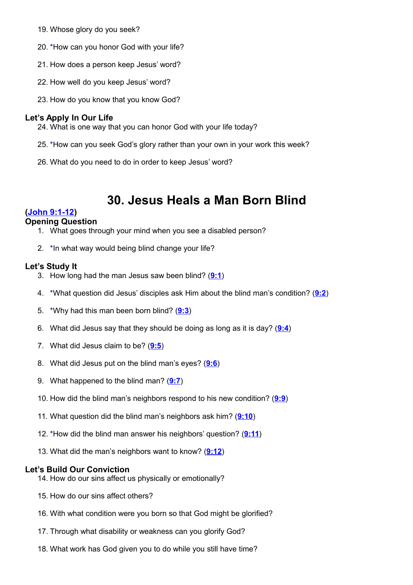- 19. Whose glory do you seek?
- 20. \*How can you honor God with your life?
- 21. How does a person keep Jesus' word?
- 22. How well do you keep Jesus' word?
- 23. How do you know that you know God?

- 24. What is one way that you can honor God with your life today?
- 25. \*How can you seek God's glory rather than your own in your work this week?
- 26. What do you need to do in order to keep Jesus' word?

# **30. Jesus Heals a Man Born Blind**

# **[\(John 9:1-12\)](http://www.crossbooks.com/verse.asp?ref=Jn+9%3A1-12)**

#### **Opening Question**

- 1. What goes through your mind when you see a disabled person?
- 2. \*In what way would being blind change your life?

#### **Let's Study It**

- 3. How long had the man Jesus saw been blind? (**[9:1](http://www.crossbooks.com/verse.asp?ref=Jn+9%3A1)**)
- 4. \*What question did Jesus' disciples ask Him about the blind man's condition? (**[9:2](http://www.crossbooks.com/verse.asp?ref=Jn+9%3A2)**)
- 5. \*Why had this man been born blind? (**[9:3](http://www.crossbooks.com/verse.asp?ref=Jn+9%3A3)**)
- 6. What did Jesus say that they should be doing as long as it is day? (**[9:4](http://www.crossbooks.com/verse.asp?ref=Jn+9%3A4)**)
- 7. What did Jesus claim to be? (**[9:5](http://www.crossbooks.com/verse.asp?ref=Jn+9%3A5)**)
- 8. What did Jesus put on the blind man's eyes? (**[9:6](http://www.crossbooks.com/verse.asp?ref=Jn+9%3A6)**)
- 9. What happened to the blind man? (**[9:7](http://www.crossbooks.com/verse.asp?ref=Jn+9%3A7)**)
- 10. How did the blind man's neighbors respond to his new condition? (**[9:9](http://www.crossbooks.com/verse.asp?ref=Jn+9%3A9)**)
- 11. What question did the blind man's neighbors ask him? (**[9:10](http://www.crossbooks.com/verse.asp?ref=Jn+9%3A10)**)
- 12. \*How did the blind man answer his neighbors' question? (**[9:11](http://www.crossbooks.com/verse.asp?ref=Jn+9%3A11)**)
- 13. What did the man's neighbors want to know? (**[9:12](http://www.crossbooks.com/verse.asp?ref=Jn+9%3A12)**)

- 14. How do our sins affect us physically or emotionally?
- 15. How do our sins affect others?
- 16. With what condition were you born so that God might be glorified?
- 17. Through what disability or weakness can you glorify God?
- 18. What work has God given you to do while you still have time?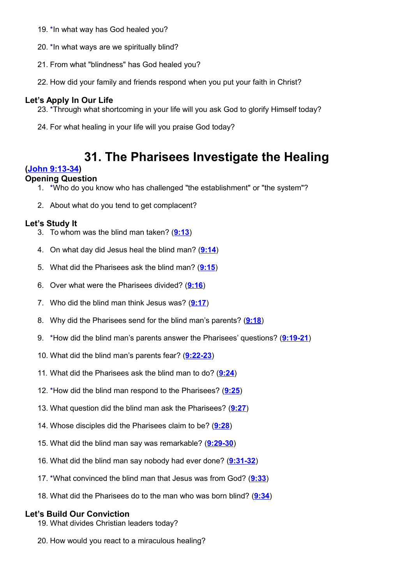- 19. \*In what way has God healed you?
- 20. \*In what ways are we spiritually blind?
- 21. From what "blindness" has God healed you?
- 22. How did your family and friends respond when you put your faith in Christ?

- 23. \*Through what shortcoming in your life will you ask God to glorify Himself today?
- 24. For what healing in your life will you praise God today?

# **31. The Pharisees Investigate the Healing**

# **[\(John 9:13-34\)](http://www.crossbooks.com/verse.asp?ref=Jn+9%3A13-34)**

# **Opening Question**

- 1. \*Who do you know who has challenged "the establishment" or "the system"?
- 2. About what do you tend to get complacent?

# **Let's Study It**

- 3. To whom was the blind man taken? (**[9:13](http://www.crossbooks.com/verse.asp?ref=Jn+9%3A13)**)
- 4. On what day did Jesus heal the blind man? (**[9:14](http://www.crossbooks.com/verse.asp?ref=Jn+9%3A14)**)
- 5. What did the Pharisees ask the blind man? (**[9:15](http://www.crossbooks.com/verse.asp?ref=Jn+9%3A15)**)
- 6. Over what were the Pharisees divided? (**[9:16](http://www.crossbooks.com/verse.asp?ref=Jn+9%3A16)**)
- 7. Who did the blind man think Jesus was? (**[9:17](http://www.crossbooks.com/verse.asp?ref=Jn+9%3A17)**)
- 8. Why did the Pharisees send for the blind man's parents? (**[9:18](http://www.crossbooks.com/verse.asp?ref=Jn+9%3A18)**)
- 9. \*How did the blind man's parents answer the Pharisees' questions? (**[9:19-21](http://www.crossbooks.com/verse.asp?ref=Jn+9%3A19-21)**)
- 10. What did the blind man's parents fear? (**[9:22-23](http://www.crossbooks.com/verse.asp?ref=Jn+9%3A22-23)**)
- 11. What did the Pharisees ask the blind man to do? (**[9:24](http://www.crossbooks.com/verse.asp?ref=Jn+9%3A24)**)
- 12. \*How did the blind man respond to the Pharisees? (**[9:25](http://www.crossbooks.com/verse.asp?ref=Jn+9%3A25)**)
- 13. What question did the blind man ask the Pharisees? (**[9:27](http://www.crossbooks.com/verse.asp?ref=Jn+9%3A27)**)
- 14. Whose disciples did the Pharisees claim to be? (**[9:28](http://www.crossbooks.com/verse.asp?ref=Jn+9%3A28)**)
- 15. What did the blind man say was remarkable? (**[9:29-30](http://www.crossbooks.com/verse.asp?ref=Jn+9%3A29-30)**)
- 16. What did the blind man say nobody had ever done? (**[9:31-32](http://www.crossbooks.com/verse.asp?ref=Jn+9%3A31-32)**)
- 17. \*What convinced the blind man that Jesus was from God? (**[9:33](http://www.crossbooks.com/verse.asp?ref=Jn+9%3A33)**)
- 18. What did the Pharisees do to the man who was born blind? (**[9:34](http://www.crossbooks.com/verse.asp?ref=Jn+9%3A34)**)

- 19. What divides Christian leaders today?
- 20. How would you react to a miraculous healing?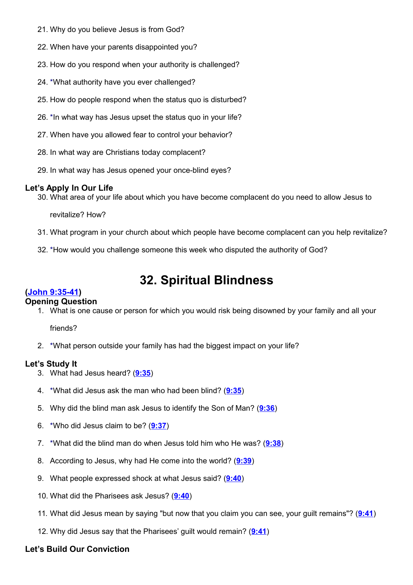- 21. Why do you believe Jesus is from God?
- 22. When have your parents disappointed you?
- 23. How do you respond when your authority is challenged?
- 24. \*What authority have you ever challenged?
- 25. How do people respond when the status quo is disturbed?
- 26. \*In what way has Jesus upset the status quo in your life?
- 27. When have you allowed fear to control your behavior?
- 28. In what way are Christians today complacent?
- 29. In what way has Jesus opened your once-blind eyes?

30. What area of your life about which you have become complacent do you need to allow Jesus to

revitalize? How?

- 31. What program in your church about which people have become complacent can you help revitalize?
- 32. \*How would you challenge someone this week who disputed the authority of God?

# **32. Spiritual Blindness**

# **[\(John 9:35-41\)](http://www.crossbooks.com/verse.asp?ref=Jn+9%3A35-41)**

# **Opening Question**

1. What is one cause or person for which you would risk being disowned by your family and all your

friends?

2. \*What person outside your family has had the biggest impact on your life?

# **Let's Study It**

- 3. What had Jesus heard? (**[9:35](http://www.crossbooks.com/verse.asp?ref=Jn+9%3A35)**)
- 4. \*What did Jesus ask the man who had been blind? (**[9:35](http://www.crossbooks.com/verse.asp?ref=Jn+9%3A35)**)
- 5. Why did the blind man ask Jesus to identify the Son of Man? (**[9:36](http://www.crossbooks.com/verse.asp?ref=Jn+9%3A36)**)
- 6. \*Who did Jesus claim to be? (**[9:37](http://www.crossbooks.com/verse.asp?ref=Jn+9%3A37)**)
- 7. \*What did the blind man do when Jesus told him who He was? (**[9:38](http://www.crossbooks.com/verse.asp?ref=Jn+9%3A38)**)
- 8. According to Jesus, why had He come into the world? (**[9:39](http://www.crossbooks.com/verse.asp?ref=Jn+9%3A39)**)
- 9. What people expressed shock at what Jesus said? (**[9:40](http://www.crossbooks.com/verse.asp?ref=Jn+9%3A40)**)
- 10. What did the Pharisees ask Jesus? (**[9:40](http://www.crossbooks.com/verse.asp?ref=Jn+9%3A40)**)
- 11. What did Jesus mean by saying "but now that you claim you can see, your guilt remains"? (**[9:41](http://www.crossbooks.com/verse.asp?ref=Jn+9%3A41)**)
- 12. Why did Jesus say that the Pharisees' guilt would remain? (**[9:41](http://www.crossbooks.com/verse.asp?ref=Jn+9%3A41)**)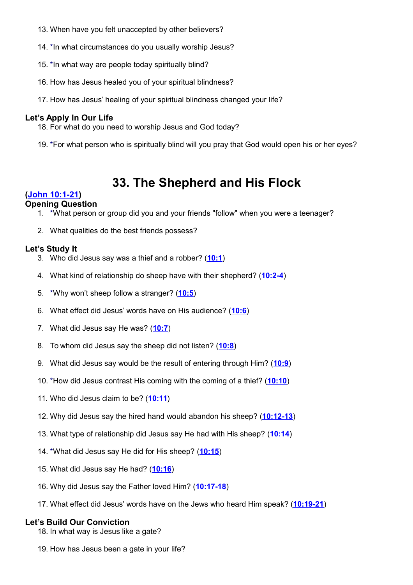- 13. When have you felt unaccepted by other believers?
- 14. \*In what circumstances do you usually worship Jesus?
- 15. \*In what way are people today spiritually blind?
- 16. How has Jesus healed you of your spiritual blindness?
- 17. How has Jesus' healing of your spiritual blindness changed your life?

- 18. For what do you need to worship Jesus and God today?
- 19. \*For what person who is spiritually blind will you pray that God would open his or her eyes?

# **33. The Shepherd and His Flock**

# **[\(John 10:1-21\)](http://www.crossbooks.com/verse.asp?ref=Jn+10%3A1-21)**

# **Opening Question**

- 1. \*What person or group did you and your friends "follow" when you were a teenager?
- 2. What qualities do the best friends possess?

# **Let's Study It**

- 3. Who did Jesus say was a thief and a robber? (**[10:1](http://www.crossbooks.com/verse.asp?ref=Jn+10%3A1)**)
- 4. What kind of relationship do sheep have with their shepherd? (**[10:2-4](http://www.crossbooks.com/verse.asp?ref=Jn+10%3A2-4)**)
- 5. \*Why won't sheep follow a stranger? (**[10:5](http://www.crossbooks.com/verse.asp?ref=Jn+10%3A5)**)
- 6. What effect did Jesus' words have on His audience? (**[10:6](http://www.crossbooks.com/verse.asp?ref=Jn+10%3A6)**)
- 7. What did Jesus say He was? (**[10:7](http://www.crossbooks.com/verse.asp?ref=Jn+10%3A7)**)
- 8. To whom did Jesus say the sheep did not listen? (**[10:8](http://www.crossbooks.com/verse.asp?ref=Jn+10%3A8)**)
- 9. What did Jesus say would be the result of entering through Him? (**[10:9](http://www.crossbooks.com/verse.asp?ref=Jn+10%3A9)**)
- 10. \*How did Jesus contrast His coming with the coming of a thief? (**[10:10](http://www.crossbooks.com/verse.asp?ref=Jn+10%3A10)**)
- 11. Who did Jesus claim to be? (**[10:11](http://www.crossbooks.com/verse.asp?ref=Jn+10%3A11)**)
- 12. Why did Jesus say the hired hand would abandon his sheep? (**[10:12-13](http://www.crossbooks.com/verse.asp?ref=Jn+10%3A12-13)**)
- 13. What type of relationship did Jesus say He had with His sheep? (**[10:14](http://www.crossbooks.com/verse.asp?ref=Jn+10%3A14)**)
- 14. \*What did Jesus say He did for His sheep? (**[10:15](http://www.crossbooks.com/verse.asp?ref=Jn+10%3A15)**)
- 15. What did Jesus say He had? (**[10:16](http://www.crossbooks.com/verse.asp?ref=Jn+10%3A16)**)
- 16. Why did Jesus say the Father loved Him? (**[10:17-18](http://www.crossbooks.com/verse.asp?ref=Jn+10%3A17-18)**)
- 17. What effect did Jesus' words have on the Jews who heard Him speak? (**[10:19-21](http://www.crossbooks.com/verse.asp?ref=Jn+10%3A19-21)**)

- 18. In what way is Jesus like a gate?
- 19. How has Jesus been a gate in your life?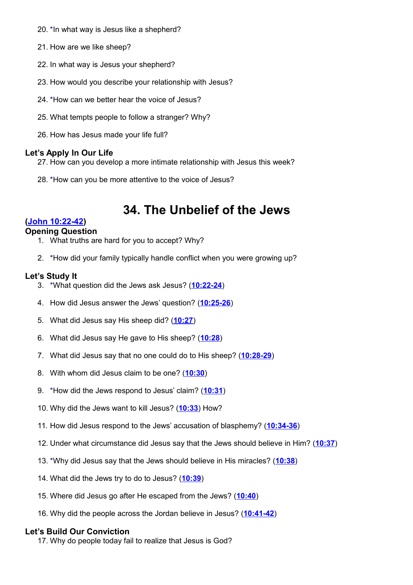- 20. \*In what way is Jesus like a shepherd?
- 21. How are we like sheep?
- 22. In what way is Jesus your shepherd?
- 23. How would you describe your relationship with Jesus?
- 24. \*How can we better hear the voice of Jesus?
- 25. What tempts people to follow a stranger? Why?
- 26. How has Jesus made your life full?

- 27. How can you develop a more intimate relationship with Jesus this week?
- 28. \*How can you be more attentive to the voice of Jesus?

# **34. The Unbelief of the Jews**

# **[\(John 10:22-42\)](http://www.crossbooks.com/verse.asp?ref=Jn+10%3A22-42)**

- **Opening Question**
	- 1. What truths are hard for you to accept? Why?
	- 2. \*How did your family typically handle conflict when you were growing up?

#### **Let's Study It**

- 3. \*What question did the Jews ask Jesus? (**[10:22-24](http://www.crossbooks.com/verse.asp?ref=Jn+10%3A22-24)**)
- 4. How did Jesus answer the Jews' question? (**[10:25-26](http://www.crossbooks.com/verse.asp?ref=Jn+10%3A25-26)**)
- 5. What did Jesus say His sheep did? (**[10:27](http://www.crossbooks.com/verse.asp?ref=Jn+10%3A27)**)
- 6. What did Jesus say He gave to His sheep? (**[10:28](http://www.crossbooks.com/verse.asp?ref=Jn+10%3A28)**)
- 7. What did Jesus say that no one could do to His sheep? (**[10:28-29](http://www.crossbooks.com/verse.asp?ref=Jn+10%3A28-29)**)
- 8. With whom did Jesus claim to be one? (**[10:30](http://www.crossbooks.com/verse.asp?ref=Jn+10%3A30)**)
- 9. \*How did the Jews respond to Jesus' claim? (**[10:31](http://www.crossbooks.com/verse.asp?ref=Jn+10%3A31)**)
- 10. Why did the Jews want to kill Jesus? (**[10:33](http://www.crossbooks.com/verse.asp?ref=Jn+10%3A33)**) How?
- 11. How did Jesus respond to the Jews' accusation of blasphemy? (**[10:34-36](http://www.crossbooks.com/verse.asp?ref=Jn+10%3A34-36)**)
- 12. Under what circumstance did Jesus say that the Jews should believe in Him? (**[10:37](http://www.crossbooks.com/verse.asp?ref=Jn+10%3A37)**)
- 13. \*Why did Jesus say that the Jews should believe in His miracles? (**[10:38](http://www.crossbooks.com/verse.asp?ref=Jn+10%3A38)**)
- 14. What did the Jews try to do to Jesus? (**[10:39](http://www.crossbooks.com/verse.asp?ref=Jn+10%3A39)**)
- 15. Where did Jesus go after He escaped from the Jews? (**[10:40](http://www.crossbooks.com/verse.asp?ref=Jn+10%3A40)**)
- 16. Why did the people across the Jordan believe in Jesus? (**[10:41-42](http://www.crossbooks.com/verse.asp?ref=Jn+10%3A41-42)**)

#### **Let's Build Our Conviction**

17. Why do people today fail to realize that Jesus is God?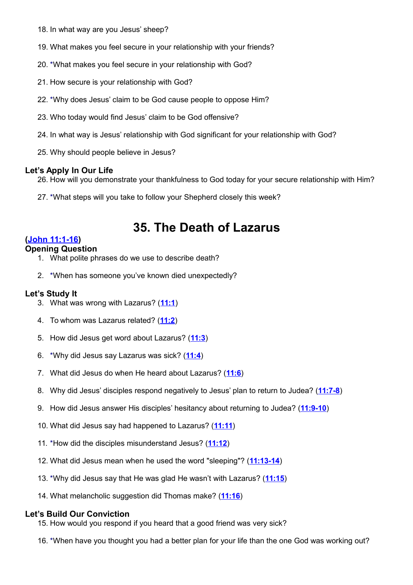- 18. In what way are you Jesus' sheep?
- 19. What makes you feel secure in your relationship with your friends?
- 20. \*What makes you feel secure in your relationship with God?
- 21. How secure is your relationship with God?
- 22. \*Why does Jesus' claim to be God cause people to oppose Him?
- 23. Who today would find Jesus' claim to be God offensive?
- 24. In what way is Jesus' relationship with God significant for your relationship with God?
- 25. Why should people believe in Jesus?

- 26. How will you demonstrate your thankfulness to God today for your secure relationship with Him?
- 27. \*What steps will you take to follow your Shepherd closely this week?

# **35. The Death of Lazarus**

# **[\(John 11:1-16\)](http://www.crossbooks.com/verse.asp?ref=Jn+11%3A1-16)**

# **Opening Question**

- 1. What polite phrases do we use to describe death?
- 2. \*When has someone you've known died unexpectedly?

### **Let's Study It**

- 3. What was wrong with Lazarus? (**[11:1](http://www.crossbooks.com/verse.asp?ref=Jn+11%3A1)**)
- 4. To whom was Lazarus related? (**[11:2](http://www.crossbooks.com/verse.asp?ref=Jn+11%3A2)**)
- 5. How did Jesus get word about Lazarus? (**[11:3](http://www.crossbooks.com/verse.asp?ref=Jn+11%3A3)**)
- 6. \*Why did Jesus say Lazarus was sick? (**[11:4](http://www.crossbooks.com/verse.asp?ref=Jn+11%3A4)**)
- 7. What did Jesus do when He heard about Lazarus? (**[11:6](http://www.crossbooks.com/verse.asp?ref=Jn+11%3A6)**)
- 8. Why did Jesus' disciples respond negatively to Jesus' plan to return to Judea? (**[11:7-8](http://www.crossbooks.com/verse.asp?ref=Jn+11%3A7-8)**)
- 9. How did Jesus answer His disciples' hesitancy about returning to Judea? (**[11:9-10](http://www.crossbooks.com/verse.asp?ref=Jn+11%3A9-10)**)
- 10. What did Jesus say had happened to Lazarus? (**[11:11](http://www.crossbooks.com/verse.asp?ref=Jn+11%3A11)**)
- 11. \*How did the disciples misunderstand Jesus? (**[11:12](http://www.crossbooks.com/verse.asp?ref=Jn+11%3A12)**)
- 12. What did Jesus mean when he used the word "sleeping"? (**[11:13-14](http://www.crossbooks.com/verse.asp?ref=Jn+11%3A13-14)**)
- 13. \*Why did Jesus say that He was glad He wasn't with Lazarus? (**[11:15](http://www.crossbooks.com/verse.asp?ref=Jn+11%3A15)**)
- 14. What melancholic suggestion did Thomas make? (**[11:16](http://www.crossbooks.com/verse.asp?ref=Jn+11%3A16)**)

- 15. How would you respond if you heard that a good friend was very sick?
- 16. \*When have you thought you had a better plan for your life than the one God was working out?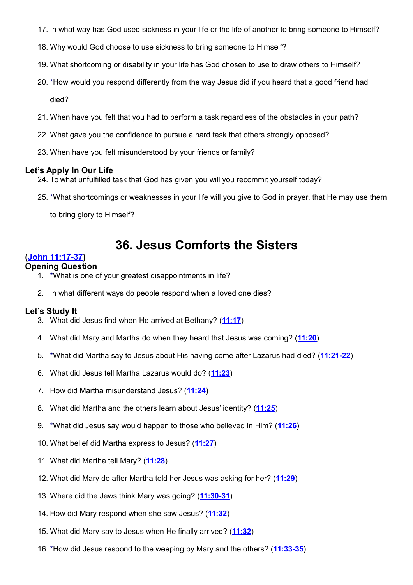- 17. In what way has God used sickness in your life or the life of another to bring someone to Himself?
- 18. Why would God choose to use sickness to bring someone to Himself?
- 19. What shortcoming or disability in your life has God chosen to use to draw others to Himself?
- 20. \*How would you respond differently from the way Jesus did if you heard that a good friend had died?
- 21. When have you felt that you had to perform a task regardless of the obstacles in your path?
- 22. What gave you the confidence to pursue a hard task that others strongly opposed?
- 23. When have you felt misunderstood by your friends or family?

- 24. To what unfulfilled task that God has given you will you recommit yourself today?
- 25. \*What shortcomings or weaknesses in your life will you give to God in prayer, that He may use them

to bring glory to Himself?

# **36. Jesus Comforts the Sisters**

# **[\(John 11:17-37\)](http://www.crossbooks.com/verse.asp?ref=Jn+11%3A17-37)**

#### **Opening Question**

- 1. \*What is one of your greatest disappointments in life?
- 2. In what different ways do people respond when a loved one dies?

- 3. What did Jesus find when He arrived at Bethany? (**[11:17](http://www.crossbooks.com/verse.asp?ref=Jn+11%3A17)**)
- 4. What did Mary and Martha do when they heard that Jesus was coming? (**[11:20](http://www.crossbooks.com/verse.asp?ref=Jn+11%3A20)**)
- 5. \*What did Martha say to Jesus about His having come after Lazarus had died? (**[11:21-22](http://www.crossbooks.com/verse.asp?ref=Jn+11%3A21-22)**)
- 6. What did Jesus tell Martha Lazarus would do? (**[11:23](http://www.crossbooks.com/verse.asp?ref=Jn+11%3A23)**)
- 7. How did Martha misunderstand Jesus? (**[11:24](http://www.crossbooks.com/verse.asp?ref=Jn+11%3A24)**)
- 8. What did Martha and the others learn about Jesus' identity? (**[11:25](http://www.crossbooks.com/verse.asp?ref=Jn+11%3A25)**)
- 9. \*What did Jesus say would happen to those who believed in Him? (**[11:26](http://www.crossbooks.com/verse.asp?ref=Jn+11%3A26)**)
- 10. What belief did Martha express to Jesus? (**[11:27](http://www.crossbooks.com/verse.asp?ref=Jn+11%3A27)**)
- 11. What did Martha tell Mary? (**[11:28](http://www.crossbooks.com/verse.asp?ref=Jn+11%3A28)**)
- 12. What did Mary do after Martha told her Jesus was asking for her? (**[11:29](http://www.crossbooks.com/verse.asp?ref=Jn+11%3A29)**)
- 13. Where did the Jews think Mary was going? (**[11:30-31](http://www.crossbooks.com/verse.asp?ref=Jn+11%3A30-31)**)
- 14. How did Mary respond when she saw Jesus? (**[11:32](http://www.crossbooks.com/verse.asp?ref=Jn+11%3A32)**)
- 15. What did Mary say to Jesus when He finally arrived? (**[11:32](http://www.crossbooks.com/verse.asp?ref=Jn+11%3A32)**)
- 16. \*How did Jesus respond to the weeping by Mary and the others? (**[11:33-35](http://www.crossbooks.com/verse.asp?ref=Jn+11%3A33-35)**)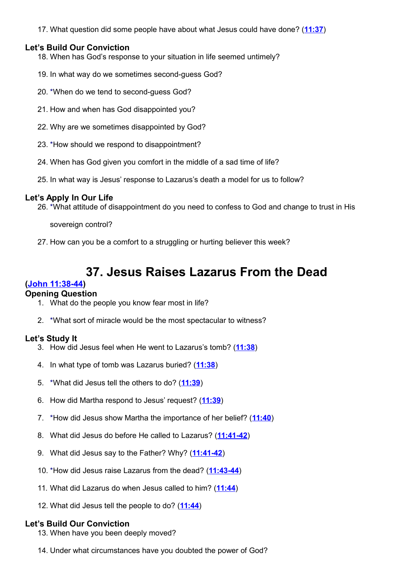17. What question did some people have about what Jesus could have done? (**[11:37](http://www.crossbooks.com/verse.asp?ref=Jn+11%3A37)**)

### **Let's Build Our Conviction**

18. When has God's response to your situation in life seemed untimely?

- 19. In what way do we sometimes second-guess God?
- 20. \*When do we tend to second-guess God?
- 21. How and when has God disappointed you?
- 22. Why are we sometimes disappointed by God?
- 23. \*How should we respond to disappointment?
- 24. When has God given you comfort in the middle of a sad time of life?
- 25. In what way is Jesus' response to Lazarus's death a model for us to follow?

#### **Let's Apply In Our Life**

26. \*What attitude of disappointment do you need to confess to God and change to trust in His

sovereign control?

27. How can you be a comfort to a struggling or hurting believer this week?

# **37. Jesus Raises Lazarus From the Dead**

#### **[\(John 11:38-44\)](http://www.crossbooks.com/verse.asp?ref=Jn+11%3A38-44)**

#### **Opening Question**

- 1. What do the people you know fear most in life?
- 2. \*What sort of miracle would be the most spectacular to witness?

#### **Let's Study It**

- 3. How did Jesus feel when He went to Lazarus's tomb? (**[11:38](http://www.crossbooks.com/verse.asp?ref=Jn+11%3A38)**)
- 4. In what type of tomb was Lazarus buried? (**[11:38](http://www.crossbooks.com/verse.asp?ref=Jn+11%3A38)**)
- 5. \*What did Jesus tell the others to do? (**[11:39](http://www.crossbooks.com/verse.asp?ref=Jn+11%3A39)**)
- 6. How did Martha respond to Jesus' request? (**[11:39](http://www.crossbooks.com/verse.asp?ref=Jn+11%3A39)**)
- 7. \*How did Jesus show Martha the importance of her belief? (**[11:40](http://www.crossbooks.com/verse.asp?ref=Jn+11%3A40)**)
- 8. What did Jesus do before He called to Lazarus? (**[11:41-42](http://www.crossbooks.com/verse.asp?ref=Jn+11%3A41-42)**)
- 9. What did Jesus say to the Father? Why? (**[11:41-42](http://www.crossbooks.com/verse.asp?ref=Jn+11%3A41-42)**)
- 10. \*How did Jesus raise Lazarus from the dead? (**[11:43-44](http://www.crossbooks.com/verse.asp?ref=Jn+11%3A43-44)**)
- 11. What did Lazarus do when Jesus called to him? (**[11:44](http://www.crossbooks.com/verse.asp?ref=Jn+11%3A44)**)
- 12. What did Jesus tell the people to do? (**[11:44](http://www.crossbooks.com/verse.asp?ref=Jn+11%3A44)**)

- 13. When have you been deeply moved?
- 14. Under what circumstances have you doubted the power of God?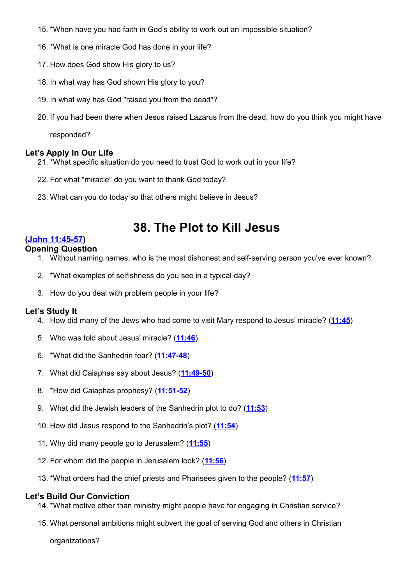- 15. \*When have you had faith in God's ability to work out an impossible situation?
- 16. \*What is one miracle God has done in your life?
- 17. How does God show His glory to us?
- 18. In what way has God shown His glory to you?
- 19. In what way has God "raised you from the dead"?
- 20. If you had been there when Jesus raised Lazarus from the dead, how do you think you might have

responded?

# **Let's Apply In Our Life**

- 21. \*What specific situation do you need to trust God to work out in your life?
- 22. For what "miracle" do you want to thank God today?
- 23. What can you do today so that others might believe in Jesus?

# **38. The Plot to Kill Jesus**

# **[\(John 11:45-57\)](http://www.crossbooks.com/verse.asp?ref=Jn+11%3A45-57)**

# **Opening Question**

- 1. Without naming names, who is the most dishonest and self-serving person you've ever known?
- 2. \*What examples of selfishness do you see in a typical day?
- 3. How do you deal with problem people in your life?

# **Let's Study It**

- 4. How did many of the Jews who had come to visit Mary respond to Jesus' miracle? (**[11:45](http://www.crossbooks.com/verse.asp?ref=Jn+11%3A45)**)
- 5. Who was told about Jesus' miracle? (**[11:46](http://www.crossbooks.com/verse.asp?ref=Jn+11%3A46)**)
- 6. \*What did the Sanhedrin fear? (**[11:47-48](http://www.crossbooks.com/verse.asp?ref=Jn+11%3A47-48)**)
- 7. What did Caiaphas say about Jesus? (**[11:49-50](http://www.crossbooks.com/verse.asp?ref=Jn+11%3A49-50)**)
- 8. \*How did Caiaphas prophesy? (**[11:51-52](http://www.crossbooks.com/verse.asp?ref=Jn+11%3A51-52)**)
- 9. What did the Jewish leaders of the Sanhedrin plot to do? (**[11:53](http://www.crossbooks.com/verse.asp?ref=Jn+11%3A53)**)
- 10. How did Jesus respond to the Sanhedrin's plot? (**[11:54](http://www.crossbooks.com/verse.asp?ref=Jn+11%3A54)**)
- 11. Why did many people go to Jerusalem? (**[11:55](http://www.crossbooks.com/verse.asp?ref=Jn+11%3A55)**)
- 12. For whom did the people in Jerusalem look? (**[11:56](http://www.crossbooks.com/verse.asp?ref=Jn+11%3A56)**)
- 13. \*What orders had the chief priests and Pharisees given to the people? (**[11:57](http://www.crossbooks.com/verse.asp?ref=Jn+11%3A57)**)

# **Let's Build Our Conviction**

- 14. \*What motive other than ministry might people have for engaging in Christian service?
- 15. What personal ambitions might subvert the goal of serving God and others in Christian

organizations?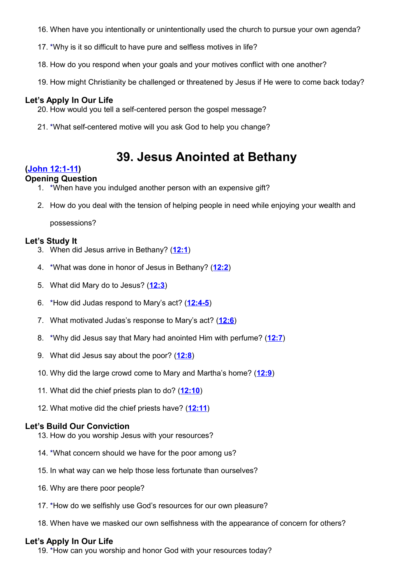- 16. When have you intentionally or unintentionally used the church to pursue your own agenda?
- 17. \*Why is it so difficult to have pure and selfless motives in life?
- 18. How do you respond when your goals and your motives conflict with one another?
- 19. How might Christianity be challenged or threatened by Jesus if He were to come back today?

- 20. How would you tell a self-centered person the gospel message?
- 21. \*What self-centered motive will you ask God to help you change?

# **39. Jesus Anointed at Bethany**

#### **[\(John 12:1-11\)](http://www.crossbooks.com/verse.asp?ref=Jn+12%3A1-11)**

#### **Opening Question**

- 1. \*When have you indulged another person with an expensive gift?
- 2. How do you deal with the tension of helping people in need while enjoying your wealth and

possessions?

#### **Let's Study It**

- 3. When did Jesus arrive in Bethany? (**[12:1](http://www.crossbooks.com/verse.asp?ref=Jn+12%3A1)**)
- 4. \*What was done in honor of Jesus in Bethany? (**[12:2](http://www.crossbooks.com/verse.asp?ref=Jn+12%3A2)**)
- 5. What did Mary do to Jesus? (**[12:3](http://www.crossbooks.com/verse.asp?ref=Jn+12%3A3)**)
- 6. \*How did Judas respond to Mary's act? (**[12:4-5](http://www.crossbooks.com/verse.asp?ref=Jn+12%3A4-5)**)
- 7. What motivated Judas's response to Mary's act? (**[12:6](http://www.crossbooks.com/verse.asp?ref=Jn+12%3A6)**)
- 8. \*Why did Jesus say that Mary had anointed Him with perfume? (**[12:7](http://www.crossbooks.com/verse.asp?ref=Jn+12%3A7)**)
- 9. What did Jesus say about the poor? (**[12:8](http://www.crossbooks.com/verse.asp?ref=Jn+12%3A8)**)
- 10. Why did the large crowd come to Mary and Martha's home? (**[12:9](http://www.crossbooks.com/verse.asp?ref=Jn+12%3A9)**)
- 11. What did the chief priests plan to do? (**[12:10](http://www.crossbooks.com/verse.asp?ref=Jn+12%3A10)**)
- 12. What motive did the chief priests have? (**[12:11](http://www.crossbooks.com/verse.asp?ref=Jn+12%3A11)**)

#### **Let's Build Our Conviction**

- 13. How do you worship Jesus with your resources?
- 14. \*What concern should we have for the poor among us?
- 15. In what way can we help those less fortunate than ourselves?
- 16. Why are there poor people?
- 17. \*How do we selfishly use God's resources for our own pleasure?
- 18. When have we masked our own selfishness with the appearance of concern for others?

#### **Let's Apply In Our Life**

19. \*How can you worship and honor God with your resources today?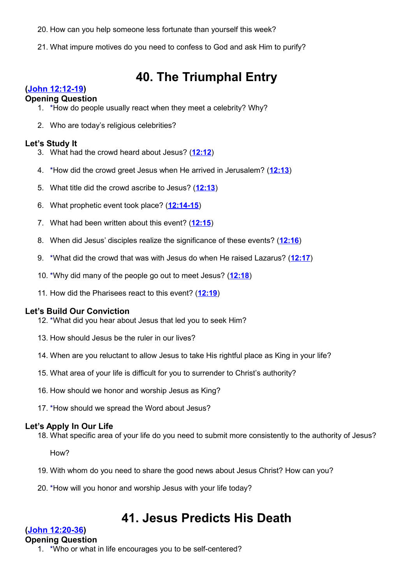- 20. How can you help someone less fortunate than yourself this week?
- 21. What impure motives do you need to confess to God and ask Him to purify?

# **40. The Triumphal Entry**

# **[\(John 12:12-19\)](http://www.crossbooks.com/verse.asp?ref=Jn+12%3A12-19)**

### **Opening Question**

- 1. \*How do people usually react when they meet a celebrity? Why?
- 2. Who are today's religious celebrities?

### **Let's Study It**

- 3. What had the crowd heard about Jesus? (**[12:12](http://www.crossbooks.com/verse.asp?ref=Jn+12%3A12)**)
- 4. \*How did the crowd greet Jesus when He arrived in Jerusalem? (**[12:13](http://www.crossbooks.com/verse.asp?ref=Jn+12%3A13)**)
- 5. What title did the crowd ascribe to Jesus? (**[12:13](http://www.crossbooks.com/verse.asp?ref=Jn+12%3A13)**)
- 6. What prophetic event took place? (**[12:14-15](http://www.crossbooks.com/verse.asp?ref=Jn+12%3A14-15)**)
- 7. What had been written about this event? (**[12:15](http://www.crossbooks.com/verse.asp?ref=Jn+12%3A15)**)
- 8. When did Jesus' disciples realize the significance of these events? (**[12:16](http://www.crossbooks.com/verse.asp?ref=Jn+12%3A16)**)
- 9. \*What did the crowd that was with Jesus do when He raised Lazarus? (**[12:17](http://www.crossbooks.com/verse.asp?ref=Jn+12%3A17)**)
- 10. \*Why did many of the people go out to meet Jesus? (**[12:18](http://www.crossbooks.com/verse.asp?ref=Jn+12%3A18)**)
- 11. How did the Pharisees react to this event? (**[12:19](http://www.crossbooks.com/verse.asp?ref=Jn+12%3A19)**)

# **Let's Build Our Conviction**

- 12. \*What did you hear about Jesus that led you to seek Him?
- 13. How should Jesus be the ruler in our lives?
- 14. When are you reluctant to allow Jesus to take His rightful place as King in your life?
- 15. What area of your life is difficult for you to surrender to Christ's authority?
- 16. How should we honor and worship Jesus as King?
- 17. \*How should we spread the Word about Jesus?

# **Let's Apply In Our Life**

18. What specific area of your life do you need to submit more consistently to the authority of Jesus?

How?

- 19. With whom do you need to share the good news about Jesus Christ? How can you?
- 20. \*How will you honor and worship Jesus with your life today?

# **41. Jesus Predicts His Death**

# **[\(John 12:20-36\)](http://www.crossbooks.com/verse.asp?ref=Jn+12%3A20-36)**

#### **Opening Question**

1. \*Who or what in life encourages you to be self-centered?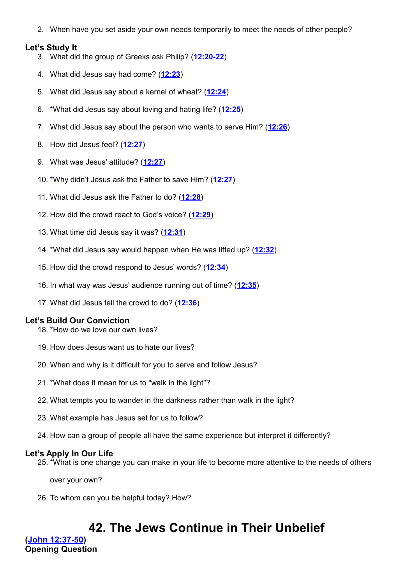2. When have you set aside your own needs temporarily to meet the needs of other people?

#### **Let's Study It**

- 3. What did the group of Greeks ask Philip? (**[12:20-22](http://www.crossbooks.com/verse.asp?ref=Jn+12%3A20-22)**)
- 4. What did Jesus say had come? (**[12:23](http://www.crossbooks.com/verse.asp?ref=Jn+12%3A23)**)
- 5. What did Jesus say about a kernel of wheat? (**[12:24](http://www.crossbooks.com/verse.asp?ref=Jn+12%3A24)**)
- 6. \*What did Jesus say about loving and hating life? (**[12:25](http://www.crossbooks.com/verse.asp?ref=Jn+12%3A25)**)
- 7. What did Jesus say about the person who wants to serve Him? (**[12:26](http://www.crossbooks.com/verse.asp?ref=Jn+12%3A26)**)
- 8. How did Jesus feel? (**[12:27](http://www.crossbooks.com/verse.asp?ref=Jn+12%3A27)**)
- 9. What was Jesus' attitude? (**[12:27](http://www.crossbooks.com/verse.asp?ref=Jn+12%3A27)**)
- 10. \*Why didn't Jesus ask the Father to save Him? (**[12:27](http://www.crossbooks.com/verse.asp?ref=Jn+12%3A27)**)
- 11. What did Jesus ask the Father to do? (**[12:28](http://www.crossbooks.com/verse.asp?ref=Jn+12%3A28)**)
- 12. How did the crowd react to God's voice? (**[12:29](http://www.crossbooks.com/verse.asp?ref=Jn+12%3A29)**)
- 13. What time did Jesus say it was? (**[12:31](http://www.crossbooks.com/verse.asp?ref=Jn+12%3A31)**)
- 14. \*What did Jesus say would happen when He was lifted up? (**[12:32](http://www.crossbooks.com/verse.asp?ref=Jn+12%3A32)**)
- 15. How did the crowd respond to Jesus' words? (**[12:34](http://www.crossbooks.com/verse.asp?ref=Jn+12%3A34)**)
- 16. In what way was Jesus' audience running out of time? (**[12:35](http://www.crossbooks.com/verse.asp?ref=Jn+12%3A35)**)
- 17. What did Jesus tell the crowd to do? (**[12:36](http://www.crossbooks.com/verse.asp?ref=Jn+12%3A36)**)

# **Let's Build Our Conviction**

- 18. \*How do we love our own lives?
- 19. How does Jesus want us to hate our lives?
- 20. When and why is it difficult for you to serve and follow Jesus?
- 21. \*What does it mean for us to "walk in the light"?
- 22. What tempts you to wander in the darkness rather than walk in the light?
- 23. What example has Jesus set for us to follow?
- 24. How can a group of people all have the same experience but interpret it differently?

# **Let's Apply In Our Life**

25. \*What is one change you can make in your life to become more attentive to the needs of others

over your own?

26. To whom can you be helpful today? How?

# **42. The Jews Continue in Their Unbelief**

**[\(John 12:37-50\)](http://www.crossbooks.com/verse.asp?ref=Jn+12%3A37-50) Opening Question**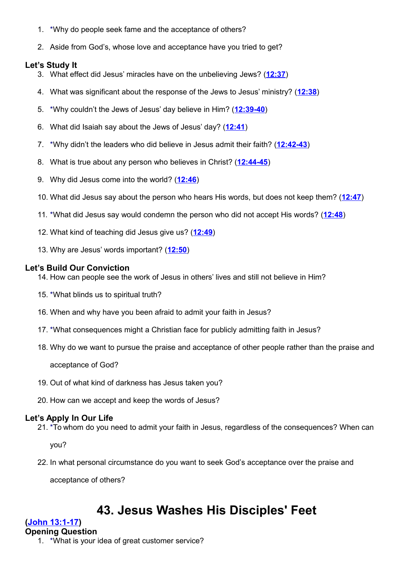- 1. \*Why do people seek fame and the acceptance of others?
- 2. Aside from God's, whose love and acceptance have you tried to get?

# **Let's Study It**

- 3. What effect did Jesus' miracles have on the unbelieving Jews? (**[12:37](http://www.crossbooks.com/verse.asp?ref=Jn+12%3A37)**)
- 4. What was significant about the response of the Jews to Jesus' ministry? (**[12:38](http://www.crossbooks.com/verse.asp?ref=Jn+12%3A38)**)
- 5. \*Why couldn't the Jews of Jesus' day believe in Him? (**[12:39-40](http://www.crossbooks.com/verse.asp?ref=Jn+12%3A39-40)**)
- 6. What did Isaiah say about the Jews of Jesus' day? (**[12:41](http://www.crossbooks.com/verse.asp?ref=Jn+12%3A41)**)
- 7. \*Why didn't the leaders who did believe in Jesus admit their faith? (**[12:42-43](http://www.crossbooks.com/verse.asp?ref=Jn+12%3A42-43)**)
- 8. What is true about any person who believes in Christ? (**[12:44-45](http://www.crossbooks.com/verse.asp?ref=Jn+12%3A44-45)**)
- 9. Why did Jesus come into the world? (**[12:46](http://www.crossbooks.com/verse.asp?ref=Jn+12%3A46)**)
- 10. What did Jesus say about the person who hears His words, but does not keep them? (**[12:47](http://www.crossbooks.com/verse.asp?ref=Jn+12%3A47)**)
- 11. \*What did Jesus say would condemn the person who did not accept His words? (**[12:48](http://www.crossbooks.com/verse.asp?ref=Jn+12%3A48)**)
- 12. What kind of teaching did Jesus give us? (**[12:49](http://www.crossbooks.com/verse.asp?ref=Jn+12%3A49)**)
- 13. Why are Jesus' words important? (**[12:50](http://www.crossbooks.com/verse.asp?ref=Jn+12%3A50)**)

#### **Let's Build Our Conviction**

- 14. How can people see the work of Jesus in others' lives and still not believe in Him?
- 15. \*What blinds us to spiritual truth?
- 16. When and why have you been afraid to admit your faith in Jesus?
- 17. \*What consequences might a Christian face for publicly admitting faith in Jesus?
- 18. Why do we want to pursue the praise and acceptance of other people rather than the praise and

acceptance of God?

- 19. Out of what kind of darkness has Jesus taken you?
- 20. How can we accept and keep the words of Jesus?

# **Let's Apply In Our Life**

21. \*To whom do you need to admit your faith in Jesus, regardless of the consequences? When can

you?

22. In what personal circumstance do you want to seek God's acceptance over the praise and

acceptance of others?

# **43. Jesus Washes His Disciples' Feet**

# **[\(John 13:1-17\)](http://www.crossbooks.com/verse.asp?ref=Jn+13%3A1-17)**

# **Opening Question**

1. \*What is your idea of great customer service?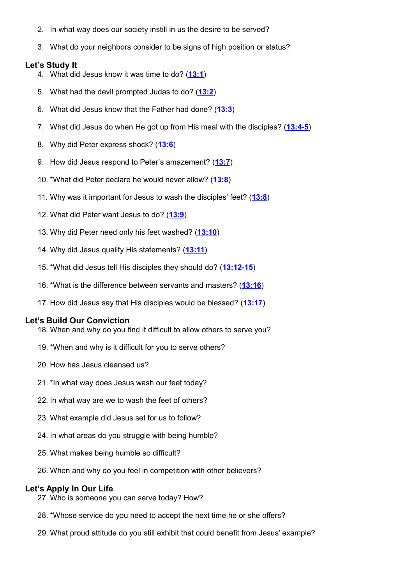- 2. In what way does our society instill in us the desire to be served?
- 3. What do your neighbors consider to be signs of high position or status?

#### **Let's Study It**

- 4. What did Jesus know it was time to do? (**[13:1](http://www.crossbooks.com/verse.asp?ref=Jn+13%3A1)**)
- 5. What had the devil prompted Judas to do? (**[13:2](http://www.crossbooks.com/verse.asp?ref=Jn+13%3A2)**)
- 6. What did Jesus know that the Father had done? (**[13:3](http://www.crossbooks.com/verse.asp?ref=Jn+13%3A3)**)
- 7. What did Jesus do when He got up from His meal with the disciples? (**[13:4-5](http://www.crossbooks.com/verse.asp?ref=Jn+13%3A4-5)**)
- 8. Why did Peter express shock? (**[13:6](http://www.crossbooks.com/verse.asp?ref=Jn+13%3A6)**)
- 9. How did Jesus respond to Peter's amazement? (**[13:7](http://www.crossbooks.com/verse.asp?ref=Jn+13%3A7)**)
- 10. \*What did Peter declare he would never allow? (**[13:8](http://www.crossbooks.com/verse.asp?ref=Jn+13%3A8)**)
- 11. Why was it important for Jesus to wash the disciples' feet? (**[13:8](http://www.crossbooks.com/verse.asp?ref=Jn+13%3A8)**)
- 12. What did Peter want Jesus to do? (**[13:9](http://www.crossbooks.com/verse.asp?ref=Jn+13%3A9)**)
- 13. Why did Peter need only his feet washed? (**[13:10](http://www.crossbooks.com/verse.asp?ref=Jn+13%3A10)**)
- 14. Why did Jesus qualify His statements? (**[13:11](http://www.crossbooks.com/verse.asp?ref=Jn+13%3A11)**)
- 15. \*What did Jesus tell His disciples they should do? (**[13:12-15](http://www.crossbooks.com/verse.asp?ref=Jn+13%3A12-15)**)
- 16. \*What is the difference between servants and masters? (**[13:16](http://www.crossbooks.com/verse.asp?ref=Jn+13%3A16)**)
- 17. How did Jesus say that His disciples would be blessed? (**[13:17](http://www.crossbooks.com/verse.asp?ref=Jn+13%3A17)**)

#### **Let's Build Our Conviction**

- 18. When and why do you find it difficult to allow others to serve you?
- 19. \*When and why is it difficult for you to serve others?
- 20. How has Jesus cleansed us?
- 21. \*In what way does Jesus wash our feet today?
- 22. In what way are we to wash the feet of others?
- 23. What example did Jesus set for us to follow?
- 24. In what areas do you struggle with being humble?
- 25. What makes being humble so difficult?
- 26. When and why do you feel in competition with other believers?

#### **Let's Apply In Our Life**

- 27. Who is someone you can serve today? How?
- 28. \*Whose service do you need to accept the next time he or she offers?
- 29. What proud attitude do you still exhibit that could benefit from Jesus' example?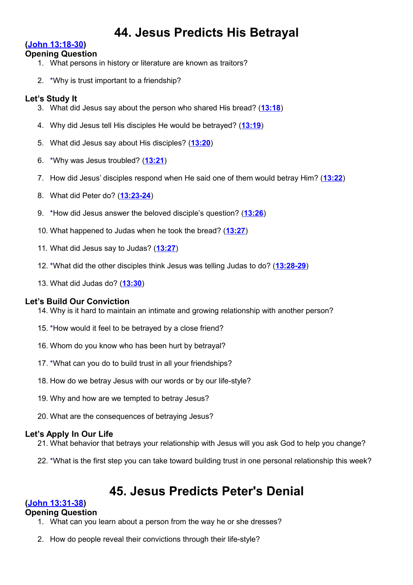# **44. Jesus Predicts His Betrayal**

# **[\(John 13:18-30\)](http://www.crossbooks.com/verse.asp?ref=Jn+13%3A18-30)**

# **Opening Question**

- 1. What persons in history or literature are known as traitors?
- 2. \*Why is trust important to a friendship?

# **Let's Study It**

- 3. What did Jesus say about the person who shared His bread? (**[13:18](http://www.crossbooks.com/verse.asp?ref=Jn+13%3A18)**)
- 4. Why did Jesus tell His disciples He would be betrayed? (**[13:19](http://www.crossbooks.com/verse.asp?ref=Jn+13%3A19)**)
- 5. What did Jesus say about His disciples? (**[13:20](http://www.crossbooks.com/verse.asp?ref=Jn+13%3A20)**)
- 6. \*Why was Jesus troubled? (**[13:21](http://www.crossbooks.com/verse.asp?ref=Jn+13%3A21)**)
- 7. How did Jesus' disciples respond when He said one of them would betray Him? (**[13:22](http://www.crossbooks.com/verse.asp?ref=Jn+13%3A22)**)
- 8. What did Peter do? (**[13:23-24](http://www.crossbooks.com/verse.asp?ref=Jn+13%3A23-24)**)
- 9. \*How did Jesus answer the beloved disciple's question? (**[13:26](http://www.crossbooks.com/verse.asp?ref=Jn+13%3A26)**)
- 10. What happened to Judas when he took the bread? (**[13:27](http://www.crossbooks.com/verse.asp?ref=Jn+13%3A27)**)
- 11. What did Jesus say to Judas? (**[13:27](http://www.crossbooks.com/verse.asp?ref=Jn+13%3A27)**)
- 12. \*What did the other disciples think Jesus was telling Judas to do? (**[13:28-29](http://www.crossbooks.com/verse.asp?ref=Jn+13%3A28-29)**)
- 13. What did Judas do? (**[13:30](http://www.crossbooks.com/verse.asp?ref=Jn+13%3A30)**)

# **Let's Build Our Conviction**

- 14. Why is it hard to maintain an intimate and growing relationship with another person?
- 15. \*How would it feel to be betrayed by a close friend?
- 16. Whom do you know who has been hurt by betrayal?
- 17. \*What can you do to build trust in all your friendships?
- 18. How do we betray Jesus with our words or by our life-style?
- 19. Why and how are we tempted to betray Jesus?
- 20. What are the consequences of betraying Jesus?

# **Let's Apply In Our Life**

- 21. What behavior that betrays your relationship with Jesus will you ask God to help you change?
- 22. \*What is the first step you can take toward building trust in one personal relationship this week?

# **45. Jesus Predicts Peter's Denial**

# **[\(John 13:31-38\)](http://www.crossbooks.com/verse.asp?ref=Jn+13%3A31-38)**

# **Opening Question**

- 1. What can you learn about a person from the way he or she dresses?
- 2. How do people reveal their convictions through their life-style?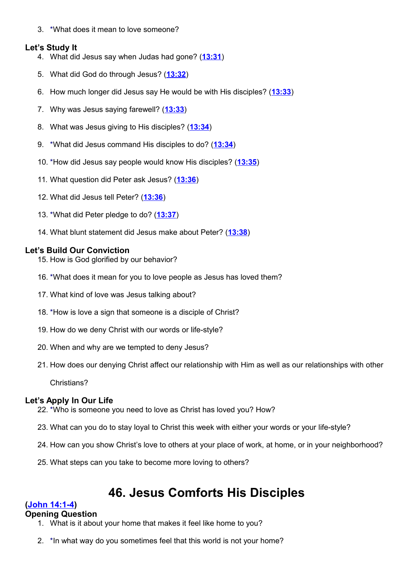3. \*What does it mean to love someone?

# **Let's Study It**

- 4. What did Jesus say when Judas had gone? (**[13:31](http://www.crossbooks.com/verse.asp?ref=Jn+13%3A31)**)
- 5. What did God do through Jesus? (**[13:32](http://www.crossbooks.com/verse.asp?ref=Jn+13%3A32)**)
- 6. How much longer did Jesus say He would be with His disciples? (**[13:33](http://www.crossbooks.com/verse.asp?ref=Jn+13%3A33)**)
- 7. Why was Jesus saying farewell? (**[13:33](http://www.crossbooks.com/verse.asp?ref=Jn+13%3A33)**)
- 8. What was Jesus giving to His disciples? (**[13:34](http://www.crossbooks.com/verse.asp?ref=Jn+13%3A34)**)
- 9. \*What did Jesus command His disciples to do? (**[13:34](http://www.crossbooks.com/verse.asp?ref=Jn+13%3A34)**)
- 10. \*How did Jesus say people would know His disciples? (**[13:35](http://www.crossbooks.com/verse.asp?ref=Jn+13%3A35)**)
- 11. What question did Peter ask Jesus? (**[13:36](http://www.crossbooks.com/verse.asp?ref=Jn+13%3A36)**)
- 12. What did Jesus tell Peter? (**[13:36](http://www.crossbooks.com/verse.asp?ref=Jn+13%3A36)**)
- 13. \*What did Peter pledge to do? (**[13:37](http://www.crossbooks.com/verse.asp?ref=Jn+13%3A37)**)
- 14. What blunt statement did Jesus make about Peter? (**[13:38](http://www.crossbooks.com/verse.asp?ref=Jn+13%3A38)**)

# **Let's Build Our Conviction**

- 15. How is God glorified by our behavior?
- 16. \*What does it mean for you to love people as Jesus has loved them?
- 17. What kind of love was Jesus talking about?
- 18. \*How is love a sign that someone is a disciple of Christ?
- 19. How do we deny Christ with our words or life-style?
- 20. When and why are we tempted to deny Jesus?
- 21. How does our denying Christ affect our relationship with Him as well as our relationships with other

Christians?

# **Let's Apply In Our Life**

- 22. \*Who is someone you need to love as Christ has loved you? How?
- 23. What can you do to stay loyal to Christ this week with either your words or your life-style?
- 24. How can you show Christ's love to others at your place of work, at home, or in your neighborhood?
- 25. What steps can you take to become more loving to others?

# **46. Jesus Comforts His Disciples**

# **[\(John 14:1-4\)](http://www.crossbooks.com/verse.asp?ref=Jn+14%3A1-4)**

# **Opening Question**

- 1. What is it about your home that makes it feel like home to you?
- 2. \*In what way do you sometimes feel that this world is not your home?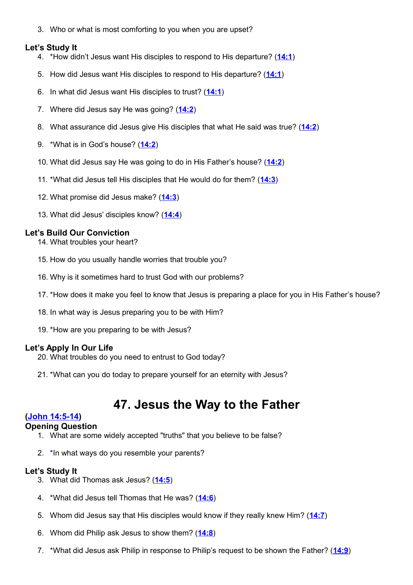3. Who or what is most comforting to you when you are upset?

#### **Let's Study It**

- 4. \*How didn't Jesus want His disciples to respond to His departure? (**[14:1](http://www.crossbooks.com/verse.asp?ref=Jn+14%3A1)**)
- 5. How did Jesus want His disciples to respond to His departure? (**[14:1](http://www.crossbooks.com/verse.asp?ref=Jn+14%3A1)**)
- 6. In what did Jesus want His disciples to trust? (**[14:1](http://www.crossbooks.com/verse.asp?ref=Jn+14%3A1)**)
- 7. Where did Jesus say He was going? (**[14:2](http://www.crossbooks.com/verse.asp?ref=Jn+14%3A2)**)
- 8. What assurance did Jesus give His disciples that what He said was true? (**[14:2](http://www.crossbooks.com/verse.asp?ref=Jn+14%3A2)**)
- 9. \*What is in God's house? (**[14:2](http://www.crossbooks.com/verse.asp?ref=Jn+14%3A2)**)
- 10. What did Jesus say He was going to do in His Father's house? (**[14:2](http://www.crossbooks.com/verse.asp?ref=Jn+14%3A2)**)
- 11. \*What did Jesus tell His disciples that He would do for them? (**[14:3](http://www.crossbooks.com/verse.asp?ref=Jn+14%3A3)**)
- 12. What promise did Jesus make? (**[14:3](http://www.crossbooks.com/verse.asp?ref=Jn+14%3A3)**)
- 13. What did Jesus' disciples know? (**[14:4](http://www.crossbooks.com/verse.asp?ref=Jn+14%3A4)**)

# **Let's Build Our Conviction**

- 14. What troubles your heart?
- 15. How do you usually handle worries that trouble you?
- 16. Why is it sometimes hard to trust God with our problems?
- 17. \*How does it make you feel to know that Jesus is preparing a place for you in His Father's house?
- 18. In what way is Jesus preparing you to be with Him?
- 19. \*How are you preparing to be with Jesus?

# **Let's Apply In Our Life**

- 20. What troubles do you need to entrust to God today?
- 21. \*What can you do today to prepare yourself for an eternity with Jesus?

# **47. Jesus the Way to the Father**

# **[\(John 14:5-14\)](http://www.crossbooks.com/verse.asp?ref=Jn+14%3A5-14)**

#### **Opening Question**

- 1. What are some widely accepted "truths" that you believe to be false?
- 2. \*In what ways do you resemble your parents?

- 3. What did Thomas ask Jesus? (**[14:5](http://www.crossbooks.com/verse.asp?ref=Jn+14%3A5)**)
- 4. \*What did Jesus tell Thomas that He was? (**[14:6](http://www.crossbooks.com/verse.asp?ref=Jn+14%3A6)**)
- 5. Whom did Jesus say that His disciples would know if they really knew Him? (**[14:7](http://www.crossbooks.com/verse.asp?ref=Jn+14%3A7)**)
- 6. Whom did Philip ask Jesus to show them? (**[14:8](http://www.crossbooks.com/verse.asp?ref=Jn+14%3A8)**)
- 7. \*What did Jesus ask Philip in response to Philip's request to be shown the Father? (**[14:9](http://www.crossbooks.com/verse.asp?ref=Jn+14%3A9)**)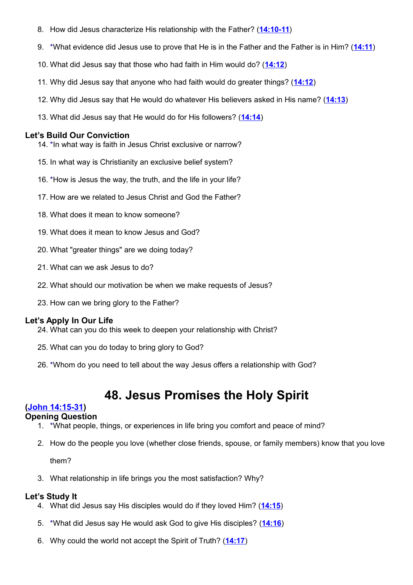- 8. How did Jesus characterize His relationship with the Father? (**[14:10-11](http://www.crossbooks.com/verse.asp?ref=Jn+14%3A10-11)**)
- 9. \*What evidence did Jesus use to prove that He is in the Father and the Father is in Him? (**[14:11](http://www.crossbooks.com/verse.asp?ref=Jn+14%3A11)**)
- 10. What did Jesus say that those who had faith in Him would do? (**[14:12](http://www.crossbooks.com/verse.asp?ref=Jn+14%3A12)**)
- 11. Why did Jesus say that anyone who had faith would do greater things? (**[14:12](http://www.crossbooks.com/verse.asp?ref=Jn+14%3A12)**)
- 12. Why did Jesus say that He would do whatever His believers asked in His name? (**[14:13](http://www.crossbooks.com/verse.asp?ref=Jn+14%3A13)**)
- 13. What did Jesus say that He would do for His followers? (**[14:14](http://www.crossbooks.com/verse.asp?ref=Jn+14%3A14)**)

- 14. \*In what way is faith in Jesus Christ exclusive or narrow?
- 15. In what way is Christianity an exclusive belief system?
- 16. \*How is Jesus the way, the truth, and the life in your life?
- 17. How are we related to Jesus Christ and God the Father?
- 18. What does it mean to know someone?
- 19. What does it mean to know Jesus and God?
- 20. What "greater things" are we doing today?
- 21. What can we ask Jesus to do?
- 22. What should our motivation be when we make requests of Jesus?
- 23. How can we bring glory to the Father?

# **Let's Apply In Our Life**

- 24. What can you do this week to deepen your relationship with Christ?
- 25. What can you do today to bring glory to God?
- 26. \*Whom do you need to tell about the way Jesus offers a relationship with God?

# **48. Jesus Promises the Holy Spirit**

# **[\(John 14:15-31\)](http://www.crossbooks.com/verse.asp?ref=Jn+14%3A15-31)**

# **Opening Question**

- 1. \*What people, things, or experiences in life bring you comfort and peace of mind?
- 2. How do the people you love (whether close friends, spouse, or family members) know that you love

them?

3. What relationship in life brings you the most satisfaction? Why?

- 4. What did Jesus say His disciples would do if they loved Him? (**[14:15](http://www.crossbooks.com/verse.asp?ref=Jn+14%3A15)**)
- 5. \*What did Jesus say He would ask God to give His disciples? (**[14:16](http://www.crossbooks.com/verse.asp?ref=Jn+14%3A16)**)
- 6. Why could the world not accept the Spirit of Truth? (**[14:17](http://www.crossbooks.com/verse.asp?ref=Jn+14%3A17)**)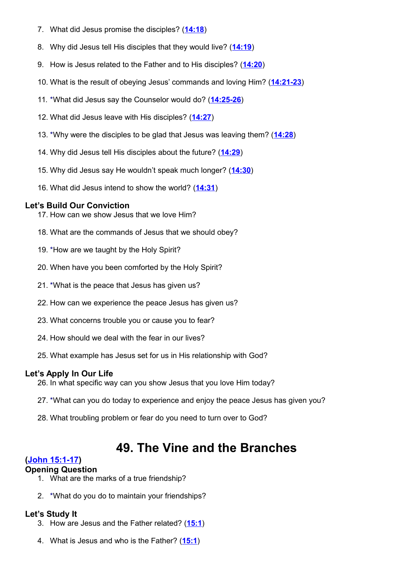- 7. What did Jesus promise the disciples? (**[14:18](http://www.crossbooks.com/verse.asp?ref=Jn+14%3A18)**)
- 8. Why did Jesus tell His disciples that they would live? (**[14:19](http://www.crossbooks.com/verse.asp?ref=Jn+14%3A19)**)
- 9. How is Jesus related to the Father and to His disciples? (**[14:20](http://www.crossbooks.com/verse.asp?ref=Jn+14%3A20)**)
- 10. What is the result of obeying Jesus' commands and loving Him? (**[14:21-23](http://www.crossbooks.com/verse.asp?ref=Jn+14%3A21-23)**)
- 11. \*What did Jesus say the Counselor would do? (**[14:25-26](http://www.crossbooks.com/verse.asp?ref=Jn+14%3A25-26)**)
- 12. What did Jesus leave with His disciples? (**[14:27](http://www.crossbooks.com/verse.asp?ref=Jn+14%3A27)**)
- 13. \*Why were the disciples to be glad that Jesus was leaving them? (**[14:28](http://www.crossbooks.com/verse.asp?ref=Jn+14%3A28)**)
- 14. Why did Jesus tell His disciples about the future? (**[14:29](http://www.crossbooks.com/verse.asp?ref=Jn+14%3A29)**)
- 15. Why did Jesus say He wouldn't speak much longer? (**[14:30](http://www.crossbooks.com/verse.asp?ref=Jn+14%3A30)**)
- 16. What did Jesus intend to show the world? (**[14:31](http://www.crossbooks.com/verse.asp?ref=Jn+14%3A31)**)

- 17. How can we show Jesus that we love Him?
- 18. What are the commands of Jesus that we should obey?
- 19. \*How are we taught by the Holy Spirit?
- 20. When have you been comforted by the Holy Spirit?
- 21. \*What is the peace that Jesus has given us?
- 22. How can we experience the peace Jesus has given us?
- 23. What concerns trouble you or cause you to fear?
- 24. How should we deal with the fear in our lives?
- 25. What example has Jesus set for us in His relationship with God?

#### **Let's Apply In Our Life**

- 26. In what specific way can you show Jesus that you love Him today?
- 27. \*What can you do today to experience and enjoy the peace Jesus has given you?
- 28. What troubling problem or fear do you need to turn over to God?

# **49. The Vine and the Branches**

#### **[\(John 15:1-17\)](http://www.crossbooks.com/verse.asp?ref=Jn+15%3A1-17)**

#### **Opening Question**

- 1. What are the marks of a true friendship?
- 2. \*What do you do to maintain your friendships?

- 3. How are Jesus and the Father related? (**[15:1](http://www.crossbooks.com/verse.asp?ref=Jn+15%3A1)**)
- 4. What is Jesus and who is the Father? (**[15:1](http://www.crossbooks.com/verse.asp?ref=Jn+15%3A1)**)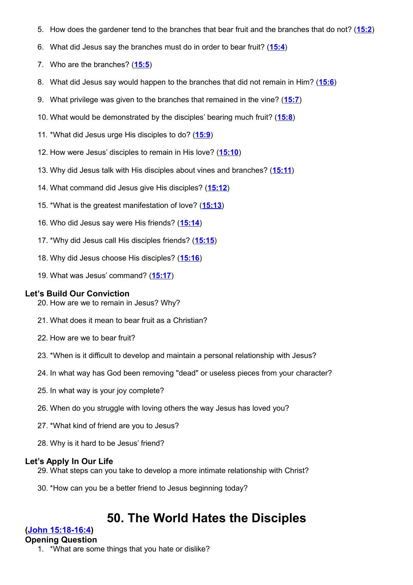- 5. How does the gardener tend to the branches that bear fruit and the branches that do not? (**[15:2](http://www.crossbooks.com/verse.asp?ref=Jn+15%3A2)**)
- 6. What did Jesus say the branches must do in order to bear fruit? (**[15:4](http://www.crossbooks.com/verse.asp?ref=Jn+15%3A4)**)
- 7. Who are the branches? (**[15:5](http://www.crossbooks.com/verse.asp?ref=Jn+15%3A5)**)
- 8. What did Jesus say would happen to the branches that did not remain in Him? (**[15:6](http://www.crossbooks.com/verse.asp?ref=Jn+15%3A6)**)
- 9. What privilege was given to the branches that remained in the vine? (**[15:7](http://www.crossbooks.com/verse.asp?ref=Jn+15%3A7)**)
- 10. What would be demonstrated by the disciples' bearing much fruit? (**[15:8](http://www.crossbooks.com/verse.asp?ref=Jn+15%3A8)**)
- 11. \*What did Jesus urge His disciples to do? (**[15:9](http://www.crossbooks.com/verse.asp?ref=Jn+15%3A9)**)
- 12. How were Jesus' disciples to remain in His love? (**[15:10](http://www.crossbooks.com/verse.asp?ref=Jn+15%3A10)**)
- 13. Why did Jesus talk with His disciples about vines and branches? (**[15:11](http://www.crossbooks.com/verse.asp?ref=Jn+15%3A11)**)
- 14. What command did Jesus give His disciples? (**[15:12](http://www.crossbooks.com/verse.asp?ref=Jn+15%3A12)**)
- 15. \*What is the greatest manifestation of love? (**[15:13](http://www.crossbooks.com/verse.asp?ref=Jn+15%3A13)**)
- 16. Who did Jesus say were His friends? (**[15:14](http://www.crossbooks.com/verse.asp?ref=Jn+15%3A14)**)
- 17. \*Why did Jesus call His disciples friends? (**[15:15](http://www.crossbooks.com/verse.asp?ref=Jn+15%3A15)**)
- 18. Why did Jesus choose His disciples? (**[15:16](http://www.crossbooks.com/verse.asp?ref=Jn+15%3A16)**)
- 19. What was Jesus' command? (**[15:17](http://www.crossbooks.com/verse.asp?ref=Jn+15%3A17)**)

- 20. How are we to remain in Jesus? Why?
- 21. What does it mean to bear fruit as a Christian?
- 22. How are we to bear fruit?
- 23. \*When is it difficult to develop and maintain a personal relationship with Jesus?
- 24. In what way has God been removing "dead" or useless pieces from your character?
- 25. In what way is your joy complete?
- 26. When do you struggle with loving others the way Jesus has loved you?
- 27. \*What kind of friend are you to Jesus?
- 28. Why is it hard to be Jesus' friend?

#### **Let's Apply In Our Life**

- 29. What steps can you take to develop a more intimate relationship with Christ?
- 30. \*How can you be a better friend to Jesus beginning today?

# **50. The World Hates the Disciples**

#### **[\(John 15:18-16:4\)](http://www.crossbooks.com/verse.asp?ref=Jn+15%3A18-16%3A4)**

#### **Opening Question**

1. \*What are some things that you hate or dislike?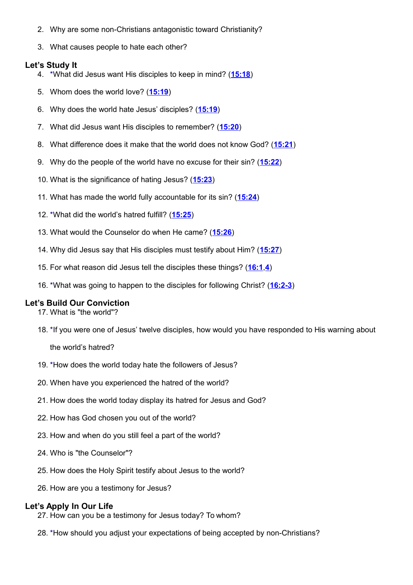- 2. Why are some non-Christians antagonistic toward Christianity?
- 3. What causes people to hate each other?

# **Let's Study It**

- 4. \*What did Jesus want His disciples to keep in mind? (**[15:18](http://www.crossbooks.com/verse.asp?ref=Jn+15%3A18)**)
- 5. Whom does the world love? (**[15:19](http://www.crossbooks.com/verse.asp?ref=Jn+15%3A19)**)
- 6. Why does the world hate Jesus' disciples? (**[15:19](http://www.crossbooks.com/verse.asp?ref=Jn+15%3A19)**)
- 7. What did Jesus want His disciples to remember? (**[15:20](http://www.crossbooks.com/verse.asp?ref=Jn+15%3A20)**)
- 8. What difference does it make that the world does not know God? (**[15:21](http://www.crossbooks.com/verse.asp?ref=Jn+15%3A21)**)
- 9. Why do the people of the world have no excuse for their sin? (**[15:22](http://www.crossbooks.com/verse.asp?ref=Jn+15%3A22)**)
- 10. What is the significance of hating Jesus? (**[15:23](http://www.crossbooks.com/verse.asp?ref=Jn+15%3A23)**)
- 11. What has made the world fully accountable for its sin? (**[15:24](http://www.crossbooks.com/verse.asp?ref=Jn+15%3A24)**)
- 12. \*What did the world's hatred fulfill? (**[15:25](http://www.crossbooks.com/verse.asp?ref=Jn+15%3A25)**)
- 13. What would the Counselor do when He came? (**[15:26](http://www.crossbooks.com/verse.asp?ref=Jn+15%3A26)**)
- 14. Why did Jesus say that His disciples must testify about Him? (**[15:27](http://www.crossbooks.com/verse.asp?ref=Jn+15%3A27)**)
- 15. For what reason did Jesus tell the disciples these things? (**[16:1](http://www.crossbooks.com/verse.asp?ref=Jn+16%3A1)**,**[4](http://www.crossbooks.com/verse.asp?ref=Jn+16%3A4)**)
- 16. \*What was going to happen to the disciples for following Christ? (**[16:2-3](http://www.crossbooks.com/verse.asp?ref=Jn+16%3A2-3)**)

# **Let's Build Our Conviction**

17. What is "the world"?

18. \*If you were one of Jesus' twelve disciples, how would you have responded to His warning about

the world's hatred?

- 19. \*How does the world today hate the followers of Jesus?
- 20. When have you experienced the hatred of the world?
- 21. How does the world today display its hatred for Jesus and God?
- 22. How has God chosen you out of the world?
- 23. How and when do you still feel a part of the world?
- 24. Who is "the Counselor"?
- 25. How does the Holy Spirit testify about Jesus to the world?
- 26. How are you a testimony for Jesus?

# **Let's Apply In Our Life**

27. How can you be a testimony for Jesus today? To whom?

28. \*How should you adjust your expectations of being accepted by non-Christians?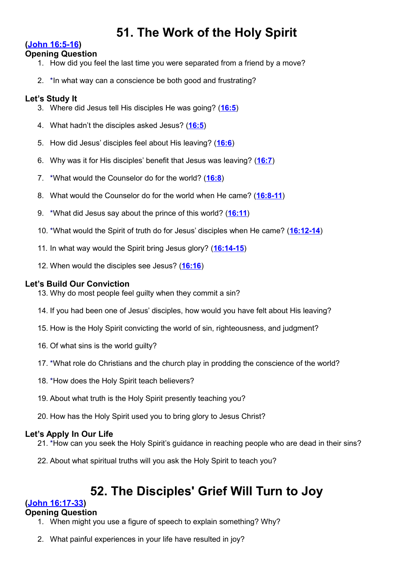# **51. The Work of the Holy Spirit**

# **[\(John 16:5-16\)](http://www.crossbooks.com/verse.asp?ref=Jn+16%3A5-16)**

# **Opening Question**

- 1. How did you feel the last time you were separated from a friend by a move?
- 2. \*In what way can a conscience be both good and frustrating?

# **Let's Study It**

- 3. Where did Jesus tell His disciples He was going? (**[16:5](http://www.crossbooks.com/verse.asp?ref=Jn+16%3A5)**)
- 4. What hadn't the disciples asked Jesus? (**[16:5](http://www.crossbooks.com/verse.asp?ref=Jn+16%3A5)**)
- 5. How did Jesus' disciples feel about His leaving? (**[16:6](http://www.crossbooks.com/verse.asp?ref=Jn+16%3A6)**)
- 6. Why was it for His disciples' benefit that Jesus was leaving? (**[16:7](http://www.crossbooks.com/verse.asp?ref=Jn+16%3A7)**)
- 7. \*What would the Counselor do for the world? (**[16:8](http://www.crossbooks.com/verse.asp?ref=Jn+16%3A8)**)
- 8. What would the Counselor do for the world when He came? (**[16:8-11](http://www.crossbooks.com/verse.asp?ref=Jn+16%3A8-11)**)
- 9. \*What did Jesus say about the prince of this world? (**[16:11](http://www.crossbooks.com/verse.asp?ref=Jn+16%3A11)**)
- 10. \*What would the Spirit of truth do for Jesus' disciples when He came? (**[16:12-14](http://www.crossbooks.com/verse.asp?ref=Jn+16%3A12-14)**)
- 11. In what way would the Spirit bring Jesus glory? (**[16:14-15](http://www.crossbooks.com/verse.asp?ref=Jn+16%3A14-15)**)
- 12. When would the disciples see Jesus? (**[16:16](http://www.crossbooks.com/verse.asp?ref=Jn+16%3A16)**)

# **Let's Build Our Conviction**

- 13. Why do most people feel guilty when they commit a sin?
- 14. If you had been one of Jesus' disciples, how would you have felt about His leaving?
- 15. How is the Holy Spirit convicting the world of sin, righteousness, and judgment?
- 16. Of what sins is the world guilty?
- 17. \*What role do Christians and the church play in prodding the conscience of the world?
- 18. \*How does the Holy Spirit teach believers?
- 19. About what truth is the Holy Spirit presently teaching you?
- 20. How has the Holy Spirit used you to bring glory to Jesus Christ?

# **Let's Apply In Our Life**

- 21. \*How can you seek the Holy Spirit's guidance in reaching people who are dead in their sins?
- 22. About what spiritual truths will you ask the Holy Spirit to teach you?

# **52. The Disciples' Grief Will Turn to Joy**

# **[\(John 16:17-33\)](http://www.crossbooks.com/verse.asp?ref=Jn+16%3A17-33)**

#### **Opening Question**

- 1. When might you use a figure of speech to explain something? Why?
- 2. What painful experiences in your life have resulted in joy?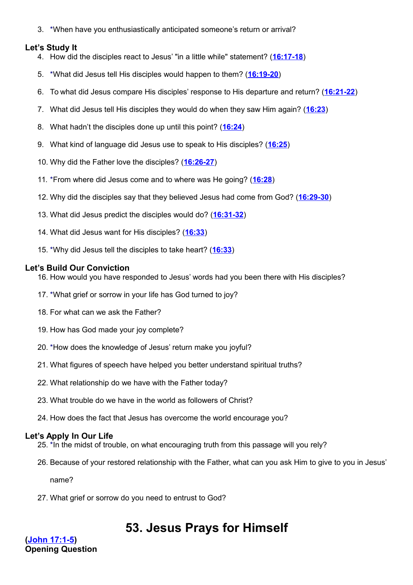3. \*When have you enthusiastically anticipated someone's return or arrival?

#### **Let's Study It**

- 4. How did the disciples react to Jesus' "in a little while" statement? (**[16:17-18](http://www.crossbooks.com/verse.asp?ref=Jn+16%3A17-18)**)
- 5. \*What did Jesus tell His disciples would happen to them? (**[16:19-20](http://www.crossbooks.com/verse.asp?ref=Jn+16%3A19-20)**)
- 6. To what did Jesus compare His disciples' response to His departure and return? (**[16:21-22](http://www.crossbooks.com/verse.asp?ref=Jn+16%3A21-22)**)
- 7. What did Jesus tell His disciples they would do when they saw Him again? (**[16:23](http://www.crossbooks.com/verse.asp?ref=Jn+16%3A23)**)
- 8. What hadn't the disciples done up until this point? (**[16:24](http://www.crossbooks.com/verse.asp?ref=Jn+16%3A24)**)
- 9. What kind of language did Jesus use to speak to His disciples? (**[16:25](http://www.crossbooks.com/verse.asp?ref=Jn+16%3A25)**)
- 10. Why did the Father love the disciples? (**[16:26-27](http://www.crossbooks.com/verse.asp?ref=Jn+16%3A26-27)**)
- 11. \*From where did Jesus come and to where was He going? (**[16:28](http://www.crossbooks.com/verse.asp?ref=Jn+16%3A28)**)
- 12. Why did the disciples say that they believed Jesus had come from God? (**[16:29-30](http://www.crossbooks.com/verse.asp?ref=Jn+16%3A29-30)**)
- 13. What did Jesus predict the disciples would do? (**[16:31-32](http://www.crossbooks.com/verse.asp?ref=Jn+16%3A31-32)**)
- 14. What did Jesus want for His disciples? (**[16:33](http://www.crossbooks.com/verse.asp?ref=Jn+16%3A33)**)
- 15. \*Why did Jesus tell the disciples to take heart? (**[16:33](http://www.crossbooks.com/verse.asp?ref=Jn+16%3A33)**)

#### **Let's Build Our Conviction**

- 16. How would you have responded to Jesus' words had you been there with His disciples?
- 17. \*What grief or sorrow in your life has God turned to joy?
- 18. For what can we ask the Father?
- 19. How has God made your joy complete?
- 20. \*How does the knowledge of Jesus' return make you joyful?
- 21. What figures of speech have helped you better understand spiritual truths?
- 22. What relationship do we have with the Father today?
- 23. What trouble do we have in the world as followers of Christ?
- 24. How does the fact that Jesus has overcome the world encourage you?

# **Let's Apply In Our Life**

- 25. \*In the midst of trouble, on what encouraging truth from this passage will you rely?
- 26. Because of your restored relationship with the Father, what can you ask Him to give to you in Jesus'

name?

27. What grief or sorrow do you need to entrust to God?

# **53. Jesus Prays for Himself**

**[\(John 17:1-5\)](http://www.crossbooks.com/verse.asp?ref=Jn+17%3A1-5) Opening Question**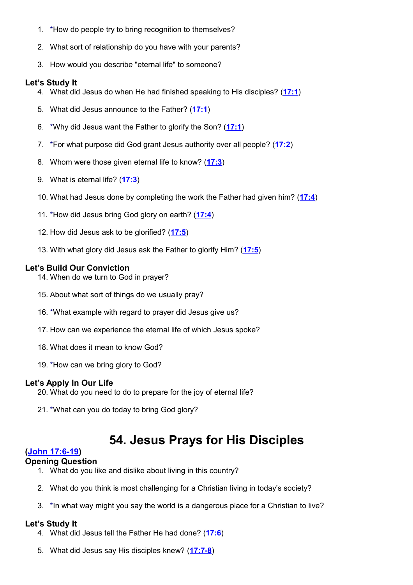- 1. \*How do people try to bring recognition to themselves?
- 2. What sort of relationship do you have with your parents?
- 3. How would you describe "eternal life" to someone?

#### **Let's Study It**

- 4. What did Jesus do when He had finished speaking to His disciples? (**[17:1](http://www.crossbooks.com/verse.asp?ref=Jn+17%3A1)**)
- 5. What did Jesus announce to the Father? (**[17:1](http://www.crossbooks.com/verse.asp?ref=Jn+17%3A1)**)
- 6. \*Why did Jesus want the Father to glorify the Son? (**[17:1](http://www.crossbooks.com/verse.asp?ref=Jn+17%3A1)**)
- 7. \*For what purpose did God grant Jesus authority over all people? (**[17:2](http://www.crossbooks.com/verse.asp?ref=Jn+17%3A2)**)
- 8. Whom were those given eternal life to know? (**[17:3](http://www.crossbooks.com/verse.asp?ref=Jn+17%3A3)**)
- 9. What is eternal life? (**[17:3](http://www.crossbooks.com/verse.asp?ref=Jn+17%3A3)**)
- 10. What had Jesus done by completing the work the Father had given him? (**[17:4](http://www.crossbooks.com/verse.asp?ref=Jn+17%3A4)**)
- 11. \*How did Jesus bring God glory on earth? (**[17:4](http://www.crossbooks.com/verse.asp?ref=Jn+17%3A4)**)
- 12. How did Jesus ask to be glorified? (**[17:5](http://www.crossbooks.com/verse.asp?ref=Jn+17%3A5)**)
- 13. With what glory did Jesus ask the Father to glorify Him? (**[17:5](http://www.crossbooks.com/verse.asp?ref=Jn+17%3A5)**)

# **Let's Build Our Conviction**

- 14. When do we turn to God in prayer?
- 15. About what sort of things do we usually pray?
- 16. \*What example with regard to prayer did Jesus give us?
- 17. How can we experience the eternal life of which Jesus spoke?
- 18. What does it mean to know God?
- 19. \*How can we bring glory to God?

# **Let's Apply In Our Life**

- 20. What do you need to do to prepare for the joy of eternal life?
- 21. \*What can you do today to bring God glory?

# **54. Jesus Prays for His Disciples**

# **[\(John 17:6-19\)](http://www.crossbooks.com/verse.asp?ref=Jn+17%3A6-19)**

# **Opening Question**

- 1. What do you like and dislike about living in this country?
- 2. What do you think is most challenging for a Christian living in today's society?
- 3. \*In what way might you say the world is a dangerous place for a Christian to live?

- 4. What did Jesus tell the Father He had done? (**[17:6](http://www.crossbooks.com/verse.asp?ref=Jn+17%3A6)**)
- 5. What did Jesus say His disciples knew? (**[17:7-8](http://www.crossbooks.com/verse.asp?ref=Jn+17%3A7-8)**)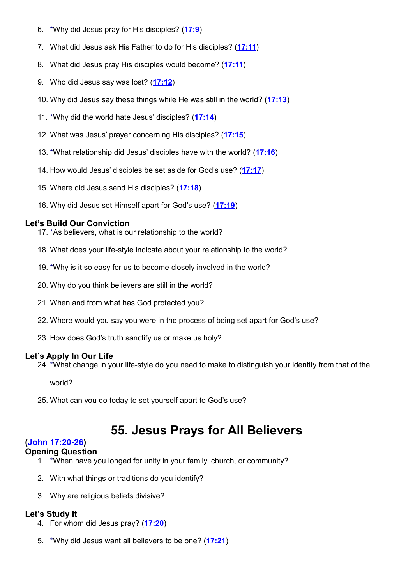- 6. \*Why did Jesus pray for His disciples? (**[17:9](http://www.crossbooks.com/verse.asp?ref=Jn+17%3A9)**)
- 7. What did Jesus ask His Father to do for His disciples? (**[17:11](http://www.crossbooks.com/verse.asp?ref=Jn+17%3A11)**)
- 8. What did Jesus pray His disciples would become? (**[17:11](http://www.crossbooks.com/verse.asp?ref=Jn+17%3A11)**)
- 9. Who did Jesus say was lost? (**[17:12](http://www.crossbooks.com/verse.asp?ref=Jn+17%3A12)**)
- 10. Why did Jesus say these things while He was still in the world? (**[17:13](http://www.crossbooks.com/verse.asp?ref=Jn+17%3A13)**)
- 11. \*Why did the world hate Jesus' disciples? (**[17:14](http://www.crossbooks.com/verse.asp?ref=Jn+17%3A14)**)
- 12. What was Jesus' prayer concerning His disciples? (**[17:15](http://www.crossbooks.com/verse.asp?ref=Jn+17%3A15)**)
- 13. \*What relationship did Jesus' disciples have with the world? (**[17:16](http://www.crossbooks.com/verse.asp?ref=Jn+17%3A16)**)
- 14. How would Jesus' disciples be set aside for God's use? (**[17:17](http://www.crossbooks.com/verse.asp?ref=Jn+17%3A17)**)
- 15. Where did Jesus send His disciples? (**[17:18](http://www.crossbooks.com/verse.asp?ref=Jn+17%3A18)**)
- 16. Why did Jesus set Himself apart for God's use? (**[17:19](http://www.crossbooks.com/verse.asp?ref=Jn+17%3A19)**)

17. \*As believers, what is our relationship to the world?

- 18. What does your life-style indicate about your relationship to the world?
- 19. \*Why is it so easy for us to become closely involved in the world?
- 20. Why do you think believers are still in the world?
- 21. When and from what has God protected you?
- 22. Where would you say you were in the process of being set apart for God's use?
- 23. How does God's truth sanctify us or make us holy?

# **Let's Apply In Our Life**

24. \*What change in your life-style do you need to make to distinguish your identity from that of the

world?

25. What can you do today to set yourself apart to God's use?

# **55. Jesus Prays for All Believers**

# **[\(John 17:20-26\)](http://www.crossbooks.com/verse.asp?ref=Jn+17%3A20-26)**

- **Opening Question**
	- 1. \*When have you longed for unity in your family, church, or community?
	- 2. With what things or traditions do you identify?
	- 3. Why are religious beliefs divisive?

- 4. For whom did Jesus pray? (**[17:20](http://www.crossbooks.com/verse.asp?ref=Jn+17%3A20)**)
- 5. \*Why did Jesus want all believers to be one? (**[17:21](http://www.crossbooks.com/verse.asp?ref=Jn+17%3A21)**)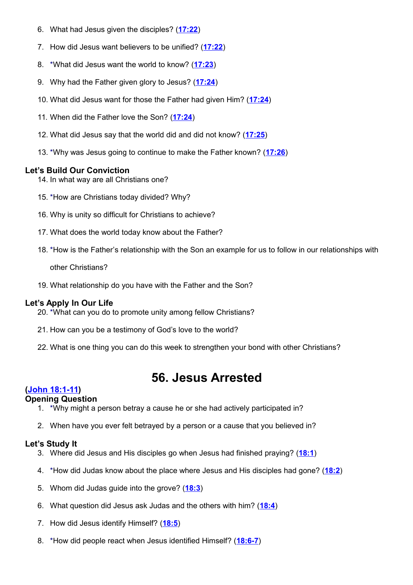- 6. What had Jesus given the disciples? (**[17:22](http://www.crossbooks.com/verse.asp?ref=Jn+17%3A22)**)
- 7. How did Jesus want believers to be unified? (**[17:22](http://www.crossbooks.com/verse.asp?ref=Jn+17%3A22)**)
- 8. \*What did Jesus want the world to know? (**[17:23](http://www.crossbooks.com/verse.asp?ref=Jn+17%3A23)**)
- 9. Why had the Father given glory to Jesus? (**[17:24](http://www.crossbooks.com/verse.asp?ref=Jn+17%3A24)**)
- 10. What did Jesus want for those the Father had given Him? (**[17:24](http://www.crossbooks.com/verse.asp?ref=Jn+17%3A24)**)
- 11. When did the Father love the Son? (**[17:24](http://www.crossbooks.com/verse.asp?ref=Jn+17%3A24)**)
- 12. What did Jesus say that the world did and did not know? (**[17:25](http://www.crossbooks.com/verse.asp?ref=Jn+17%3A25)**)
- 13. \*Why was Jesus going to continue to make the Father known? (**[17:26](http://www.crossbooks.com/verse.asp?ref=Jn+17%3A26)**)

- 14. In what way are all Christians one?
- 15. \*How are Christians today divided? Why?
- 16. Why is unity so difficult for Christians to achieve?
- 17. What does the world today know about the Father?
- 18. \*How is the Father's relationship with the Son an example for us to follow in our relationships with

other Christians?

19. What relationship do you have with the Father and the Son?

# **Let's Apply In Our Life**

- 20. \*What can you do to promote unity among fellow Christians?
- 21. How can you be a testimony of God's love to the world?
- 22. What is one thing you can do this week to strengthen your bond with other Christians?

# **56. Jesus Arrested**

# **[\(John 18:1-11\)](http://www.crossbooks.com/verse.asp?ref=Jn+18%3A1-11)**

# **Opening Question**

- 1. \*Why might a person betray a cause he or she had actively participated in?
- 2. When have you ever felt betrayed by a person or a cause that you believed in?

- 3. Where did Jesus and His disciples go when Jesus had finished praying? (**[18:1](http://www.crossbooks.com/verse.asp?ref=Jn+18%3A1)**)
- 4. \*How did Judas know about the place where Jesus and His disciples had gone? (**[18:2](http://www.crossbooks.com/verse.asp?ref=Jn+18%3A2)**)
- 5. Whom did Judas guide into the grove? (**[18:3](http://www.crossbooks.com/verse.asp?ref=Jn+18%3A3)**)
- 6. What question did Jesus ask Judas and the others with him? (**[18:4](http://www.crossbooks.com/verse.asp?ref=Jn+18%3A4)**)
- 7. How did Jesus identify Himself? (**[18:5](http://www.crossbooks.com/verse.asp?ref=Jn+18%3A5)**)
- 8. \*How did people react when Jesus identified Himself? (**[18:6-7](http://www.crossbooks.com/verse.asp?ref=Jn+18%3A6-7)**)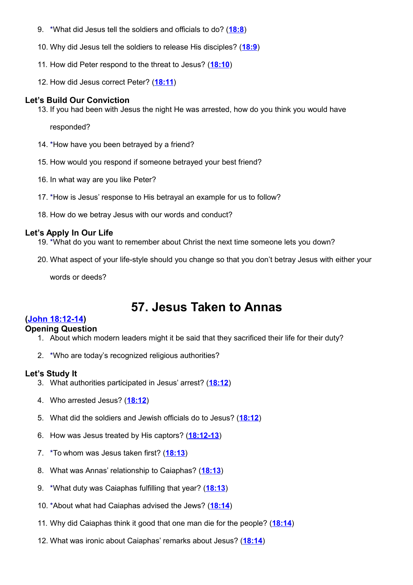- 9. \*What did Jesus tell the soldiers and officials to do? (**[18:8](http://www.crossbooks.com/verse.asp?ref=Jn+18%3A8)**)
- 10. Why did Jesus tell the soldiers to release His disciples? (**[18:9](http://www.crossbooks.com/verse.asp?ref=Jn+18%3A9)**)
- 11. How did Peter respond to the threat to Jesus? (**[18:10](http://www.crossbooks.com/verse.asp?ref=Jn+18%3A10)**)
- 12. How did Jesus correct Peter? (**[18:11](http://www.crossbooks.com/verse.asp?ref=Jn+18%3A11)**)

13. If you had been with Jesus the night He was arrested, how do you think you would have

responded?

- 14. \*How have you been betrayed by a friend?
- 15. How would you respond if someone betrayed your best friend?
- 16. In what way are you like Peter?
- 17. \*How is Jesus' response to His betrayal an example for us to follow?
- 18. How do we betray Jesus with our words and conduct?

#### **Let's Apply In Our Life**

- 19. \*What do you want to remember about Christ the next time someone lets you down?
- 20. What aspect of your life-style should you change so that you don't betray Jesus with either your

words or deeds?

# **57. Jesus Taken to Annas**

# **[\(John 18:12-14\)](http://www.crossbooks.com/verse.asp?ref=Jn+18%3A12-14)**

#### **Opening Question**

- 1. About which modern leaders might it be said that they sacrificed their life for their duty?
- 2. \*Who are today's recognized religious authorities?

- 3. What authorities participated in Jesus' arrest? (**[18:12](http://www.crossbooks.com/verse.asp?ref=Jn+18%3A12)**)
- 4. Who arrested Jesus? (**[18:12](http://www.crossbooks.com/verse.asp?ref=Jn+18%3A12)**)
- 5. What did the soldiers and Jewish officials do to Jesus? (**[18:12](http://www.crossbooks.com/verse.asp?ref=Jn+18%3A12)**)
- 6. How was Jesus treated by His captors? (**[18:12-13](http://www.crossbooks.com/verse.asp?ref=Jn+18%3A12-13)**)
- 7. \*To whom was Jesus taken first? (**[18:13](http://www.crossbooks.com/verse.asp?ref=Jn+18%3A13)**)
- 8. What was Annas' relationship to Caiaphas? (**[18:13](http://www.crossbooks.com/verse.asp?ref=Jn+18%3A13)**)
- 9. \*What duty was Caiaphas fulfilling that year? (**[18:13](http://www.crossbooks.com/verse.asp?ref=Jn+18%3A13)**)
- 10. \*About what had Caiaphas advised the Jews? (**[18:14](http://www.crossbooks.com/verse.asp?ref=Jn+18%3A14)**)
- 11. Why did Caiaphas think it good that one man die for the people? (**[18:14](http://www.crossbooks.com/verse.asp?ref=Jn+18%3A14)**)
- 12. What was ironic about Caiaphas' remarks about Jesus? (**[18:14](http://www.crossbooks.com/verse.asp?ref=Jn+18%3A14)**)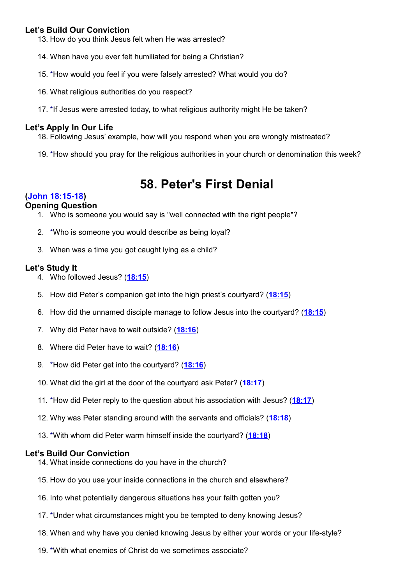13. How do you think Jesus felt when He was arrested?

- 14. When have you ever felt humiliated for being a Christian?
- 15. \*How would you feel if you were falsely arrested? What would you do?
- 16. What religious authorities do you respect?
- 17. \*If Jesus were arrested today, to what religious authority might He be taken?

#### **Let's Apply In Our Life**

18. Following Jesus' example, how will you respond when you are wrongly mistreated?

19. \*How should you pray for the religious authorities in your church or denomination this week?

# **58. Peter's First Denial**

# **[\(John 18:15-18\)](http://www.crossbooks.com/verse.asp?ref=Jn+18%3A15-18)**

#### **Opening Question**

- 1. Who is someone you would say is "well connected with the right people"?
- 2. \*Who is someone you would describe as being loyal?
- 3. When was a time you got caught lying as a child?

#### **Let's Study It**

- 4. Who followed Jesus? (**[18:15](http://www.crossbooks.com/verse.asp?ref=Jn+18%3A15)**)
- 5. How did Peter's companion get into the high priest's courtyard? (**[18:15](http://www.crossbooks.com/verse.asp?ref=Jn+18%3A15)**)
- 6. How did the unnamed disciple manage to follow Jesus into the courtyard? (**[18:15](http://www.crossbooks.com/verse.asp?ref=Jn+18%3A15)**)
- 7. Why did Peter have to wait outside? (**[18:16](http://www.crossbooks.com/verse.asp?ref=Jn+18%3A16)**)
- 8. Where did Peter have to wait? (**[18:16](http://www.crossbooks.com/verse.asp?ref=Jn+18%3A16)**)
- 9. \*How did Peter get into the courtyard? (**[18:16](http://www.crossbooks.com/verse.asp?ref=Jn+18%3A16)**)
- 10. What did the girl at the door of the courtyard ask Peter? (**[18:17](http://www.crossbooks.com/verse.asp?ref=Jn+18%3A17)**)
- 11. \*How did Peter reply to the question about his association with Jesus? (**[18:17](http://www.crossbooks.com/verse.asp?ref=Jn+18%3A17)**)
- 12. Why was Peter standing around with the servants and officials? (**[18:18](http://www.crossbooks.com/verse.asp?ref=Jn+18%3A18)**)
- 13. \*With whom did Peter warm himself inside the courtyard? (**[18:18](http://www.crossbooks.com/verse.asp?ref=Jn+18%3A18)**)

- 14. What inside connections do you have in the church?
- 15. How do you use your inside connections in the church and elsewhere?
- 16. Into what potentially dangerous situations has your faith gotten you?
- 17. \*Under what circumstances might you be tempted to deny knowing Jesus?
- 18. When and why have you denied knowing Jesus by either your words or your life-style?
- 19. \*With what enemies of Christ do we sometimes associate?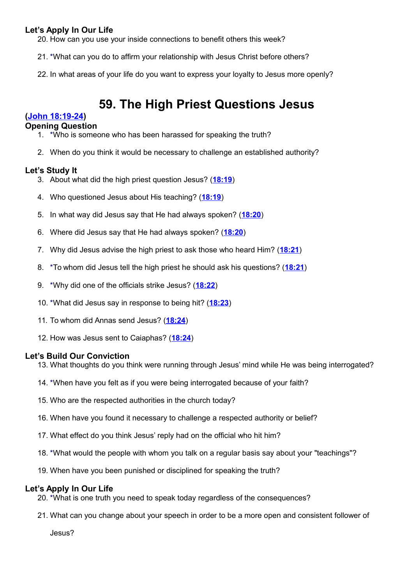20. How can you use your inside connections to benefit others this week?

21. \*What can you do to affirm your relationship with Jesus Christ before others?

22. In what areas of your life do you want to express your loyalty to Jesus more openly?

# **59. The High Priest Questions Jesus**

#### **[\(John 18:19-24\)](http://www.crossbooks.com/verse.asp?ref=Jn+18%3A19-24)**

#### **Opening Question**

- 1. \*Who is someone who has been harassed for speaking the truth?
- 2. When do you think it would be necessary to challenge an established authority?

#### **Let's Study It**

- 3. About what did the high priest question Jesus? (**[18:19](http://www.crossbooks.com/verse.asp?ref=Jn+18%3A19)**)
- 4. Who questioned Jesus about His teaching? (**[18:19](http://www.crossbooks.com/verse.asp?ref=Jn+18%3A19)**)
- 5. In what way did Jesus say that He had always spoken? (**[18:20](http://www.crossbooks.com/verse.asp?ref=Jn+18%3A20)**)
- 6. Where did Jesus say that He had always spoken? (**[18:20](http://www.crossbooks.com/verse.asp?ref=Jn+18%3A20)**)
- 7. Why did Jesus advise the high priest to ask those who heard Him? (**[18:21](http://www.crossbooks.com/verse.asp?ref=Jn+18%3A21)**)
- 8. \*To whom did Jesus tell the high priest he should ask his questions? (**[18:21](http://www.crossbooks.com/verse.asp?ref=Jn+18%3A21)**)
- 9. \*Why did one of the officials strike Jesus? (**[18:22](http://www.crossbooks.com/verse.asp?ref=Jn+18%3A22)**)
- 10. \*What did Jesus say in response to being hit? (**[18:23](http://www.crossbooks.com/verse.asp?ref=Jn+18%3A23)**)
- 11. To whom did Annas send Jesus? (**[18:24](http://www.crossbooks.com/verse.asp?ref=Jn+18%3A24)**)
- 12. How was Jesus sent to Caiaphas? (**[18:24](http://www.crossbooks.com/verse.asp?ref=Jn+18%3A24)**)

#### **Let's Build Our Conviction**

- 13. What thoughts do you think were running through Jesus' mind while He was being interrogated?
- 14. \*When have you felt as if you were being interrogated because of your faith?
- 15. Who are the respected authorities in the church today?
- 16. When have you found it necessary to challenge a respected authority or belief?
- 17. What effect do you think Jesus' reply had on the official who hit him?
- 18. \*What would the people with whom you talk on a regular basis say about your "teachings"?
- 19. When have you been punished or disciplined for speaking the truth?

#### **Let's Apply In Our Life**

- 20. \*What is one truth you need to speak today regardless of the consequences?
- 21. What can you change about your speech in order to be a more open and consistent follower of

Jesus?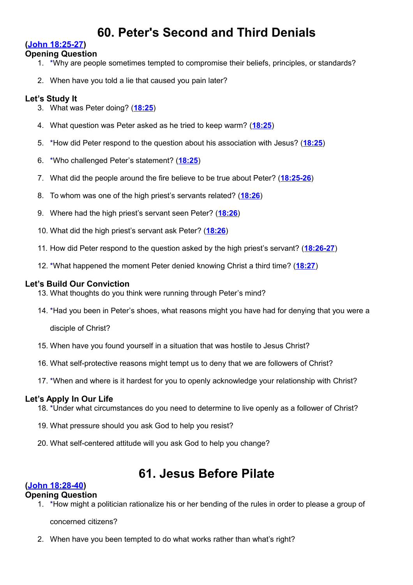# **60. Peter's Second and Third Denials**

# **[\(John 18:25-27\)](http://www.crossbooks.com/verse.asp?ref=Jn+18%3A25-27)**

# **Opening Question**

- 1. \*Why are people sometimes tempted to compromise their beliefs, principles, or standards?
- 2. When have you told a lie that caused you pain later?

# **Let's Study It**

- 3. What was Peter doing? (**[18:25](http://www.crossbooks.com/verse.asp?ref=Jn+18%3A25)**)
- 4. What question was Peter asked as he tried to keep warm? (**[18:25](http://www.crossbooks.com/verse.asp?ref=Jn+18%3A25)**)
- 5. \*How did Peter respond to the question about his association with Jesus? (**[18:25](http://www.crossbooks.com/verse.asp?ref=Jn+18%3A25)**)
- 6. \*Who challenged Peter's statement? (**[18:25](http://www.crossbooks.com/verse.asp?ref=Jn+18%3A25)**)
- 7. What did the people around the fire believe to be true about Peter? (**[18:25-26](http://www.crossbooks.com/verse.asp?ref=Jn+18%3A25-26)**)
- 8. To whom was one of the high priest's servants related? (**[18:26](http://www.crossbooks.com/verse.asp?ref=Jn+18%3A26)**)
- 9. Where had the high priest's servant seen Peter? (**[18:26](http://www.crossbooks.com/verse.asp?ref=Jn+18%3A26)**)
- 10. What did the high priest's servant ask Peter? (**[18:26](http://www.crossbooks.com/verse.asp?ref=Jn+18%3A26)**)
- 11. How did Peter respond to the question asked by the high priest's servant? (**[18:26-27](http://www.crossbooks.com/verse.asp?ref=Jn+18%3A26-27)**)
- 12. \*What happened the moment Peter denied knowing Christ a third time? (**[18:27](http://www.crossbooks.com/verse.asp?ref=Jn+18%3A27)**)

# **Let's Build Our Conviction**

- 13. What thoughts do you think were running through Peter's mind?
- 14. \*Had you been in Peter's shoes, what reasons might you have had for denying that you were a

disciple of Christ?

- 15. When have you found yourself in a situation that was hostile to Jesus Christ?
- 16. What self-protective reasons might tempt us to deny that we are followers of Christ?
- 17. \*When and where is it hardest for you to openly acknowledge your relationship with Christ?

# **Let's Apply In Our Life**

- 18. \*Under what circumstances do you need to determine to live openly as a follower of Christ?
- 19. What pressure should you ask God to help you resist?
- 20. What self-centered attitude will you ask God to help you change?

# **61. Jesus Before Pilate**

# **[\(John 18:28-40\)](http://www.crossbooks.com/verse.asp?ref=Jn+18%3A28-40)**

# **Opening Question**

1. \*How might a politician rationalize his or her bending of the rules in order to please a group of

concerned citizens?

2. When have you been tempted to do what works rather than what's right?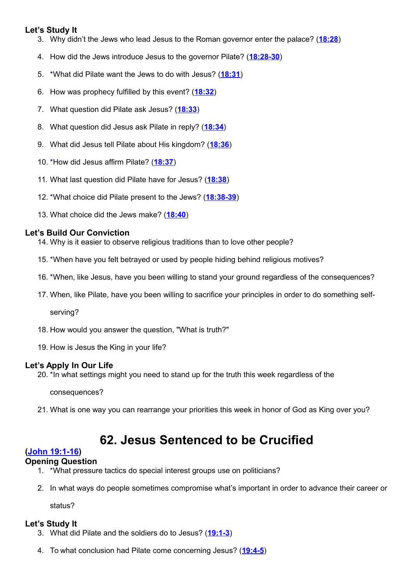# **Let's Study It**

- 3. Why didn't the Jews who lead Jesus to the Roman governor enter the palace? (**[18:28](http://www.crossbooks.com/verse.asp?ref=Jn+18%3A28)**)
- 4. How did the Jews introduce Jesus to the governor Pilate? (**[18:28-30](http://www.crossbooks.com/verse.asp?ref=Jn+18%3A28-30)**)
- 5. \*What did Pilate want the Jews to do with Jesus? (**[18:31](http://www.crossbooks.com/verse.asp?ref=Jn+18%3A31)**)
- 6. How was prophecy fulfilled by this event? (**[18:32](http://www.crossbooks.com/verse.asp?ref=Jn+18%3A32)**)
- 7. What question did Pilate ask Jesus? (**[18:33](http://www.crossbooks.com/verse.asp?ref=Jn+18%3A33)**)
- 8. What question did Jesus ask Pilate in reply? (**[18:34](http://www.crossbooks.com/verse.asp?ref=Jn+18%3A34)**)
- 9. What did Jesus tell Pilate about His kingdom? (**[18:36](http://www.crossbooks.com/verse.asp?ref=Jn+18%3A36)**)
- 10. \*How did Jesus affirm Pilate? (**[18:37](http://www.crossbooks.com/verse.asp?ref=Jn+18%3A37)**)
- 11. What last question did Pilate have for Jesus? (**[18:38](http://www.crossbooks.com/verse.asp?ref=Jn+18%3A38)**)
- 12. \*What choice did Pilate present to the Jews? (**[18:38-39](http://www.crossbooks.com/verse.asp?ref=Jn+18%3A38-39)**)
- 13. What choice did the Jews make? (**[18:40](http://www.crossbooks.com/verse.asp?ref=Jn+18%3A40)**)

#### **Let's Build Our Conviction**

- 14. Why is it easier to observe religious traditions than to love other people?
- 15. \*When have you felt betrayed or used by people hiding behind religious motives?
- 16. \*When, like Jesus, have you been willing to stand your ground regardless of the consequences?
- 17. When, like Pilate, have you been willing to sacrifice your principles in order to do something self-

serving?

- 18. How would you answer the question, "What is truth?"
- 19. How is Jesus the King in your life?

# **Let's Apply In Our Life**

20. \*In what settings might you need to stand up for the truth this week regardless of the

consequences?

21. What is one way you can rearrange your priorities this week in honor of God as King over you?

# **62. Jesus Sentenced to be Crucified**

# **[\(John 19:1-16\)](http://www.crossbooks.com/verse.asp?ref=Jn+19%3A1-16)**

#### **Opening Question**

- 1. \*What pressure tactics do special interest groups use on politicians?
- 2. In what ways do people sometimes compromise what's important in order to advance their career or

status?

- 3. What did Pilate and the soldiers do to Jesus? (**[19:1-3](http://www.crossbooks.com/verse.asp?ref=Jn+19%3A1-3)**)
- 4. To what conclusion had Pilate come concerning Jesus? (**[19:4-5](http://www.crossbooks.com/verse.asp?ref=Jn+19%3A4-5)**)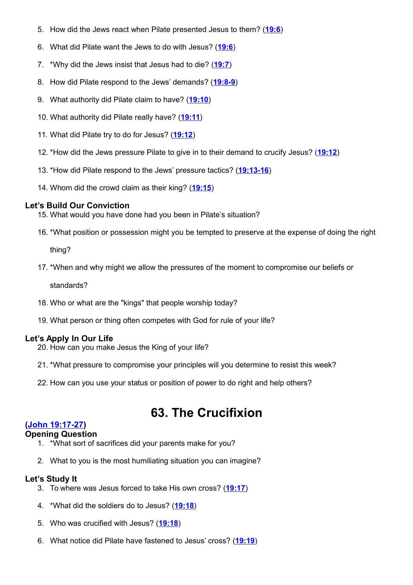- 5. How did the Jews react when Pilate presented Jesus to them? (**[19:6](http://www.crossbooks.com/verse.asp?ref=Jn+19%3A6)**)
- 6. What did Pilate want the Jews to do with Jesus? (**[19:6](http://www.crossbooks.com/verse.asp?ref=Jn+19%3A6)**)
- 7. \*Why did the Jews insist that Jesus had to die? (**[19:7](http://www.crossbooks.com/verse.asp?ref=Jn+19%3A7)**)
- 8. How did Pilate respond to the Jews' demands? (**[19:8-9](http://www.crossbooks.com/verse.asp?ref=Jn+19%3A8-9)**)
- 9. What authority did Pilate claim to have? (**[19:10](http://www.crossbooks.com/verse.asp?ref=Jn+19%3A10)**)
- 10. What authority did Pilate really have? (**[19:11](http://www.crossbooks.com/verse.asp?ref=Jn+19%3A11)**)
- 11. What did Pilate try to do for Jesus? (**[19:12](http://www.crossbooks.com/verse.asp?ref=Jn+19%3A12)**)
- 12. \*How did the Jews pressure Pilate to give in to their demand to crucify Jesus? (**[19:12](http://www.crossbooks.com/verse.asp?ref=Jn+19%3A12)**)
- 13. \*How did Pilate respond to the Jews' pressure tactics? (**[19:13-16](http://www.crossbooks.com/verse.asp?ref=Jn+19%3A13-16)**)
- 14. Whom did the crowd claim as their king? (**[19:15](http://www.crossbooks.com/verse.asp?ref=Jn+19%3A15)**)

- 15. What would you have done had you been in Pilate's situation?
- 16. \*What position or possession might you be tempted to preserve at the expense of doing the right

thing?

17. \*When and why might we allow the pressures of the moment to compromise our beliefs or

standards?

- 18. Who or what are the "kings" that people worship today?
- 19. What person or thing often competes with God for rule of your life?

# **Let's Apply In Our Life**

- 20. How can you make Jesus the King of your life?
- 21. \*What pressure to compromise your principles will you determine to resist this week?
- 22. How can you use your status or position of power to do right and help others?

# **63. The Crucifixion**

# **[\(John 19:17-27\)](http://www.crossbooks.com/verse.asp?ref=Jn+19%3A17-27)**

# **Opening Question**

- 1. \*What sort of sacrifices did your parents make for you?
- 2. What to you is the most humiliating situation you can imagine?

- 3. To where was Jesus forced to take His own cross? (**[19:17](http://www.crossbooks.com/verse.asp?ref=Jn+19%3A17)**)
- 4. \*What did the soldiers do to Jesus? (**[19:18](http://www.crossbooks.com/verse.asp?ref=Jn+19%3A18)**)
- 5. Who was crucified with Jesus? (**[19:18](http://www.crossbooks.com/verse.asp?ref=Jn+19%3A18)**)
- 6. What notice did Pilate have fastened to Jesus' cross? (**[19:19](http://www.crossbooks.com/verse.asp?ref=Jn+19%3A19)**)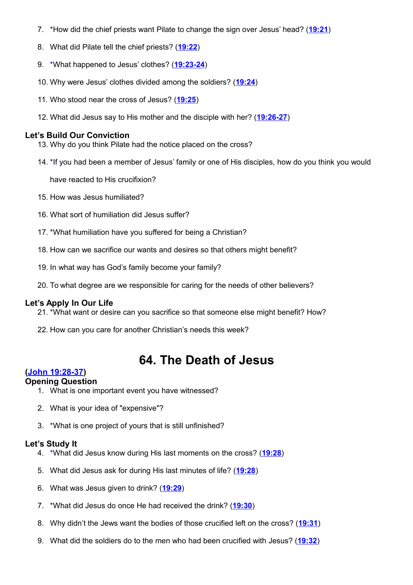- 7. \*How did the chief priests want Pilate to change the sign over Jesus' head? (**[19:21](http://www.crossbooks.com/verse.asp?ref=Jn+19%3A21)**)
- 8. What did Pilate tell the chief priests? (**[19:22](http://www.crossbooks.com/verse.asp?ref=Jn+19%3A22)**)
- 9. \*What happened to Jesus' clothes? (**[19:23-24](http://www.crossbooks.com/verse.asp?ref=Jn+19%3A23-24)**)
- 10. Why were Jesus' clothes divided among the soldiers? (**[19:24](http://www.crossbooks.com/verse.asp?ref=Jn+19%3A24)**)
- 11. Who stood near the cross of Jesus? (**[19:25](http://www.crossbooks.com/verse.asp?ref=Jn+19%3A25)**)
- 12. What did Jesus say to His mother and the disciple with her? (**[19:26-27](http://www.crossbooks.com/verse.asp?ref=Jn+19%3A26-27)**)

- 13. Why do you think Pilate had the notice placed on the cross?
- 14. \*If you had been a member of Jesus' family or one of His disciples, how do you think you would

have reacted to His crucifixion?

- 15. How was Jesus humiliated?
- 16. What sort of humiliation did Jesus suffer?
- 17. \*What humiliation have you suffered for being a Christian?
- 18. How can we sacrifice our wants and desires so that others might benefit?
- 19. In what way has God's family become your family?
- 20. To what degree are we responsible for caring for the needs of other believers?

# **Let's Apply In Our Life**

- 21. \*What want or desire can you sacrifice so that someone else might benefit? How?
- 22. How can you care for another Christian's needs this week?

# **64. The Death of Jesus**

# **[\(John 19:28-37\)](http://www.crossbooks.com/verse.asp?ref=Jn+19%3A28-37)**

#### **Opening Question**

- 1. What is one important event you have witnessed?
- 2. What is your idea of "expensive"?
- 3. \*What is one project of yours that is still unfinished?

- 4. \*What did Jesus know during His last moments on the cross? (**[19:28](http://www.crossbooks.com/verse.asp?ref=Jn+19%3A28)**)
- 5. What did Jesus ask for during His last minutes of life? (**[19:28](http://www.crossbooks.com/verse.asp?ref=Jn+19%3A28)**)
- 6. What was Jesus given to drink? (**[19:29](http://www.crossbooks.com/verse.asp?ref=Jn+19%3A29)**)
- 7. \*What did Jesus do once He had received the drink? (**[19:30](http://www.crossbooks.com/verse.asp?ref=Jn+19%3A30)**)
- 8. Why didn't the Jews want the bodies of those crucified left on the cross? (**[19:31](http://www.crossbooks.com/verse.asp?ref=Jn+19%3A31)**)
- 9. What did the soldiers do to the men who had been crucified with Jesus? (**[19:32](http://www.crossbooks.com/verse.asp?ref=Jn+19%3A32)**)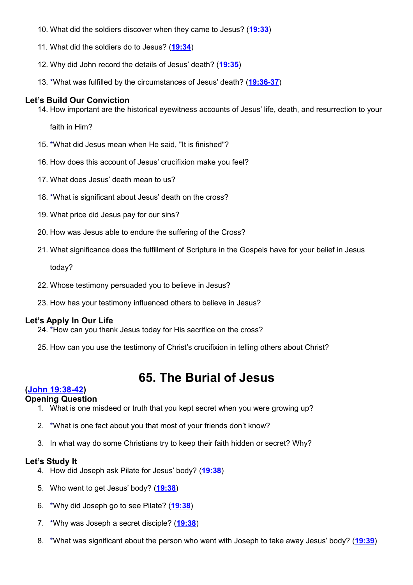- 10. What did the soldiers discover when they came to Jesus? (**[19:33](http://www.crossbooks.com/verse.asp?ref=Jn+19%3A33)**)
- 11. What did the soldiers do to Jesus? (**[19:34](http://www.crossbooks.com/verse.asp?ref=Jn+19%3A34)**)
- 12. Why did John record the details of Jesus' death? (**[19:35](http://www.crossbooks.com/verse.asp?ref=Jn+19%3A35)**)
- 13. \*What was fulfilled by the circumstances of Jesus' death? (**[19:36-37](http://www.crossbooks.com/verse.asp?ref=Jn+19%3A36-37)**)

14. How important are the historical eyewitness accounts of Jesus' life, death, and resurrection to your

faith in Him?

- 15. \*What did Jesus mean when He said, "It is finished"?
- 16. How does this account of Jesus' crucifixion make you feel?
- 17. What does Jesus' death mean to us?
- 18. \*What is significant about Jesus' death on the cross?
- 19. What price did Jesus pay for our sins?
- 20. How was Jesus able to endure the suffering of the Cross?
- 21. What significance does the fulfillment of Scripture in the Gospels have for your belief in Jesus

today?

- 22. Whose testimony persuaded you to believe in Jesus?
- 23. How has your testimony influenced others to believe in Jesus?

#### **Let's Apply In Our Life**

- 24. \*How can you thank Jesus today for His sacrifice on the cross?
- 25. How can you use the testimony of Christ's crucifixion in telling others about Christ?

# **65. The Burial of Jesus**

#### **[\(John 19:38-42\)](http://www.crossbooks.com/verse.asp?ref=Jn+19%3A38-42)**

#### **Opening Question**

- 1. What is one misdeed or truth that you kept secret when you were growing up?
- 2. \*What is one fact about you that most of your friends don't know?
- 3. In what way do some Christians try to keep their faith hidden or secret? Why?

- 4. How did Joseph ask Pilate for Jesus' body? (**[19:38](http://www.crossbooks.com/verse.asp?ref=Jn+19%3A38)**)
- 5. Who went to get Jesus' body? (**[19:38](http://www.crossbooks.com/verse.asp?ref=Jn+19%3A38)**)
- 6. \*Why did Joseph go to see Pilate? (**[19:38](http://www.crossbooks.com/verse.asp?ref=Jn+19%3A38)**)
- 7. \*Why was Joseph a secret disciple? (**[19:38](http://www.crossbooks.com/verse.asp?ref=Jn+19%3A38)**)
- 8. \*What was significant about the person who went with Joseph to take away Jesus' body? (**[19:39](http://www.crossbooks.com/verse.asp?ref=Jn+19%3A39)**)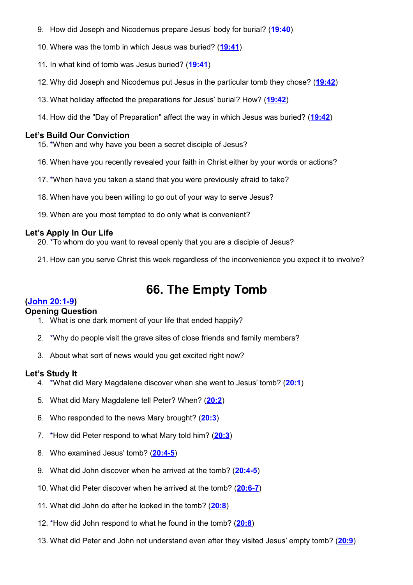- 9. How did Joseph and Nicodemus prepare Jesus' body for burial? (**[19:40](http://www.crossbooks.com/verse.asp?ref=Jn+19%3A40)**)
- 10. Where was the tomb in which Jesus was buried? (**[19:41](http://www.crossbooks.com/verse.asp?ref=Jn+19%3A41)**)
- 11. In what kind of tomb was Jesus buried? (**[19:41](http://www.crossbooks.com/verse.asp?ref=Jn+19%3A41)**)
- 12. Why did Joseph and Nicodemus put Jesus in the particular tomb they chose? (**[19:42](http://www.crossbooks.com/verse.asp?ref=Jn+19%3A42)**)
- 13. What holiday affected the preparations for Jesus' burial? How? (**[19:42](http://www.crossbooks.com/verse.asp?ref=Jn+19%3A42)**)
- 14. How did the "Day of Preparation" affect the way in which Jesus was buried? (**[19:42](http://www.crossbooks.com/verse.asp?ref=Jn+19%3A42)**)

- 15. \*When and why have you been a secret disciple of Jesus?
- 16. When have you recently revealed your faith in Christ either by your words or actions?
- 17. \*When have you taken a stand that you were previously afraid to take?
- 18. When have you been willing to go out of your way to serve Jesus?
- 19. When are you most tempted to do only what is convenient?

#### **Let's Apply In Our Life**

- 20. \*To whom do you want to reveal openly that you are a disciple of Jesus?
- 21. How can you serve Christ this week regardless of the inconvenience you expect it to involve?

# **66. The Empty Tomb**

#### **[\(John 20:1-9\)](http://www.crossbooks.com/verse.asp?ref=Jn+20%3A1-9)**

#### **Opening Question**

- 1. What is one dark moment of your life that ended happily?
- 2. \*Why do people visit the grave sites of close friends and family members?
- 3. About what sort of news would you get excited right now?

- 4. \*What did Mary Magdalene discover when she went to Jesus' tomb? (**[20:1](http://www.crossbooks.com/verse.asp?ref=Jn+20%3A1)**)
- 5. What did Mary Magdalene tell Peter? When? (**[20:2](http://www.crossbooks.com/verse.asp?ref=Jn+20%3A2)**)
- 6. Who responded to the news Mary brought? (**[20:3](http://www.crossbooks.com/verse.asp?ref=Jn+20%3A3)**)
- 7. \*How did Peter respond to what Mary told him? (**[20:3](http://www.crossbooks.com/verse.asp?ref=Jn+20%3A3)**)
- 8. Who examined Jesus' tomb? (**[20:4-5](http://www.crossbooks.com/verse.asp?ref=Jn+20%3A4-5)**)
- 9. What did John discover when he arrived at the tomb? (**[20:4-5](http://www.crossbooks.com/verse.asp?ref=Jn+20%3A4-5)**)
- 10. What did Peter discover when he arrived at the tomb? (**[20:6-7](http://www.crossbooks.com/verse.asp?ref=Jn+20%3A6-7)**)
- 11. What did John do after he looked in the tomb? (**[20:8](http://www.crossbooks.com/verse.asp?ref=Jn+20%3A8)**)
- 12. \*How did John respond to what he found in the tomb? (**[20:8](http://www.crossbooks.com/verse.asp?ref=Jn+20%3A8)**)
- 13. What did Peter and John not understand even after they visited Jesus' empty tomb? (**[20:9](http://www.crossbooks.com/verse.asp?ref=Jn+20%3A9)**)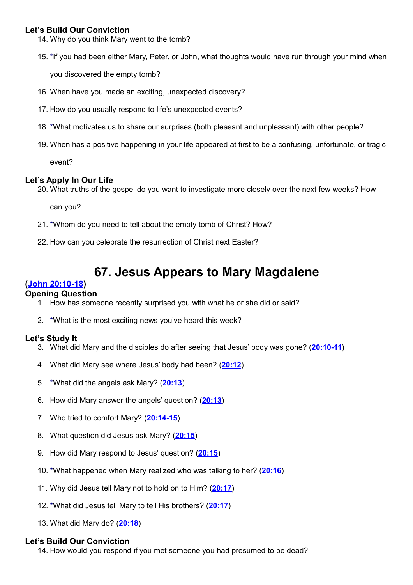14. Why do you think Mary went to the tomb?

15. \*If you had been either Mary, Peter, or John, what thoughts would have run through your mind when

you discovered the empty tomb?

- 16. When have you made an exciting, unexpected discovery?
- 17. How do you usually respond to life's unexpected events?
- 18. \*What motivates us to share our surprises (both pleasant and unpleasant) with other people?
- 19. When has a positive happening in your life appeared at first to be a confusing, unfortunate, or tragic

event?

#### **Let's Apply In Our Life**

20. What truths of the gospel do you want to investigate more closely over the next few weeks? How

can you?

- 21. \*Whom do you need to tell about the empty tomb of Christ? How?
- 22. How can you celebrate the resurrection of Christ next Easter?

# **67. Jesus Appears to Mary Magdalene**

# **[\(John 20:10-18\)](http://www.crossbooks.com/verse.asp?ref=Jn+20%3A10-18)**

#### **Opening Question**

- 1. How has someone recently surprised you with what he or she did or said?
- 2. \*What is the most exciting news you've heard this week?

# **Let's Study It**

- 3. What did Mary and the disciples do after seeing that Jesus' body was gone? (**[20:10-11](http://www.crossbooks.com/verse.asp?ref=Jn+20%3A10-11)**)
- 4. What did Mary see where Jesus' body had been? (**[20:12](http://www.crossbooks.com/verse.asp?ref=Jn+20%3A12)**)
- 5. \*What did the angels ask Mary? (**[20:13](http://www.crossbooks.com/verse.asp?ref=Jn+20%3A13)**)
- 6. How did Mary answer the angels' question? (**[20:13](http://www.crossbooks.com/verse.asp?ref=Jn+20%3A13)**)
- 7. Who tried to comfort Mary? (**[20:14-15](http://www.crossbooks.com/verse.asp?ref=Jn+20%3A14-15)**)
- 8. What question did Jesus ask Mary? (**[20:15](http://www.crossbooks.com/verse.asp?ref=Jn+20%3A15)**)
- 9. How did Mary respond to Jesus' question? (**[20:15](http://www.crossbooks.com/verse.asp?ref=Jn+20%3A15)**)
- 10. \*What happened when Mary realized who was talking to her? (**[20:16](http://www.crossbooks.com/verse.asp?ref=Jn+20%3A16)**)
- 11. Why did Jesus tell Mary not to hold on to Him? (**[20:17](http://www.crossbooks.com/verse.asp?ref=Jn+20%3A17)**)
- 12. \*What did Jesus tell Mary to tell His brothers? (**[20:17](http://www.crossbooks.com/verse.asp?ref=Jn+20%3A17)**)
- 13. What did Mary do? (**[20:18](http://www.crossbooks.com/verse.asp?ref=Jn+20%3A18)**)

#### **Let's Build Our Conviction**

14. How would you respond if you met someone you had presumed to be dead?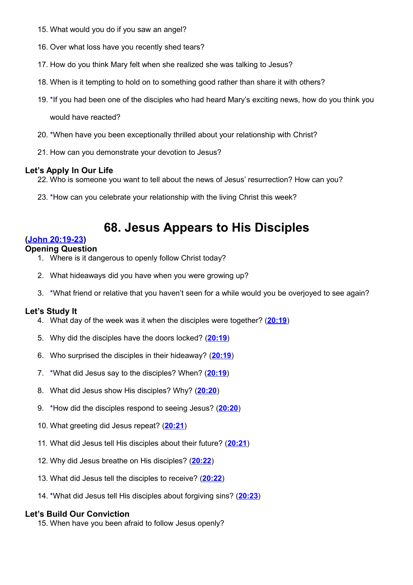- 15. What would you do if you saw an angel?
- 16. Over what loss have you recently shed tears?
- 17. How do you think Mary felt when she realized she was talking to Jesus?
- 18. When is it tempting to hold on to something good rather than share it with others?
- 19. \*If you had been one of the disciples who had heard Mary's exciting news, how do you think you

would have reacted?

- 20. \*When have you been exceptionally thrilled about your relationship with Christ?
- 21. How can you demonstrate your devotion to Jesus?

# **Let's Apply In Our Life**

- 22. Who is someone you want to tell about the news of Jesus' resurrection? How can you?
- 23. \*How can you celebrate your relationship with the living Christ this week?

# **68. Jesus Appears to His Disciples**

# **[\(John 20:19-23\)](http://www.crossbooks.com/verse.asp?ref=Jn+20%3A19-23)**

# **Opening Question**

- 1. Where is it dangerous to openly follow Christ today?
- 2. What hideaways did you have when you were growing up?
- 3. \*What friend or relative that you haven't seen for a while would you be overjoyed to see again?

# **Let's Study It**

- 4. What day of the week was it when the disciples were together? (**[20:19](http://www.crossbooks.com/verse.asp?ref=Jn+20%3A19)**)
- 5. Why did the disciples have the doors locked? (**[20:19](http://www.crossbooks.com/verse.asp?ref=Jn+20%3A19)**)
- 6. Who surprised the disciples in their hideaway? (**[20:19](http://www.crossbooks.com/verse.asp?ref=Jn+20%3A19)**)
- 7. \*What did Jesus say to the disciples? When? (**[20:19](http://www.crossbooks.com/verse.asp?ref=Jn+20%3A19)**)
- 8. What did Jesus show His disciples? Why? (**[20:20](http://www.crossbooks.com/verse.asp?ref=Jn+20%3A20)**)
- 9. \*How did the disciples respond to seeing Jesus? (**[20:20](http://www.crossbooks.com/verse.asp?ref=Jn+20%3A20)**)
- 10. What greeting did Jesus repeat? (**[20:21](http://www.crossbooks.com/verse.asp?ref=Jn+20%3A21)**)
- 11. What did Jesus tell His disciples about their future? (**[20:21](http://www.crossbooks.com/verse.asp?ref=Jn+20%3A21)**)
- 12. Why did Jesus breathe on His disciples? (**[20:22](http://www.crossbooks.com/verse.asp?ref=Jn+20%3A22)**)
- 13. What did Jesus tell the disciples to receive? (**[20:22](http://www.crossbooks.com/verse.asp?ref=Jn+20%3A22)**)
- 14. \*What did Jesus tell His disciples about forgiving sins? (**[20:23](http://www.crossbooks.com/verse.asp?ref=Jn+20%3A23)**)

# **Let's Build Our Conviction**

15. When have you been afraid to follow Jesus openly?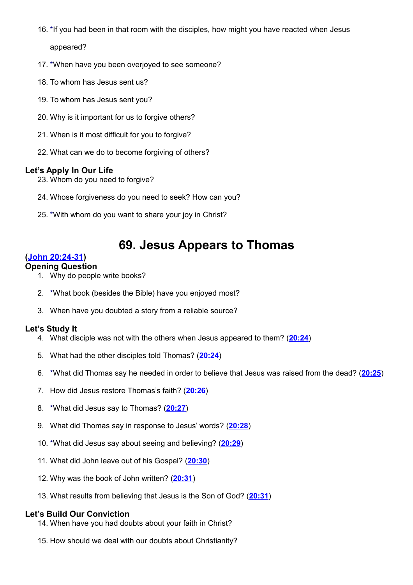- 16. \*If you had been in that room with the disciples, how might you have reacted when Jesus appeared?
- 17. \*When have you been overjoyed to see someone?
- 18. To whom has Jesus sent us?
- 19. To whom has Jesus sent you?
- 20. Why is it important for us to forgive others?
- 21. When is it most difficult for you to forgive?
- 22. What can we do to become forgiving of others?

- 23. Whom do you need to forgive?
- 24. Whose forgiveness do you need to seek? How can you?
- 25. \*With whom do you want to share your joy in Christ?

# **69. Jesus Appears to Thomas**

# **[\(John 20:24-31\)](http://www.crossbooks.com/verse.asp?ref=Jn+20%3A24-31)**

#### **Opening Question**

- 1. Why do people write books?
- 2. \*What book (besides the Bible) have you enjoyed most?
- 3. When have you doubted a story from a reliable source?

#### **Let's Study It**

- 4. What disciple was not with the others when Jesus appeared to them? (**[20:24](http://www.crossbooks.com/verse.asp?ref=Jn+20%3A24)**)
- 5. What had the other disciples told Thomas? (**[20:24](http://www.crossbooks.com/verse.asp?ref=Jn+20%3A24)**)
- 6. \*What did Thomas say he needed in order to believe that Jesus was raised from the dead? (**[20:25](http://www.crossbooks.com/verse.asp?ref=Jn+20%3A25)**)
- 7. How did Jesus restore Thomas's faith? (**[20:26](http://www.crossbooks.com/verse.asp?ref=Jn+20%3A26)**)
- 8. \*What did Jesus say to Thomas? (**[20:27](http://www.crossbooks.com/verse.asp?ref=Jn+20%3A27)**)
- 9. What did Thomas say in response to Jesus' words? (**[20:28](http://www.crossbooks.com/verse.asp?ref=Jn+20%3A28)**)
- 10. \*What did Jesus say about seeing and believing? (**[20:29](http://www.crossbooks.com/verse.asp?ref=Jn+20%3A29)**)
- 11. What did John leave out of his Gospel? (**[20:30](http://www.crossbooks.com/verse.asp?ref=Jn+20%3A30)**)
- 12. Why was the book of John written? (**[20:31](http://www.crossbooks.com/verse.asp?ref=Jn+20%3A31)**)
- 13. What results from believing that Jesus is the Son of God? (**[20:31](http://www.crossbooks.com/verse.asp?ref=Jn+20%3A31)**)

- 14. When have you had doubts about your faith in Christ?
- 15. How should we deal with our doubts about Christianity?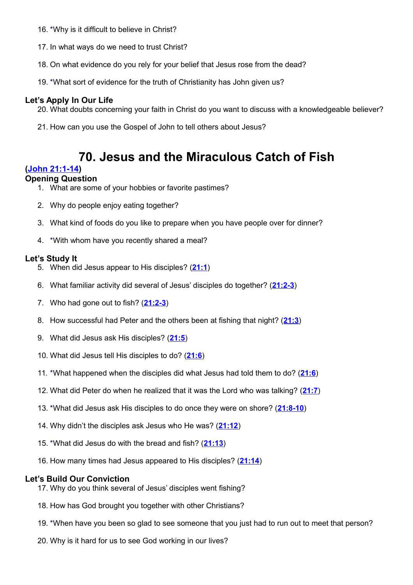- 16. \*Why is it difficult to believe in Christ?
- 17. In what ways do we need to trust Christ?
- 18. On what evidence do you rely for your belief that Jesus rose from the dead?
- 19. \*What sort of evidence for the truth of Christianity has John given us?

- 20. What doubts concerning your faith in Christ do you want to discuss with a knowledgeable believer?
- 21. How can you use the Gospel of John to tell others about Jesus?

# **70. Jesus and the Miraculous Catch of Fish**

# **[\(John 21:1-14\)](http://www.crossbooks.com/verse.asp?ref=Jn+21%3A1-14)**

# **Opening Question**

- 1. What are some of your hobbies or favorite pastimes?
- 2. Why do people enjoy eating together?
- 3. What kind of foods do you like to prepare when you have people over for dinner?
- 4. \*With whom have you recently shared a meal?

#### **Let's Study It**

- 5. When did Jesus appear to His disciples? (**[21:1](http://www.crossbooks.com/verse.asp?ref=Jn+21%3A1)**)
- 6. What familiar activity did several of Jesus' disciples do together? (**[21:2-3](http://www.crossbooks.com/verse.asp?ref=Jn+21%3A2-3)**)
- 7. Who had gone out to fish? (**[21:2-3](http://www.crossbooks.com/verse.asp?ref=Jn+21%3A2-3)**)
- 8. How successful had Peter and the others been at fishing that night? (**[21:3](http://www.crossbooks.com/verse.asp?ref=Jn+21%3A3)**)
- 9. What did Jesus ask His disciples? (**[21:5](http://www.crossbooks.com/verse.asp?ref=Jn+21%3A5)**)
- 10. What did Jesus tell His disciples to do? (**[21:6](http://www.crossbooks.com/verse.asp?ref=Jn+21%3A6)**)
- 11. \*What happened when the disciples did what Jesus had told them to do? (**[21:6](http://www.crossbooks.com/verse.asp?ref=Jn+21%3A6)**)
- 12. What did Peter do when he realized that it was the Lord who was talking? (**[21:7](http://www.crossbooks.com/verse.asp?ref=Jn+21%3A7)**)
- 13. \*What did Jesus ask His disciples to do once they were on shore? (**[21:8-10](http://www.crossbooks.com/verse.asp?ref=Jn+21%3A8-10)**)
- 14. Why didn't the disciples ask Jesus who He was? (**[21:12](http://www.crossbooks.com/verse.asp?ref=Jn+21%3A12)**)
- 15. \*What did Jesus do with the bread and fish? (**[21:13](http://www.crossbooks.com/verse.asp?ref=Jn+21%3A13)**)
- 16. How many times had Jesus appeared to His disciples? (**[21:14](http://www.crossbooks.com/verse.asp?ref=Jn+21%3A14)**)

- 17. Why do you think several of Jesus' disciples went fishing?
- 18. How has God brought you together with other Christians?
- 19. \*When have you been so glad to see someone that you just had to run out to meet that person?
- 20. Why is it hard for us to see God working in our lives?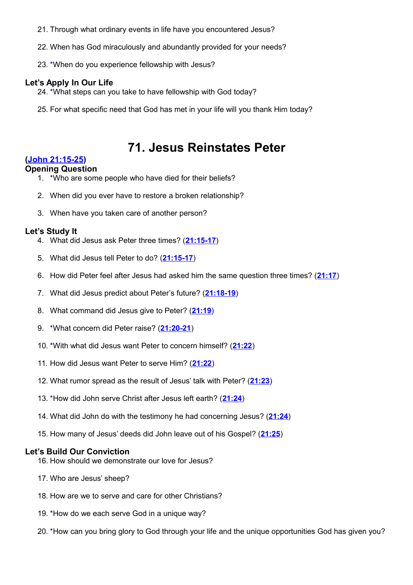- 21. Through what ordinary events in life have you encountered Jesus?
- 22. When has God miraculously and abundantly provided for your needs?
- 23. \*When do you experience fellowship with Jesus?

- 24. \*What steps can you take to have fellowship with God today?
- 25. For what specific need that God has met in your life will you thank Him today?

# **71. Jesus Reinstates Peter**

# **[\(John 21:15-25\)](http://www.crossbooks.com/verse.asp?ref=Jn+21%3A15-25)**

#### **Opening Question**

- 1. \*Who are some people who have died for their beliefs?
- 2. When did you ever have to restore a broken relationship?
- 3. When have you taken care of another person?

#### **Let's Study It**

- 4. What did Jesus ask Peter three times? (**[21:15-17](http://www.crossbooks.com/verse.asp?ref=Jn+21%3A15-17)**)
- 5. What did Jesus tell Peter to do? (**[21:15-17](http://www.crossbooks.com/verse.asp?ref=Jn+21%3A15-17)**)
- 6. How did Peter feel after Jesus had asked him the same question three times? (**[21:17](http://www.crossbooks.com/verse.asp?ref=Jn+21%3A17)**)
- 7. What did Jesus predict about Peter's future? (**[21:18-19](http://www.crossbooks.com/verse.asp?ref=Jn+21%3A18-19)**)
- 8. What command did Jesus give to Peter? (**[21:19](http://www.crossbooks.com/verse.asp?ref=Jn+21%3A19)**)
- 9. \*What concern did Peter raise? (**[21:20-21](http://www.crossbooks.com/verse.asp?ref=Jn+21%3A20-21)**)
- 10. \*With what did Jesus want Peter to concern himself? (**[21:22](http://www.crossbooks.com/verse.asp?ref=Jn+21%3A22)**)
- 11. How did Jesus want Peter to serve Him? (**[21:22](http://www.crossbooks.com/verse.asp?ref=Jn+21%3A22)**)
- 12. What rumor spread as the result of Jesus' talk with Peter? (**[21:23](http://www.crossbooks.com/verse.asp?ref=Jn+21%3A23)**)
- 13. \*How did John serve Christ after Jesus left earth? (**[21:24](http://www.crossbooks.com/verse.asp?ref=Jn+21%3A24)**)
- 14. What did John do with the testimony he had concerning Jesus? (**[21:24](http://www.crossbooks.com/verse.asp?ref=Jn+21%3A24)**)
- 15. How many of Jesus' deeds did John leave out of his Gospel? (**[21:25](http://www.crossbooks.com/verse.asp?ref=Jn+21%3A25)**)

- 16. How should we demonstrate our love for Jesus?
- 17. Who are Jesus' sheep?
- 18. How are we to serve and care for other Christians?
- 19. \*How do we each serve God in a unique way?
- 20. \*How can you bring glory to God through your life and the unique opportunities God has given you?